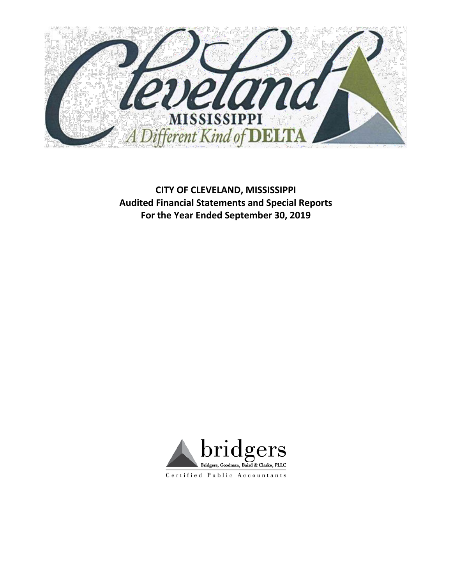

**CITY OF CLEVELAND, MISSISSIPPI Audited Financial Statements and Special Reports For the Year Ended September 30, 2019**

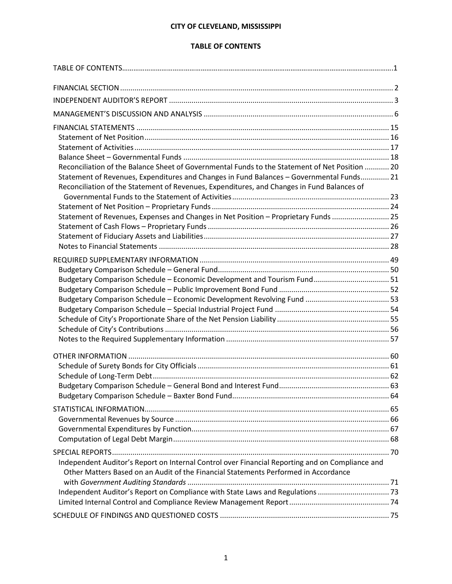# **CITY OF CLEVELAND, MISSISSIPPI**

# **TABLE OF CONTENTS**

| Reconciliation of the Balance Sheet of Governmental Funds to the Statement of Net Position  20                                                                                         |  |
|----------------------------------------------------------------------------------------------------------------------------------------------------------------------------------------|--|
| Statement of Revenues, Expenditures and Changes in Fund Balances - Governmental Funds 21<br>Reconciliation of the Statement of Revenues, Expenditures, and Changes in Fund Balances of |  |
|                                                                                                                                                                                        |  |
| Statement of Revenues, Expenses and Changes in Net Position - Proprietary Funds  25                                                                                                    |  |
|                                                                                                                                                                                        |  |
|                                                                                                                                                                                        |  |
|                                                                                                                                                                                        |  |
|                                                                                                                                                                                        |  |
|                                                                                                                                                                                        |  |
| Budgetary Comparison Schedule - Economic Development and Tourism Fund51                                                                                                                |  |
|                                                                                                                                                                                        |  |
|                                                                                                                                                                                        |  |
|                                                                                                                                                                                        |  |
|                                                                                                                                                                                        |  |
|                                                                                                                                                                                        |  |
|                                                                                                                                                                                        |  |
|                                                                                                                                                                                        |  |
|                                                                                                                                                                                        |  |
|                                                                                                                                                                                        |  |
|                                                                                                                                                                                        |  |
|                                                                                                                                                                                        |  |
|                                                                                                                                                                                        |  |
|                                                                                                                                                                                        |  |
|                                                                                                                                                                                        |  |
|                                                                                                                                                                                        |  |
|                                                                                                                                                                                        |  |
| Independent Auditor's Report on Internal Control over Financial Reporting and on Compliance and<br>Other Matters Based on an Audit of the Financial Statements Performed in Accordance |  |
|                                                                                                                                                                                        |  |
| Independent Auditor's Report on Compliance with State Laws and Regulations  73                                                                                                         |  |
|                                                                                                                                                                                        |  |
|                                                                                                                                                                                        |  |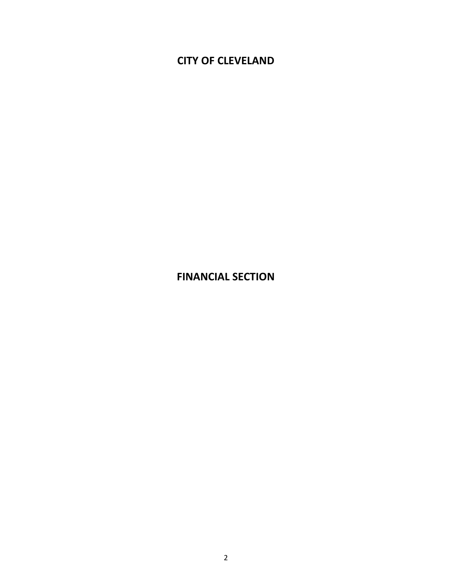**CITY OF CLEVELAND**

# **FINANCIAL SECTION**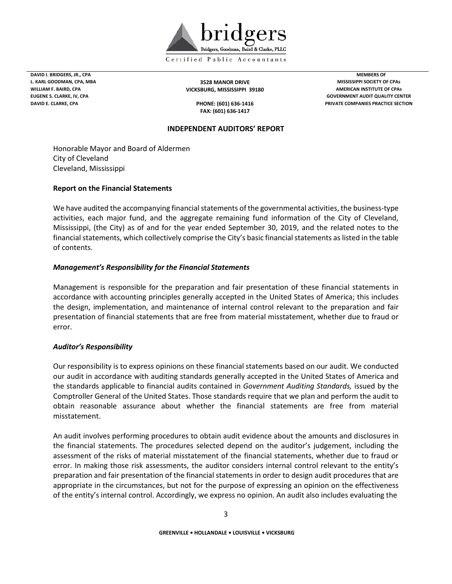

**DAVID I. BRIDGERS, JR., CPA MEMBERS OF WILLIAM F. BAIRD, CPA VICKSBURG, MISSISSIPPI 39180**<br>FUGENE S. CLARKE. IV. CPA

**FAX: (601) 636-1417**

**L. KARL GOODMAN, CPA, MBA 3528 MANOR DRIVE MISSISSIPPI SOCIETY OF CPAs EQUERNMENT AUDIT QUALITY CENTER DAVID E. CLARKE, CPA PHONE: (601) 636-1416 PRIVATE COMPANIES PRACTICE SECTION**

#### **INDEPENDENT AUDITORS' REPORT**

Honorable Mayor and Board of Aldermen City of Cleveland Cleveland, Mississippi

#### **Report on the Financial Statements**

We have audited the accompanying financial statements of the governmental activities, the business-type activities, each major fund, and the aggregate remaining fund information of the City of Cleveland, Mississippi, (the City) as of and for the year ended September 30, 2019, and the related notes to the financial statements, which collectively comprise the City's basic financial statements as listed in the table of contents.

#### *Management's Responsibility for the Financial Statements*

Management is responsible for the preparation and fair presentation of these financial statements in accordance with accounting principles generally accepted in the United States of America; this includes the design, implementation, and maintenance of internal control relevant to the preparation and fair presentation of financial statements that are free from material misstatement, whether due to fraud or error.

#### *Auditor's Responsibility*

Our responsibility is to express opinions on these financial statements based on our audit. We conducted our audit in accordance with auditing standards generally accepted in the United States of America and the standards applicable to financial audits contained in *Government Auditing Standards,* issued by the Comptroller General of the United States. Those standards require that we plan and perform the audit to obtain reasonable assurance about whether the financial statements are free from material misstatement.

An audit involves performing procedures to obtain audit evidence about the amounts and disclosures in the financial statements. The procedures selected depend on the auditor's judgement, including the assessment of the risks of material misstatement of the financial statements, whether due to fraud or error. In making those risk assessments, the auditor considers internal control relevant to the entity's preparation and fair presentation of the financial statements in order to design audit procedures that are appropriate in the circumstances, but not for the purpose of expressing an opinion on the effectiveness of the entity's internal control. Accordingly, we express no opinion. An audit also includes evaluating the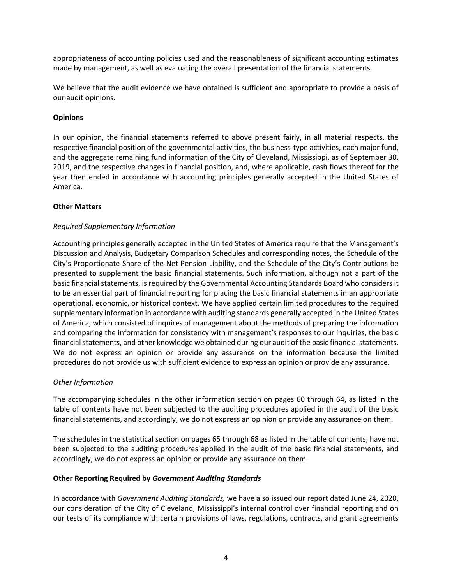appropriateness of accounting policies used and the reasonableness of significant accounting estimates made by management, as well as evaluating the overall presentation of the financial statements.

We believe that the audit evidence we have obtained is sufficient and appropriate to provide a basis of our audit opinions.

## **Opinions**

In our opinion, the financial statements referred to above present fairly, in all material respects, the respective financial position of the governmental activities, the business-type activities, each major fund, and the aggregate remaining fund information of the City of Cleveland, Mississippi, as of September 30, 2019, and the respective changes in financial position, and, where applicable, cash flows thereof for the year then ended in accordance with accounting principles generally accepted in the United States of America.

#### **Other Matters**

#### *Required Supplementary Information*

Accounting principles generally accepted in the United States of America require that the Management's Discussion and Analysis, Budgetary Comparison Schedules and corresponding notes, the Schedule of the City's Proportionate Share of the Net Pension Liability, and the Schedule of the City's Contributions be presented to supplement the basic financial statements. Such information, although not a part of the basic financial statements, is required by the Governmental Accounting Standards Board who considers it to be an essential part of financial reporting for placing the basic financial statements in an appropriate operational, economic, or historical context. We have applied certain limited procedures to the required supplementary information in accordance with auditing standards generally accepted in the United States of America, which consisted of inquires of management about the methods of preparing the information and comparing the information for consistency with management's responses to our inquiries, the basic financial statements, and other knowledge we obtained during our audit of the basic financial statements. We do not express an opinion or provide any assurance on the information because the limited procedures do not provide us with sufficient evidence to express an opinion or provide any assurance.

#### *Other Information*

The accompanying schedules in the other information section on pages 60 through 64, as listed in the table of contents have not been subjected to the auditing procedures applied in the audit of the basic financial statements, and accordingly, we do not express an opinion or provide any assurance on them.

The schedules in the statistical section on pages 65 through 68 as listed in the table of contents, have not been subjected to the auditing procedures applied in the audit of the basic financial statements, and accordingly, we do not express an opinion or provide any assurance on them.

## **Other Reporting Required by** *Government Auditing Standards*

In accordance with *Government Auditing Standards,* we have also issued our report dated June 24, 2020, our consideration of the City of Cleveland, Mississippi's internal control over financial reporting and on our tests of its compliance with certain provisions of laws, regulations, contracts, and grant agreements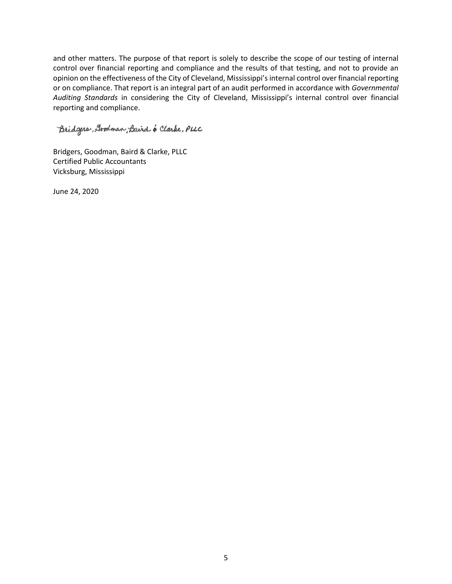and other matters. The purpose of that report is solely to describe the scope of our testing of internal control over financial reporting and compliance and the results of that testing, and not to provide an opinion on the effectiveness of the City of Cleveland, Mississippi's internal control over financial reporting or on compliance. That report is an integral part of an audit performed in accordance with *Governmental Auditing Standards* in considering the City of Cleveland, Mississippi's internal control over financial reporting and compliance.

Bridgers, Goodman, Baird & Clarke, PLLC

Bridgers, Goodman, Baird & Clarke, PLLC Certified Public Accountants Vicksburg, Mississippi

June 24, 2020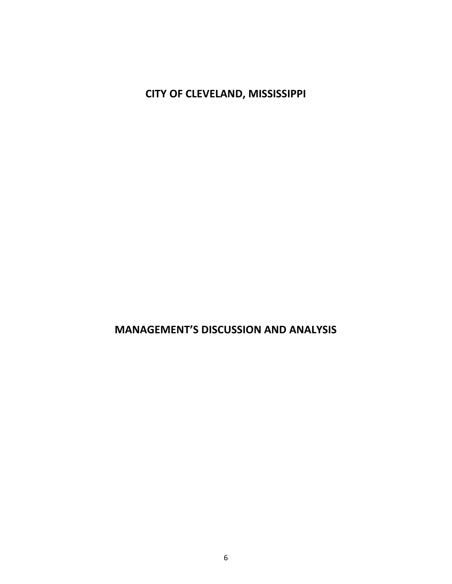**CITY OF CLEVELAND, MISSISSIPPI**

**MANAGEMENT'S DISCUSSION AND ANALYSIS**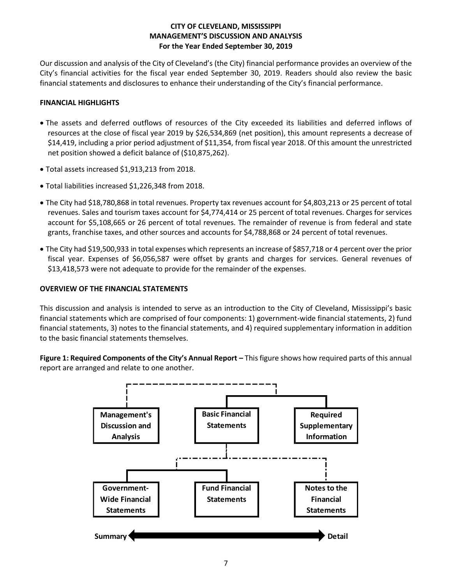Our discussion and analysis of the City of Cleveland's (the City) financial performance provides an overview of the City's financial activities for the fiscal year ended September 30, 2019. Readers should also review the basic financial statements and disclosures to enhance their understanding of the City's financial performance.

## **FINANCIAL HIGHLIGHTS**

- The assets and deferred outflows of resources of the City exceeded its liabilities and deferred inflows of resources at the close of fiscal year 2019 by \$26,534,869 (net position), this amount represents a decrease of \$14,419, including a prior period adjustment of \$11,354, from fiscal year 2018. Of this amount the unrestricted net position showed a deficit balance of (\$10,875,262).
- Total assets increased \$1,913,213 from 2018.
- Total liabilities increased \$1,226,348 from 2018.
- The City had \$18,780,868 in total revenues. Property tax revenues account for \$4,803,213 or 25 percent of total revenues. Sales and tourism taxes account for \$4,774,414 or 25 percent of total revenues. Charges for services account for \$5,108,665 or 26 percent of total revenues. The remainder of revenue is from federal and state grants, franchise taxes, and other sources and accounts for \$4,788,868 or 24 percent of total revenues.
- The City had \$19,500,933 in total expenses which represents an increase of \$857,718 or 4 percent over the prior fiscal year. Expenses of \$6,056,587 were offset by grants and charges for services. General revenues of \$13,418,573 were not adequate to provide for the remainder of the expenses.

#### **OVERVIEW OF THE FINANCIAL STATEMENTS**

This discussion and analysis is intended to serve as an introduction to the City of Cleveland, Mississippi's basic financial statements which are comprised of four components: 1) government-wide financial statements, 2) fund financial statements, 3) notes to the financial statements, and 4) required supplementary information in addition to the basic financial statements themselves.

**Figure 1: Required Components of the City's Annual Report –** This figure shows how required parts of this annual report are arranged and relate to one another.

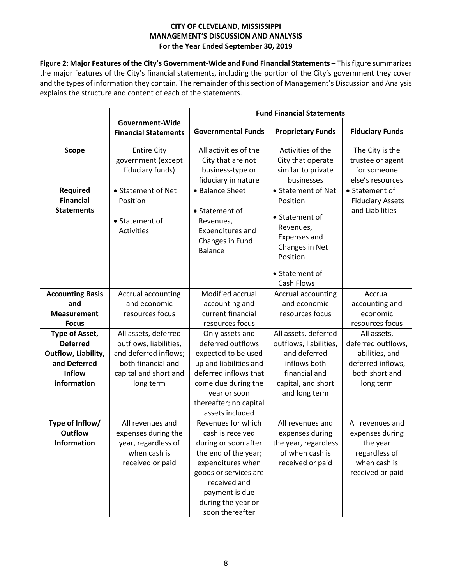**Figure 2: Major Features of the City's Government-Wide and Fund Financial Statements –** This figure summarizes the major features of the City's financial statements, including the portion of the City's government they cover and the types of information they contain. The remainder of this section of Management's Discussion and Analysis explains the structure and content of each of the statements.

|                                                                                                                 |                                                                                                                                     | <b>Fund Financial Statements</b>                                                                                                                                                                                |                                                                                                                                             |                                                                                                           |  |  |  |  |
|-----------------------------------------------------------------------------------------------------------------|-------------------------------------------------------------------------------------------------------------------------------------|-----------------------------------------------------------------------------------------------------------------------------------------------------------------------------------------------------------------|---------------------------------------------------------------------------------------------------------------------------------------------|-----------------------------------------------------------------------------------------------------------|--|--|--|--|
|                                                                                                                 | Government-Wide<br><b>Financial Statements</b>                                                                                      | <b>Governmental Funds</b>                                                                                                                                                                                       | <b>Proprietary Funds</b>                                                                                                                    | <b>Fiduciary Funds</b>                                                                                    |  |  |  |  |
| <b>Scope</b>                                                                                                    | <b>Entire City</b><br>government (except<br>fiduciary funds)                                                                        | All activities of the<br>City that are not<br>business-type or<br>fiduciary in nature                                                                                                                           | Activities of the<br>City that operate<br>similar to private<br>businesses                                                                  | The City is the<br>trustee or agent<br>for someone<br>else's resources                                    |  |  |  |  |
| <b>Required</b><br><b>Financial</b><br><b>Statements</b>                                                        | • Statement of Net<br>Position<br>• Statement of<br>Activities                                                                      | • Balance Sheet<br>• Statement of<br>Revenues,<br>Expenditures and<br>Changes in Fund<br><b>Balance</b>                                                                                                         | • Statement of Net<br>Position<br>• Statement of<br>Revenues,<br>Expenses and<br>Changes in Net<br>Position<br>• Statement of<br>Cash Flows | • Statement of<br><b>Fiduciary Assets</b><br>and Liabilities                                              |  |  |  |  |
| <b>Accounting Basis</b><br>and<br><b>Measurement</b><br><b>Focus</b>                                            | Accrual accounting<br>and economic<br>resources focus                                                                               | Modified accrual<br>accounting and<br>current financial<br>resources focus                                                                                                                                      | Accrual accounting<br>and economic<br>resources focus                                                                                       | Accrual<br>accounting and<br>economic<br>resources focus                                                  |  |  |  |  |
| <b>Type of Asset,</b><br><b>Deferred</b><br>Outflow, Liability,<br>and Deferred<br><b>Inflow</b><br>information | All assets, deferred<br>outflows, liabilities,<br>and deferred inflows;<br>both financial and<br>capital and short and<br>long term | Only assets and<br>deferred outflows<br>expected to be used<br>up and liabilities and<br>deferred inflows that<br>come due during the<br>year or soon<br>thereafter; no capital<br>assets included              | All assets, deferred<br>outflows, liabilities,<br>and deferred<br>inflows both<br>financial and<br>capital, and short<br>and long term      | All assets,<br>deferred outflows,<br>liabilities, and<br>deferred inflows,<br>both short and<br>long term |  |  |  |  |
| Type of Inflow/<br><b>Outflow</b><br><b>Information</b>                                                         | All revenues and<br>expenses during the<br>year, regardless of<br>when cash is<br>received or paid                                  | Revenues for which<br>cash is received<br>during or soon after<br>the end of the year;<br>expenditures when<br>goods or services are<br>received and<br>payment is due<br>during the year or<br>soon thereafter | All revenues and<br>expenses during<br>the year, regardless<br>of when cash is<br>received or paid                                          | All revenues and<br>expenses during<br>the year<br>regardless of<br>when cash is<br>received or paid      |  |  |  |  |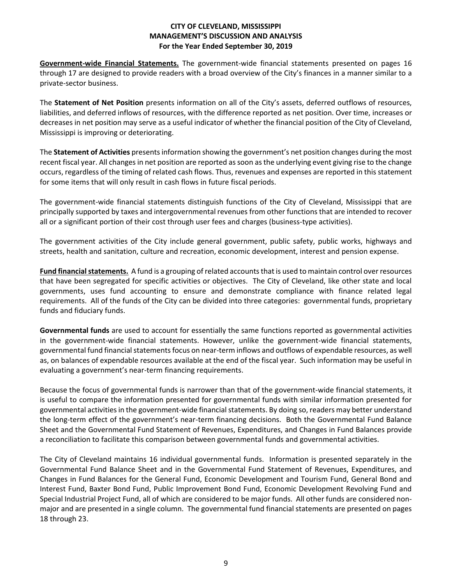**Government-wide Financial Statements.** The government-wide financial statements presented on pages 16 through 17 are designed to provide readers with a broad overview of the City's finances in a manner similar to a private-sector business.

The **Statement of Net Position** presents information on all of the City's assets, deferred outflows of resources, liabilities, and deferred inflows of resources, with the difference reported as net position. Over time, increases or decreases in net position may serve as a useful indicator of whether the financial position of the City of Cleveland, Mississippi is improving or deteriorating.

The **Statement of Activities** presents information showing the government's net position changes during the most recent fiscal year. All changes in net position are reported as soon as the underlying event giving rise to the change occurs, regardless of the timing of related cash flows. Thus, revenues and expenses are reported in this statement for some items that will only result in cash flows in future fiscal periods.

The government-wide financial statements distinguish functions of the City of Cleveland, Mississippi that are principally supported by taxes and intergovernmental revenues from other functions that are intended to recover all or a significant portion of their cost through user fees and charges (business-type activities).

The government activities of the City include general government, public safety, public works, highways and streets, health and sanitation, culture and recreation, economic development, interest and pension expense.

**Fund financial statements.** A fund is a grouping of related accounts that is used to maintain control over resources that have been segregated for specific activities or objectives. The City of Cleveland, like other state and local governments, uses fund accounting to ensure and demonstrate compliance with finance related legal requirements. All of the funds of the City can be divided into three categories: governmental funds, proprietary funds and fiduciary funds.

**Governmental funds** are used to account for essentially the same functions reported as governmental activities in the government-wide financial statements. However, unlike the government-wide financial statements, governmental fund financial statements focus on near-term inflows and outflows of expendable resources, as well as, on balances of expendable resources available at the end of the fiscal year. Such information may be useful in evaluating a government's near-term financing requirements.

Because the focus of governmental funds is narrower than that of the government-wide financial statements, it is useful to compare the information presented for governmental funds with similar information presented for governmental activities in the government-wide financial statements. By doing so, readers may better understand the long-term effect of the government's near-term financing decisions. Both the Governmental Fund Balance Sheet and the Governmental Fund Statement of Revenues, Expenditures, and Changes in Fund Balances provide a reconciliation to facilitate this comparison between governmental funds and governmental activities.

The City of Cleveland maintains 16 individual governmental funds. Information is presented separately in the Governmental Fund Balance Sheet and in the Governmental Fund Statement of Revenues, Expenditures, and Changes in Fund Balances for the General Fund, Economic Development and Tourism Fund, General Bond and Interest Fund, Baxter Bond Fund, Public Improvement Bond Fund, Economic Development Revolving Fund and Special Industrial Project Fund, all of which are considered to be major funds. All other funds are considered nonmajor and are presented in a single column. The governmental fund financial statements are presented on pages 18 through 23.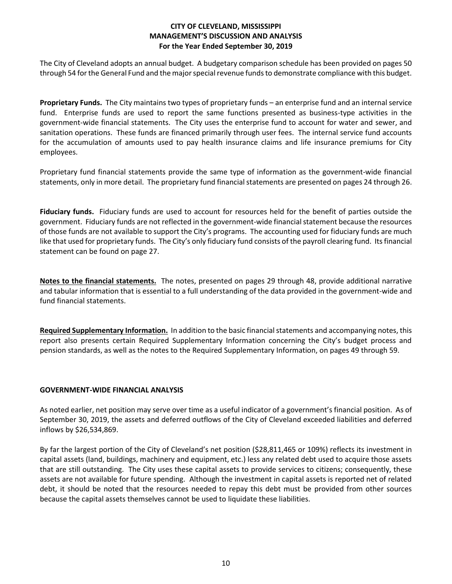The City of Cleveland adopts an annual budget. A budgetary comparison schedule has been provided on pages 50 through 54 for the General Fund and the major special revenue funds to demonstrate compliance with this budget.

**Proprietary Funds.** The City maintains two types of proprietary funds – an enterprise fund and an internal service fund. Enterprise funds are used to report the same functions presented as business-type activities in the government-wide financial statements. The City uses the enterprise fund to account for water and sewer, and sanitation operations. These funds are financed primarily through user fees. The internal service fund accounts for the accumulation of amounts used to pay health insurance claims and life insurance premiums for City employees.

Proprietary fund financial statements provide the same type of information as the government-wide financial statements, only in more detail. The proprietary fund financial statements are presented on pages 24 through 26.

**Fiduciary funds.** Fiduciary funds are used to account for resources held for the benefit of parties outside the government. Fiduciary funds are not reflected in the government-wide financial statement because the resources of those funds are not available to support the City's programs. The accounting used for fiduciary funds are much like that used for proprietary funds. The City's only fiduciary fund consists of the payroll clearing fund. Its financial statement can be found on page 27.

**Notes to the financial statements.** The notes, presented on pages 29 through 48, provide additional narrative and tabular information that is essential to a full understanding of the data provided in the government-wide and fund financial statements.

**Required Supplementary Information.** In addition to the basic financial statements and accompanying notes, this report also presents certain Required Supplementary Information concerning the City's budget process and pension standards, as well as the notes to the Required Supplementary Information, on pages 49 through 59.

## **GOVERNMENT-WIDE FINANCIAL ANALYSIS**

As noted earlier, net position may serve over time as a useful indicator of a government's financial position. As of September 30, 2019, the assets and deferred outflows of the City of Cleveland exceeded liabilities and deferred inflows by \$26,534,869.

By far the largest portion of the City of Cleveland's net position (\$28,811,465 or 109%) reflects its investment in capital assets (land, buildings, machinery and equipment, etc.) less any related debt used to acquire those assets that are still outstanding. The City uses these capital assets to provide services to citizens; consequently, these assets are not available for future spending. Although the investment in capital assets is reported net of related debt, it should be noted that the resources needed to repay this debt must be provided from other sources because the capital assets themselves cannot be used to liquidate these liabilities.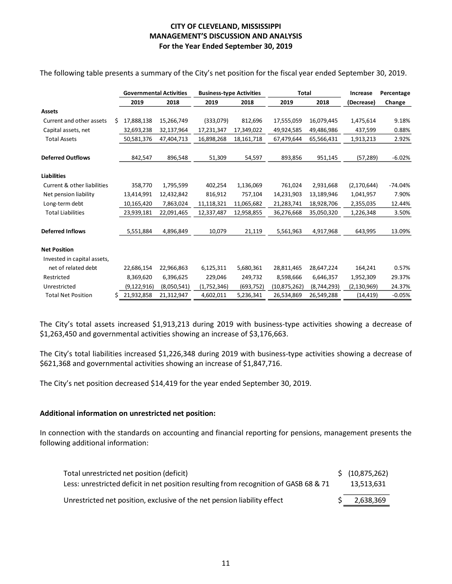The following table presents a summary of the City's net position for the fiscal year ended September 30, 2019.

|                             |    | <b>Governmental Activities</b> |             | <b>Business-type Activities</b> |            | Total          |             | <b>Increase</b> | Percentage |
|-----------------------------|----|--------------------------------|-------------|---------------------------------|------------|----------------|-------------|-----------------|------------|
|                             |    | 2019                           | 2018        | 2019                            | 2018       | 2019           | 2018        | (Decrease)      | Change     |
| <b>Assets</b>               |    |                                |             |                                 |            |                |             |                 |            |
| Current and other assets    | Ś. | 17,888,138                     | 15,266,749  | (333,079)                       | 812,696    | 17,555,059     | 16,079,445  | 1,475,614       | 9.18%      |
| Capital assets, net         |    | 32,693,238                     | 32,137,964  | 17,231,347                      | 17,349,022 | 49,924,585     | 49,486,986  | 437,599         | 0.88%      |
| <b>Total Assets</b>         |    | 50,581,376                     | 47,404,713  | 16,898,268                      | 18,161,718 | 67,479,644     | 65,566,431  | 1,913,213       | 2.92%      |
|                             |    |                                |             |                                 |            |                |             |                 |            |
| <b>Deferred Outflows</b>    |    | 842,547                        | 896,548     | 51,309                          | 54,597     | 893,856        | 951,145     | (57, 289)       | $-6.02%$   |
|                             |    |                                |             |                                 |            |                |             |                 |            |
| <b>Liabilities</b>          |    |                                |             |                                 |            |                |             |                 |            |
| Current & other liabilities |    | 358,770                        | 1,795,599   | 402,254                         | 1,136,069  | 761,024        | 2,931,668   | (2, 170, 644)   | $-74.04%$  |
| Net pension liability       |    | 13,414,991                     | 12,432,842  | 816,912                         | 757,104    | 14,231,903     | 13,189,946  | 1,041,957       | 7.90%      |
| Long-term debt              |    | 10,165,420                     | 7,863,024   | 11,118,321                      | 11,065,682 | 21,283,741     | 18,928,706  | 2,355,035       | 12.44%     |
| <b>Total Liabilities</b>    |    | 23,939,181                     | 22,091,465  | 12,337,487                      | 12,958,855 | 36,276,668     | 35,050,320  | 1,226,348       | 3.50%      |
|                             |    |                                |             |                                 |            |                |             |                 |            |
| <b>Deferred Inflows</b>     |    | 5,551,884                      | 4,896,849   | 10,079                          | 21,119     | 5,561,963      | 4,917,968   | 643,995         | 13.09%     |
|                             |    |                                |             |                                 |            |                |             |                 |            |
| <b>Net Position</b>         |    |                                |             |                                 |            |                |             |                 |            |
| Invested in capital assets, |    |                                |             |                                 |            |                |             |                 |            |
| net of related debt         |    | 22,686,154                     | 22,966,863  | 6,125,311                       | 5,680,361  | 28,811,465     | 28,647,224  | 164,241         | 0.57%      |
| Restricted                  |    | 8,369,620                      | 6,396,625   | 229,046                         | 249,732    | 8,598,666      | 6,646,357   | 1,952,309       | 29.37%     |
| Unrestricted                |    | (9, 122, 916)                  | (8,050,541) | (1,752,346)                     | (693, 752) | (10, 875, 262) | (8,744,293) | (2, 130, 969)   | 24.37%     |
| <b>Total Net Position</b>   | Ś  | 21,932,858                     | 21,312,947  | 4,602,011                       | 5,236,341  | 26,534,869     | 26,549,288  | (14, 419)       | $-0.05%$   |

The City's total assets increased \$1,913,213 during 2019 with business-type activities showing a decrease of \$1,263,450 and governmental activities showing an increase of \$3,176,663.

The City's total liabilities increased \$1,226,348 during 2019 with business-type activities showing a decrease of \$621,368 and governmental activities showing an increase of \$1,847,716.

The City's net position decreased \$14,419 for the year ended September 30, 2019.

#### **Additional information on unrestricted net position:**

In connection with the standards on accounting and financial reporting for pensions, management presents the following additional information:

| Total unrestricted net position (deficit)<br>Less: unrestricted deficit in net position resulting from recognition of GASB 68 & 71 | \$ (10,875,262)<br>13.513.631 |
|------------------------------------------------------------------------------------------------------------------------------------|-------------------------------|
| Unrestricted net position, exclusive of the net pension liability effect                                                           | 2,638,369                     |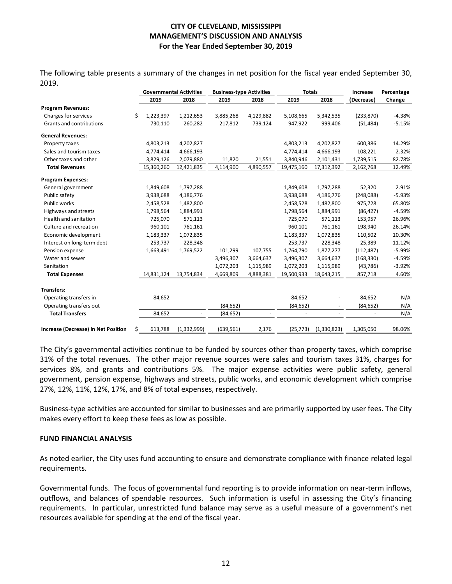The following table presents a summary of the changes in net position for the fiscal year ended September 30, 2019.

|                                            | <b>Governmental Activities</b> |                | <b>Business-type Activities</b> |           | <b>Totals</b> |             | Increase   | Percentage |
|--------------------------------------------|--------------------------------|----------------|---------------------------------|-----------|---------------|-------------|------------|------------|
|                                            | 2019                           | 2018           | 2019                            | 2018      | 2019          | 2018        | (Decrease) | Change     |
| <b>Program Revenues:</b>                   |                                |                |                                 |           |               |             |            |            |
| Charges for services                       | \$<br>1,223,397                | 1,212,653      | 3,885,268                       | 4,129,882 | 5,108,665     | 5,342,535   | (233, 870) | $-4.38%$   |
| Grants and contributions                   | 730,110                        | 260,282        | 217,812                         | 739,124   | 947,922       | 999,406     | (51, 484)  | $-5.15%$   |
| <b>General Revenues:</b>                   |                                |                |                                 |           |               |             |            |            |
| Property taxes                             | 4,803,213                      | 4,202,827      |                                 |           | 4,803,213     | 4,202,827   | 600,386    | 14.29%     |
| Sales and tourism taxes                    | 4,774,414                      | 4,666,193      |                                 |           | 4,774,414     | 4,666,193   | 108,221    | 2.32%      |
| Other taxes and other                      | 3,829,126                      | 2,079,880      | 11,820                          | 21,551    | 3,840,946     | 2,101,431   | 1,739,515  | 82.78%     |
| <b>Total Revenues</b>                      | 15,360,260                     | 12,421,835     | 4,114,900                       | 4,890,557 | 19,475,160    | 17,312,392  | 2,162,768  | 12.49%     |
| <b>Program Expenses:</b>                   |                                |                |                                 |           |               |             |            |            |
| General government                         | 1,849,608                      | 1,797,288      |                                 |           | 1,849,608     | 1,797,288   | 52,320     | 2.91%      |
| Public safety                              | 3,938,688                      | 4,186,776      |                                 |           | 3,938,688     | 4,186,776   | (248,088)  | $-5.93%$   |
| Public works                               | 2,458,528                      | 1,482,800      |                                 |           | 2,458,528     | 1,482,800   | 975,728    | 65.80%     |
| Highways and streets                       | 1,798,564                      | 1,884,991      |                                 |           | 1,798,564     | 1,884,991   | (86, 427)  | $-4.59%$   |
| Health and sanitation                      | 725,070                        | 571,113        |                                 |           | 725,070       | 571,113     | 153,957    | 26.96%     |
| Culture and recreation                     | 960,101                        | 761,161        |                                 |           | 960,101       | 761,161     | 198,940    | 26.14%     |
| Economic development                       | 1,183,337                      | 1,072,835      |                                 |           | 1,183,337     | 1,072,835   | 110,502    | 10.30%     |
| Interest on long-term debt                 | 253,737                        | 228,348        |                                 |           | 253,737       | 228,348     | 25,389     | 11.12%     |
| Pension expense                            | 1,663,491                      | 1,769,522      | 101,299                         | 107,755   | 1,764,790     | 1,877,277   | (112, 487) | $-5.99%$   |
| Water and sewer                            |                                |                | 3,496,307                       | 3,664,637 | 3,496,307     | 3,664,637   | (168, 330) | $-4.59%$   |
| Sanitation                                 |                                |                | 1,072,203                       | 1,115,989 | 1,072,203     | 1,115,989   | (43, 786)  | $-3.92%$   |
| <b>Total Expenses</b>                      | 14,831,124                     | 13,754,834     | 4,669,809                       | 4,888,381 | 19,500,933    | 18,643,215  | 857,718    | 4.60%      |
| <b>Transfers:</b>                          |                                |                |                                 |           |               |             |            |            |
| Operating transfers in                     | 84,652                         |                |                                 |           | 84,652        |             | 84,652     | N/A        |
| Operating transfers out                    |                                |                | (84, 652)                       |           | (84, 652)     |             | (84, 652)  | N/A        |
| <b>Total Transfers</b>                     | 84,652                         | $\blacksquare$ | (84, 652)                       |           |               |             |            | N/A        |
| <b>Increase (Decrease) in Net Position</b> | \$<br>613,788                  | (1,332,999)    | (639, 561)                      | 2,176     | (25, 773)     | (1,330,823) | 1,305,050  | 98.06%     |

The City's governmental activities continue to be funded by sources other than property taxes, which comprise 31% of the total revenues. The other major revenue sources were sales and tourism taxes 31%, charges for services 8%, and grants and contributions 5%. The major expense activities were public safety, general government, pension expense, highways and streets, public works, and economic development which comprise 27%, 12%, 11%, 12%, 17%, and 8% of total expenses, respectively.

Business-type activities are accounted for similar to businesses and are primarily supported by user fees. The City makes every effort to keep these fees as low as possible.

#### **FUND FINANCIAL ANALYSIS**

As noted earlier, the City uses fund accounting to ensure and demonstrate compliance with finance related legal requirements.

Governmental funds. The focus of governmental fund reporting is to provide information on near-term inflows, outflows, and balances of spendable resources. Such information is useful in assessing the City's financing requirements. In particular, unrestricted fund balance may serve as a useful measure of a government's net resources available for spending at the end of the fiscal year.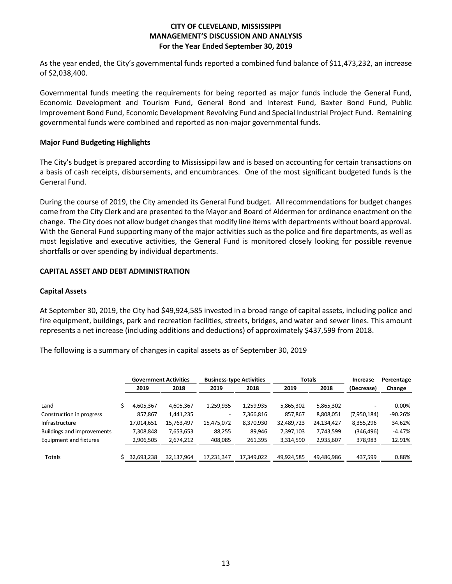As the year ended, the City's governmental funds reported a combined fund balance of \$11,473,232, an increase of \$2,038,400.

Governmental funds meeting the requirements for being reported as major funds include the General Fund, Economic Development and Tourism Fund, General Bond and Interest Fund, Baxter Bond Fund, Public Improvement Bond Fund, Economic Development Revolving Fund and Special Industrial Project Fund. Remaining governmental funds were combined and reported as non-major governmental funds.

## **Major Fund Budgeting Highlights**

The City's budget is prepared according to Mississippi law and is based on accounting for certain transactions on a basis of cash receipts, disbursements, and encumbrances. One of the most significant budgeted funds is the General Fund.

During the course of 2019, the City amended its General Fund budget. All recommendations for budget changes come from the City Clerk and are presented to the Mayor and Board of Aldermen for ordinance enactment on the change. The City does not allow budget changes that modify line items with departments without board approval. With the General Fund supporting many of the major activities such as the police and fire departments, as well as most legislative and executive activities, the General Fund is monitored closely looking for possible revenue shortfalls or over spending by individual departments.

# **CAPITAL ASSET AND DEBT ADMINISTRATION**

## **Capital Assets**

At September 30, 2019, the City had \$49,924,585 invested in a broad range of capital assets, including police and fire equipment, buildings, park and recreation facilities, streets, bridges, and water and sewer lines. This amount represents a net increase (including additions and deductions) of approximately \$437,599 from 2018.

The following is a summary of changes in capital assets as of September 30, 2019

|                            | <b>Government Activities</b> |            | <b>Business-type Activities</b> |            |            | Totals     | <b>Increase</b> | Percentage |  |
|----------------------------|------------------------------|------------|---------------------------------|------------|------------|------------|-----------------|------------|--|
|                            | 2019                         | 2018       | 2019                            | 2018       | 2019       | 2018       | (Decrease)      | Change     |  |
| Land                       | 4,605,367                    | 4,605,367  | 1,259,935                       | 1,259,935  | 5,865,302  | 5,865,302  |                 | 0.00%      |  |
| Construction in progress   | 857,867                      | 1,441,235  | -                               | 7,366,816  | 857,867    | 8,808,051  | (7,950,184)     | $-90.26%$  |  |
| Infrastructure             | 17,014,651                   | 15,763,497 | 15,475,072                      | 8,370,930  | 32,489,723 | 24,134,427 | 8,355,296       | 34.62%     |  |
| Buildings and improvements | 7,308,848                    | 7,653,653  | 88,255                          | 89,946     | 7,397,103  | 7,743,599  | (346, 496)      | -4.47%     |  |
| Equipment and fixtures     | 2,906,505                    | 2,674,212  | 408,085                         | 261,395    | 3,314,590  | 2,935,607  | 378,983         | 12.91%     |  |
| Totals                     | 32,693,238                   | 32.137.964 | 17,231,347                      | 17.349.022 | 49.924.585 | 49.486.986 | 437.599         | 0.88%      |  |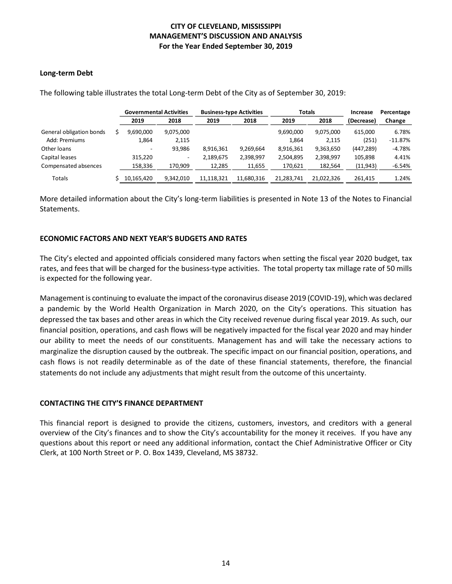## **Long-term Debt**

|                          | <b>Governmental Activities</b> |                          |            | <b>Business-type Activities</b> |            | <b>Totals</b> | Increase   | Percentage |  |
|--------------------------|--------------------------------|--------------------------|------------|---------------------------------|------------|---------------|------------|------------|--|
|                          | 2019                           | 2018                     | 2019       | 2018                            | 2019       | 2018          | (Decrease) | Change     |  |
| General obligation bonds | 9.690.000                      | 9,075,000                |            |                                 | 9,690,000  | 9.075.000     | 615.000    | 6.78%      |  |
| Add: Premiums            | 1,864                          | 2,115                    |            |                                 | 1,864      | 2,115         | (251)      | $-11.87%$  |  |
| Other loans              | ٠                              | 93.986                   | 8,916,361  | 9,269,664                       | 8,916,361  | 9,363,650     | (447, 289) | $-4.78%$   |  |
| Capital leases           | 315,220                        | $\overline{\phantom{0}}$ | 2,189,675  | 2,398,997                       | 2,504,895  | 2,398,997     | 105,898    | 4.41%      |  |
| Compensated absences     | 158,336                        | 170,909                  | 12,285     | 11,655                          | 170,621    | 182,564       | (11,943)   | $-6.54%$   |  |
| Totals                   | 10,165,420                     | 9,342,010                | 11.118.321 | 11,680,316                      | 21,283,741 | 21.022.326    | 261,415    | 1.24%      |  |

The following table illustrates the total Long-term Debt of the City as of September 30, 2019:

More detailed information about the City's long-term liabilities is presented in Note 13 of the Notes to Financial **Statements.** 

## **ECONOMIC FACTORS AND NEXT YEAR'S BUDGETS AND RATES**

The City's elected and appointed officials considered many factors when setting the fiscal year 2020 budget, tax rates, and fees that will be charged for the business-type activities. The total property tax millage rate of 50 mills is expected for the following year.

Management is continuing to evaluate the impact of the coronavirus disease 2019 (COVID-19), which was declared a pandemic by the World Health Organization in March 2020, on the City's operations. This situation has depressed the tax bases and other areas in which the City received revenue during fiscal year 2019. As such, our financial position, operations, and cash flows will be negatively impacted for the fiscal year 2020 and may hinder our ability to meet the needs of our constituents. Management has and will take the necessary actions to marginalize the disruption caused by the outbreak. The specific impact on our financial position, operations, and cash flows is not readily determinable as of the date of these financial statements, therefore, the financial statements do not include any adjustments that might result from the outcome of this uncertainty.

## **CONTACTING THE CITY'S FINANCE DEPARTMENT**

This financial report is designed to provide the citizens, customers, investors, and creditors with a general overview of the City's finances and to show the City's accountability for the money it receives. If you have any questions about this report or need any additional information, contact the Chief Administrative Officer or City Clerk, at 100 North Street or P. O. Box 1439, Cleveland, MS 38732.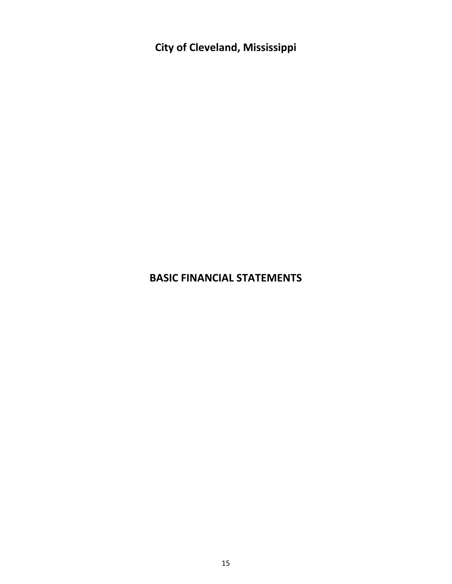**City of Cleveland, Mississippi**

# **BASIC FINANCIAL STATEMENTS**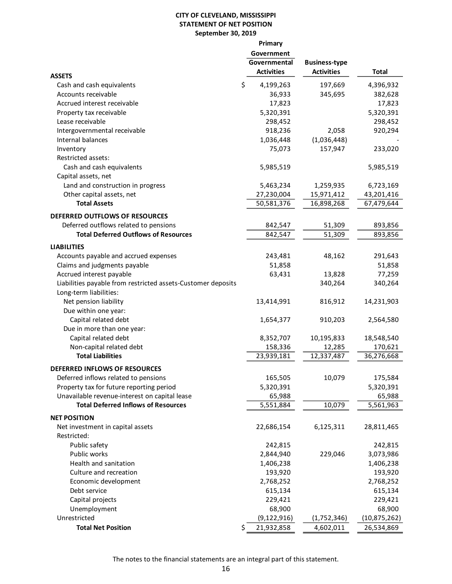### **CITY OF CLEVELAND, MISSISSIPPI STATEMENT OF NET POSITION September 30, 2019**

|                                                              | Primary<br>Government<br>Governmental | <b>Business-type</b> |              |
|--------------------------------------------------------------|---------------------------------------|----------------------|--------------|
| <b>ASSETS</b>                                                | <b>Activities</b>                     | <b>Activities</b>    | <b>Total</b> |
| Cash and cash equivalents                                    | \$<br>4,199,263                       | 197,669              | 4,396,932    |
| Accounts receivable                                          | 36,933                                | 345,695              | 382,628      |
| Accrued interest receivable                                  | 17,823                                |                      | 17,823       |
| Property tax receivable                                      | 5,320,391                             |                      | 5,320,391    |
| Lease receivable                                             | 298,452                               |                      | 298,452      |
| Intergovernmental receivable                                 | 918,236                               | 2,058                | 920,294      |
| Internal balances                                            | 1,036,448                             | (1,036,448)          |              |
| Inventory                                                    | 75,073                                | 157,947              | 233,020      |
| Restricted assets:                                           |                                       |                      |              |
| Cash and cash equivalents                                    | 5,985,519                             |                      | 5,985,519    |
| Capital assets, net                                          |                                       |                      |              |
| Land and construction in progress                            | 5,463,234                             | 1,259,935            | 6,723,169    |
| Other capital assets, net                                    | 27,230,004                            | 15,971,412           | 43,201,416   |
| <b>Total Assets</b>                                          | 50,581,376                            | 16,898,268           | 67,479,644   |
| DEFERRED OUTFLOWS OF RESOURCES                               |                                       |                      |              |
| Deferred outflows related to pensions                        | 842,547                               | 51,309               | 893,856      |
| <b>Total Deferred Outflows of Resources</b>                  | 842,547                               | 51,309               | 893,856      |
| <b>LIABILITIES</b>                                           |                                       |                      |              |
| Accounts payable and accrued expenses                        | 243,481                               | 48,162               | 291,643      |
| Claims and judgments payable                                 | 51,858                                |                      | 51,858       |
| Accrued interest payable                                     | 63,431                                | 13,828               | 77,259       |
| Liabilities payable from restricted assets-Customer deposits |                                       | 340,264              | 340,264      |
| Long-term liabilities:                                       |                                       |                      |              |
| Net pension liability                                        | 13,414,991                            | 816,912              | 14,231,903   |
| Due within one year:                                         |                                       |                      |              |
| Capital related debt                                         | 1,654,377                             | 910,203              | 2,564,580    |
| Due in more than one year:                                   |                                       |                      |              |
| Capital related debt                                         | 8,352,707                             | 10,195,833           | 18,548,540   |
| Non-capital related debt                                     | 158,336                               | 12,285               | 170,621      |
| <b>Total Liabilities</b>                                     | 23,939,181                            | 12,337,487           | 36,276,668   |
| DEFERRED INFLOWS OF RESOURCES                                |                                       |                      |              |
| Deferred inflows related to pensions                         | 165,505                               | 10,079               | 175,584      |
| Property tax for future reporting period                     | 5,320,391                             |                      | 5,320,391    |
| Unavailable revenue-interest on capital lease                | 65,988                                |                      | 65,988       |
| <b>Total Deferred Inflows of Resources</b>                   | 5,551,884                             | 10,079               | 5,561,963    |
| <b>NET POSITION</b>                                          |                                       |                      |              |
| Net investment in capital assets                             | 22,686,154                            | 6,125,311            | 28,811,465   |
| Restricted:                                                  |                                       |                      |              |
| Public safety                                                | 242,815                               |                      | 242,815      |
| Public works                                                 | 2,844,940                             | 229,046              | 3,073,986    |
| Health and sanitation                                        | 1,406,238                             |                      | 1,406,238    |
| Culture and recreation                                       | 193,920                               |                      | 193,920      |
| Economic development                                         | 2,768,252                             |                      | 2,768,252    |
| Debt service                                                 | 615,134                               |                      | 615,134      |
| Capital projects                                             | 229,421                               |                      | 229,421      |
| Unemployment                                                 | 68,900                                |                      | 68,900       |
| Unrestricted                                                 | (9, 122, 916)                         | (1,752,346)          | (10,875,262) |
| <b>Total Net Position</b>                                    | \$<br>21,932,858                      | 4,602,011            | 26,534,869   |

The notes to the financial statements are an integral part of this statement.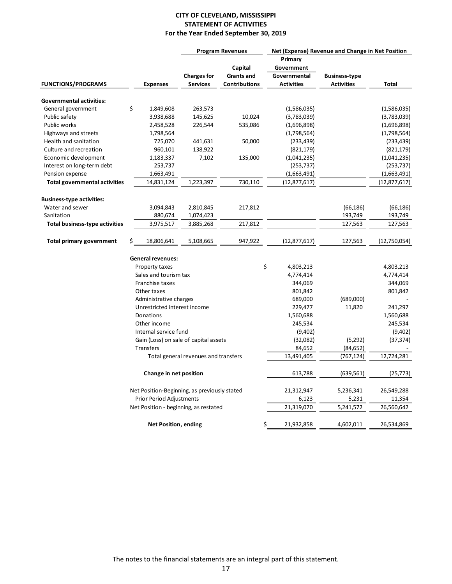## **CITY OF CLEVELAND, MISSISSIPPI STATEMENT OF ACTIVITIES For the Year Ended September 30, 2019**

|                 | <b>Program Revenues</b>                                                                                                                                                                                                                                   |                                                                                                                                                                                                                                                                                   | Net (Expense) Revenue and Change in Net Position                                                                                                                                                                            |                                                                                                                                                                                                                                                                                                          |                                                           |  |  |
|-----------------|-----------------------------------------------------------------------------------------------------------------------------------------------------------------------------------------------------------------------------------------------------------|-----------------------------------------------------------------------------------------------------------------------------------------------------------------------------------------------------------------------------------------------------------------------------------|-----------------------------------------------------------------------------------------------------------------------------------------------------------------------------------------------------------------------------|----------------------------------------------------------------------------------------------------------------------------------------------------------------------------------------------------------------------------------------------------------------------------------------------------------|-----------------------------------------------------------|--|--|
|                 |                                                                                                                                                                                                                                                           |                                                                                                                                                                                                                                                                                   | Primary                                                                                                                                                                                                                     |                                                                                                                                                                                                                                                                                                          |                                                           |  |  |
|                 |                                                                                                                                                                                                                                                           | Capital                                                                                                                                                                                                                                                                           | Government                                                                                                                                                                                                                  |                                                                                                                                                                                                                                                                                                          |                                                           |  |  |
|                 | <b>Charges for</b>                                                                                                                                                                                                                                        | <b>Grants and</b>                                                                                                                                                                                                                                                                 | Governmental                                                                                                                                                                                                                | <b>Business-type</b>                                                                                                                                                                                                                                                                                     |                                                           |  |  |
| <b>Expenses</b> | <b>Services</b>                                                                                                                                                                                                                                           | <b>Contributions</b>                                                                                                                                                                                                                                                              | <b>Activities</b>                                                                                                                                                                                                           | <b>Activities</b>                                                                                                                                                                                                                                                                                        | Total                                                     |  |  |
|                 |                                                                                                                                                                                                                                                           |                                                                                                                                                                                                                                                                                   |                                                                                                                                                                                                                             |                                                                                                                                                                                                                                                                                                          |                                                           |  |  |
|                 |                                                                                                                                                                                                                                                           |                                                                                                                                                                                                                                                                                   |                                                                                                                                                                                                                             |                                                                                                                                                                                                                                                                                                          | (1,586,035)                                               |  |  |
|                 |                                                                                                                                                                                                                                                           |                                                                                                                                                                                                                                                                                   |                                                                                                                                                                                                                             |                                                                                                                                                                                                                                                                                                          | (3,783,039)                                               |  |  |
|                 |                                                                                                                                                                                                                                                           |                                                                                                                                                                                                                                                                                   |                                                                                                                                                                                                                             |                                                                                                                                                                                                                                                                                                          | (1,696,898)                                               |  |  |
|                 |                                                                                                                                                                                                                                                           |                                                                                                                                                                                                                                                                                   |                                                                                                                                                                                                                             |                                                                                                                                                                                                                                                                                                          | (1,798,564)                                               |  |  |
|                 |                                                                                                                                                                                                                                                           |                                                                                                                                                                                                                                                                                   |                                                                                                                                                                                                                             |                                                                                                                                                                                                                                                                                                          | (233, 439)                                                |  |  |
|                 |                                                                                                                                                                                                                                                           |                                                                                                                                                                                                                                                                                   |                                                                                                                                                                                                                             |                                                                                                                                                                                                                                                                                                          | (821, 179)                                                |  |  |
|                 |                                                                                                                                                                                                                                                           |                                                                                                                                                                                                                                                                                   |                                                                                                                                                                                                                             |                                                                                                                                                                                                                                                                                                          | (1,041,235)                                               |  |  |
|                 |                                                                                                                                                                                                                                                           |                                                                                                                                                                                                                                                                                   |                                                                                                                                                                                                                             |                                                                                                                                                                                                                                                                                                          | (253, 737)                                                |  |  |
|                 |                                                                                                                                                                                                                                                           |                                                                                                                                                                                                                                                                                   |                                                                                                                                                                                                                             |                                                                                                                                                                                                                                                                                                          | (1,663,491)                                               |  |  |
|                 |                                                                                                                                                                                                                                                           |                                                                                                                                                                                                                                                                                   |                                                                                                                                                                                                                             |                                                                                                                                                                                                                                                                                                          | (12, 877, 617)                                            |  |  |
|                 |                                                                                                                                                                                                                                                           |                                                                                                                                                                                                                                                                                   |                                                                                                                                                                                                                             |                                                                                                                                                                                                                                                                                                          |                                                           |  |  |
|                 |                                                                                                                                                                                                                                                           |                                                                                                                                                                                                                                                                                   |                                                                                                                                                                                                                             |                                                                                                                                                                                                                                                                                                          |                                                           |  |  |
| 3,094,843       | 2,810,845                                                                                                                                                                                                                                                 | 217,812                                                                                                                                                                                                                                                                           |                                                                                                                                                                                                                             | (66, 186)                                                                                                                                                                                                                                                                                                | (66, 186)                                                 |  |  |
| 880,674         | 1,074,423                                                                                                                                                                                                                                                 |                                                                                                                                                                                                                                                                                   |                                                                                                                                                                                                                             | 193,749                                                                                                                                                                                                                                                                                                  | 193,749                                                   |  |  |
| 3,975,517       | 3,885,268                                                                                                                                                                                                                                                 | 217,812                                                                                                                                                                                                                                                                           |                                                                                                                                                                                                                             | 127,563                                                                                                                                                                                                                                                                                                  | 127,563                                                   |  |  |
| Ś<br>18,806,641 | 5,108,665                                                                                                                                                                                                                                                 | 947,922                                                                                                                                                                                                                                                                           | (12, 877, 617)                                                                                                                                                                                                              | 127,563                                                                                                                                                                                                                                                                                                  | (12,750,054)                                              |  |  |
|                 |                                                                                                                                                                                                                                                           |                                                                                                                                                                                                                                                                                   |                                                                                                                                                                                                                             |                                                                                                                                                                                                                                                                                                          |                                                           |  |  |
|                 |                                                                                                                                                                                                                                                           |                                                                                                                                                                                                                                                                                   |                                                                                                                                                                                                                             |                                                                                                                                                                                                                                                                                                          | 4,803,213                                                 |  |  |
|                 |                                                                                                                                                                                                                                                           |                                                                                                                                                                                                                                                                                   |                                                                                                                                                                                                                             |                                                                                                                                                                                                                                                                                                          | 4,774,414                                                 |  |  |
|                 |                                                                                                                                                                                                                                                           |                                                                                                                                                                                                                                                                                   |                                                                                                                                                                                                                             |                                                                                                                                                                                                                                                                                                          | 344,069                                                   |  |  |
|                 |                                                                                                                                                                                                                                                           |                                                                                                                                                                                                                                                                                   |                                                                                                                                                                                                                             |                                                                                                                                                                                                                                                                                                          | 801,842                                                   |  |  |
|                 |                                                                                                                                                                                                                                                           |                                                                                                                                                                                                                                                                                   |                                                                                                                                                                                                                             |                                                                                                                                                                                                                                                                                                          |                                                           |  |  |
|                 |                                                                                                                                                                                                                                                           |                                                                                                                                                                                                                                                                                   |                                                                                                                                                                                                                             |                                                                                                                                                                                                                                                                                                          | 241,297                                                   |  |  |
|                 |                                                                                                                                                                                                                                                           |                                                                                                                                                                                                                                                                                   |                                                                                                                                                                                                                             |                                                                                                                                                                                                                                                                                                          | 1,560,688                                                 |  |  |
|                 |                                                                                                                                                                                                                                                           |                                                                                                                                                                                                                                                                                   |                                                                                                                                                                                                                             |                                                                                                                                                                                                                                                                                                          | 245,534                                                   |  |  |
|                 |                                                                                                                                                                                                                                                           |                                                                                                                                                                                                                                                                                   |                                                                                                                                                                                                                             |                                                                                                                                                                                                                                                                                                          | (9,402)                                                   |  |  |
|                 |                                                                                                                                                                                                                                                           |                                                                                                                                                                                                                                                                                   |                                                                                                                                                                                                                             |                                                                                                                                                                                                                                                                                                          | (37, 374)                                                 |  |  |
|                 |                                                                                                                                                                                                                                                           |                                                                                                                                                                                                                                                                                   |                                                                                                                                                                                                                             |                                                                                                                                                                                                                                                                                                          |                                                           |  |  |
|                 |                                                                                                                                                                                                                                                           |                                                                                                                                                                                                                                                                                   | 13,491,405                                                                                                                                                                                                                  | (767, 124)                                                                                                                                                                                                                                                                                               | 12,724,281                                                |  |  |
|                 |                                                                                                                                                                                                                                                           |                                                                                                                                                                                                                                                                                   |                                                                                                                                                                                                                             |                                                                                                                                                                                                                                                                                                          |                                                           |  |  |
|                 |                                                                                                                                                                                                                                                           |                                                                                                                                                                                                                                                                                   |                                                                                                                                                                                                                             |                                                                                                                                                                                                                                                                                                          | (25, 773)                                                 |  |  |
|                 |                                                                                                                                                                                                                                                           |                                                                                                                                                                                                                                                                                   | 21,312,947                                                                                                                                                                                                                  | 5,236,341                                                                                                                                                                                                                                                                                                | 26,549,288                                                |  |  |
|                 |                                                                                                                                                                                                                                                           |                                                                                                                                                                                                                                                                                   | 6,123                                                                                                                                                                                                                       | 5,231                                                                                                                                                                                                                                                                                                    | 11,354                                                    |  |  |
|                 |                                                                                                                                                                                                                                                           |                                                                                                                                                                                                                                                                                   | 21,319,070                                                                                                                                                                                                                  | 5,241,572                                                                                                                                                                                                                                                                                                | 26,560,642                                                |  |  |
|                 |                                                                                                                                                                                                                                                           |                                                                                                                                                                                                                                                                                   | 21,932,858                                                                                                                                                                                                                  | 4,602,011                                                                                                                                                                                                                                                                                                | 26,534,869                                                |  |  |
|                 | \$<br>1,849,608<br>3,938,688<br>2,458,528<br>1,798,564<br>725,070<br>960,101<br>1,183,337<br>253,737<br>1,663,491<br>14,831,124<br><b>General revenues:</b><br>Property taxes<br>Franchise taxes<br>Other taxes<br>Donations<br>Other income<br>Transfers | 263,573<br>145,625<br>226,544<br>441,631<br>138,922<br>7,102<br>1,223,397<br>Sales and tourism tax<br>Administrative charges<br>Unrestricted interest income<br>Internal service fund<br>Change in net position<br><b>Prior Period Adjustments</b><br><b>Net Position, ending</b> | 10,024<br>535,086<br>50,000<br>135,000<br>730,110<br>Gain (Loss) on sale of capital assets<br>Total general revenues and transfers<br>Net Position-Beginning, as previously stated<br>Net Position - beginning, as restated | (1,586,035)<br>(3,783,039)<br>(1,696,898)<br>(1,798,564)<br>(233, 439)<br>(821, 179)<br>(1,041,235)<br>(253, 737)<br>(1,663,491)<br>(12, 877, 617)<br>\$<br>4,803,213<br>4,774,414<br>344,069<br>801,842<br>689,000<br>229,477<br>1,560,688<br>245,534<br>(9,402)<br>(32,082)<br>84,652<br>613,788<br>\$ | (689,000)<br>11,820<br>(5,292)<br>(84, 652)<br>(639, 561) |  |  |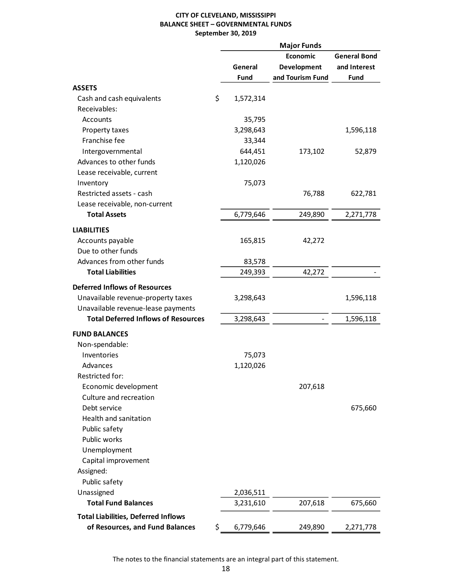### **CITY OF CLEVELAND, MISSISSIPPI BALANCE SHEET – GOVERNMENTAL FUNDS September 30, 2019**

|                                            |                 | <b>Major Funds</b> |                     |
|--------------------------------------------|-----------------|--------------------|---------------------|
|                                            |                 | <b>Economic</b>    | <b>General Bond</b> |
|                                            | General         | Development        | and Interest        |
|                                            | <b>Fund</b>     | and Tourism Fund   | Fund                |
| <b>ASSETS</b>                              |                 |                    |                     |
| Cash and cash equivalents                  | \$<br>1,572,314 |                    |                     |
| Receivables:                               |                 |                    |                     |
| Accounts                                   | 35,795          |                    |                     |
| Property taxes                             | 3,298,643       |                    | 1,596,118           |
| Franchise fee                              | 33,344          |                    |                     |
| Intergovernmental                          | 644,451         | 173,102            | 52,879              |
| Advances to other funds                    | 1,120,026       |                    |                     |
| Lease receivable, current                  |                 |                    |                     |
| Inventory                                  | 75,073          |                    |                     |
| Restricted assets - cash                   |                 | 76,788             | 622,781             |
| Lease receivable, non-current              |                 |                    |                     |
| <b>Total Assets</b>                        | 6,779,646       | 249,890            | 2,271,778           |
|                                            |                 |                    |                     |
| <b>LIABILITIES</b>                         |                 |                    |                     |
| Accounts payable                           | 165,815         | 42,272             |                     |
| Due to other funds                         |                 |                    |                     |
| Advances from other funds                  | 83,578          |                    |                     |
| <b>Total Liabilities</b>                   | 249,393         | 42,272             |                     |
| <b>Deferred Inflows of Resources</b>       |                 |                    |                     |
| Unavailable revenue-property taxes         | 3,298,643       |                    | 1,596,118           |
| Unavailable revenue-lease payments         |                 |                    |                     |
| <b>Total Deferred Inflows of Resources</b> | 3,298,643       |                    | 1,596,118           |
| <b>FUND BALANCES</b>                       |                 |                    |                     |
| Non-spendable:                             |                 |                    |                     |
| Inventories                                | 75,073          |                    |                     |
| Advances                                   | 1,120,026       |                    |                     |
| Restricted for:                            |                 |                    |                     |
| Economic development                       |                 | 207,618            |                     |
| Culture and recreation                     |                 |                    |                     |
| Debt service                               |                 |                    | 675,660             |
| Health and sanitation                      |                 |                    |                     |
| Public safety                              |                 |                    |                     |
| Public works                               |                 |                    |                     |
| Unemployment                               |                 |                    |                     |
| Capital improvement                        |                 |                    |                     |
| Assigned:                                  |                 |                    |                     |
| Public safety                              |                 |                    |                     |
| Unassigned                                 | 2,036,511       |                    |                     |
| <b>Total Fund Balances</b>                 | 3,231,610       | 207,618            | 675,660             |
|                                            |                 |                    |                     |
| <b>Total Liabilities, Deferred Inflows</b> |                 |                    |                     |
| of Resources, and Fund Balances            | \$<br>6,779,646 | 249,890            | 2,271,778           |

The notes to the financial statements are an integral part of this statement.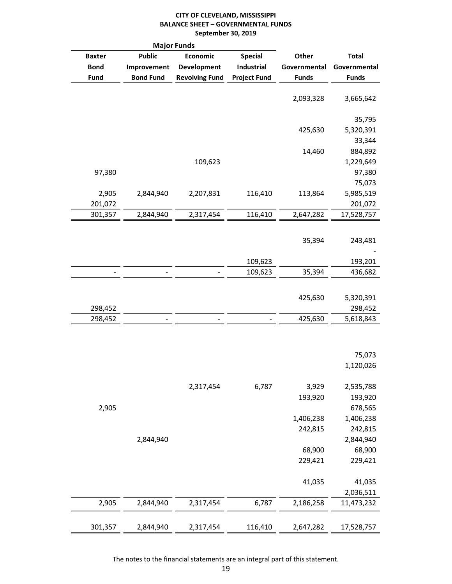### **CITY OF CLEVELAND, MISSISSIPPI BALANCE SHEET – GOVERNMENTAL FUNDS September 30, 2019**

|               | <b>Major Funds</b> |                       |                     |              |              |
|---------------|--------------------|-----------------------|---------------------|--------------|--------------|
| <b>Baxter</b> | <b>Public</b>      | Economic              | <b>Special</b>      | Other        | <b>Total</b> |
| <b>Bond</b>   | Improvement        | <b>Development</b>    | <b>Industrial</b>   | Governmental | Governmental |
| <b>Fund</b>   | <b>Bond Fund</b>   | <b>Revolving Fund</b> | <b>Project Fund</b> | <b>Funds</b> | <b>Funds</b> |
|               |                    |                       |                     | 2,093,328    | 3,665,642    |
|               |                    |                       |                     |              | 35,795       |
|               |                    |                       |                     | 425,630      | 5,320,391    |
|               |                    |                       |                     |              | 33,344       |
|               |                    |                       |                     | 14,460       | 884,892      |
|               |                    | 109,623               |                     |              | 1,229,649    |
| 97,380        |                    |                       |                     |              | 97,380       |
|               |                    |                       |                     |              | 75,073       |
| 2,905         | 2,844,940          | 2,207,831             | 116,410             | 113,864      | 5,985,519    |
| 201,072       |                    |                       |                     |              | 201,072      |
| 301,357       | 2,844,940          | 2,317,454             | 116,410             | 2,647,282    | 17,528,757   |
|               |                    |                       |                     |              |              |
|               |                    |                       |                     | 35,394       | 243,481      |
|               |                    |                       |                     |              |              |
|               |                    |                       | 109,623             |              | 193,201      |
|               |                    |                       | 109,623             | 35,394       | 436,682      |
|               |                    |                       |                     |              |              |
|               |                    |                       |                     |              |              |
|               |                    |                       |                     | 425,630      | 5,320,391    |
| 298,452       |                    |                       |                     |              | 298,452      |
| 298,452       |                    |                       |                     | 425,630      | 5,618,843    |
|               |                    |                       |                     |              |              |
|               |                    |                       |                     |              | 75,073       |
|               |                    |                       |                     |              | 1,120,026    |
|               |                    |                       |                     |              |              |
|               |                    | 2,317,454             | 6,787               | 3,929        | 2,535,788    |
|               |                    |                       |                     | 193,920      | 193,920      |
| 2,905         |                    |                       |                     |              | 678,565      |
|               |                    |                       |                     | 1,406,238    | 1,406,238    |
|               |                    |                       |                     | 242,815      | 242,815      |
|               | 2,844,940          |                       |                     |              | 2,844,940    |
|               |                    |                       |                     | 68,900       | 68,900       |
|               |                    |                       |                     | 229,421      | 229,421      |
|               |                    |                       |                     |              |              |
|               |                    |                       |                     | 41,035       | 41,035       |
|               |                    |                       |                     |              | 2,036,511    |
| 2,905         | 2,844,940          | 2,317,454             | 6,787               | 2,186,258    | 11,473,232   |
|               |                    |                       |                     |              |              |
| 301,357       | 2,844,940          | 2,317,454             | 116,410             | 2,647,282    | 17,528,757   |

The notes to the financial statements are an integral part of this statement.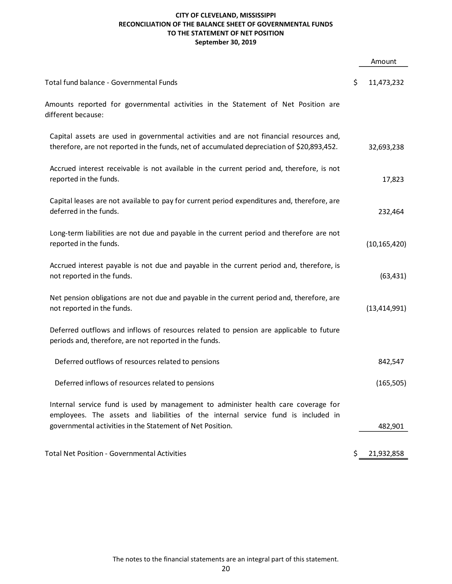## **CITY OF CLEVELAND, MISSISSIPPI RECONCILIATION OF THE BALANCE SHEET OF GOVERNMENTAL FUNDS TO THE STATEMENT OF NET POSITION September 30, 2019**

| Amount         |
|----------------|
| 11,473,232     |
|                |
| 32,693,238     |
| 17,823         |
| 232,464        |
| (10, 165, 420) |
| (63, 431)      |
| (13, 414, 991) |
|                |
| 842,547        |
| (165, 505)     |
| 482,901        |
| 21,932,858     |
| \$<br>\$.      |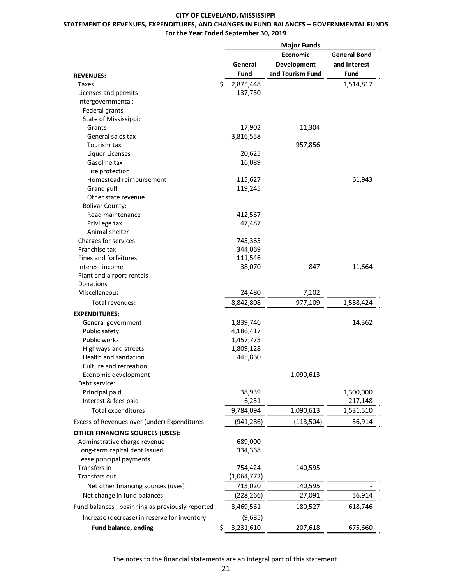#### **CITY OF CLEVELAND, MISSISSIPPI STATEMENT OF REVENUES, EXPENDITURES, AND CHANGES IN FUND BALANCES – GOVERNMENTAL FUNDS For the Year Ended September 30, 2019**

|                                                 |                 | <b>Major Funds</b> |                     |
|-------------------------------------------------|-----------------|--------------------|---------------------|
|                                                 |                 | <b>Economic</b>    | <b>General Bond</b> |
|                                                 | General         | Development        | and Interest        |
| <b>REVENUES:</b>                                | Fund            | and Tourism Fund   | Fund                |
| <b>Taxes</b>                                    | \$<br>2,875,448 |                    | 1,514,817           |
| Licenses and permits                            | 137,730         |                    |                     |
| Intergovernmental:                              |                 |                    |                     |
| Federal grants                                  |                 |                    |                     |
| State of Mississippi:                           |                 |                    |                     |
| Grants                                          | 17,902          | 11,304             |                     |
| General sales tax                               | 3,816,558       |                    |                     |
| Tourism tax                                     |                 | 957,856            |                     |
| Liquor Licenses                                 | 20,625          |                    |                     |
| Gasoline tax                                    | 16,089          |                    |                     |
| Fire protection                                 |                 |                    |                     |
| Homestead reimbursement                         | 115,627         |                    | 61,943              |
| Grand gulf                                      | 119,245         |                    |                     |
| Other state revenue                             |                 |                    |                     |
| <b>Bolivar County:</b>                          |                 |                    |                     |
| Road maintenance                                | 412,567         |                    |                     |
| Privilege tax                                   | 47,487          |                    |                     |
| Animal shelter                                  |                 |                    |                     |
| Charges for services                            | 745,365         |                    |                     |
| Franchise tax                                   | 344,069         |                    |                     |
| Fines and forfeitures                           | 111,546         |                    |                     |
| Interest income                                 | 38,070          | 847                | 11,664              |
| Plant and airport rentals                       |                 |                    |                     |
| Donations                                       |                 |                    |                     |
| Miscellaneous                                   | 24,480          | 7,102              |                     |
| Total revenues:                                 | 8,842,808       | 977,109            | 1,588,424           |
| <b>EXPENDITURES:</b>                            |                 |                    |                     |
| General government                              | 1,839,746       |                    | 14,362              |
| Public safety                                   | 4,186,417       |                    |                     |
| Public works                                    | 1,457,773       |                    |                     |
| Highways and streets                            | 1,809,128       |                    |                     |
| Health and sanitation                           | 445,860         |                    |                     |
| Culture and recreation                          |                 |                    |                     |
| Economic development                            |                 | 1,090,613          |                     |
| Debt service:                                   |                 |                    |                     |
| Principal paid                                  | 38,939          |                    | 1,300,000           |
| Interest & fees paid                            | 6,231           |                    | 217,148             |
| <b>Total expenditures</b>                       | 9,784,094       | 1,090,613          | 1,531,510           |
| Excess of Revenues over (under) Expenditures    | (941, 286)      | (113,504)          | 56,914              |
| <b>OTHER FINANCING SOURCES (USES):</b>          |                 |                    |                     |
| Adminstrative charge revenue                    | 689,000         |                    |                     |
| Long-term capital debt issued                   | 334,368         |                    |                     |
| Lease principal payments                        |                 |                    |                     |
| Transfers in                                    | 754,424         | 140,595            |                     |
| Transfers out                                   | (1,064,772)     |                    |                     |
| Net other financing sources (uses)              | 713,020         | 140,595            |                     |
| Net change in fund balances                     | (228, 266)      | 27,091             | 56,914              |
| Fund balances, beginning as previously reported | 3,469,561       | 180,527            | 618,746             |
| Increase (decrease) in reserve for inventory    | (9,685)         |                    |                     |
|                                                 |                 |                    |                     |
| Fund balance, ending                            | \$<br>3,231,610 | 207,618            | 675,660             |

The notes to the financial statements are an integral part of this statement.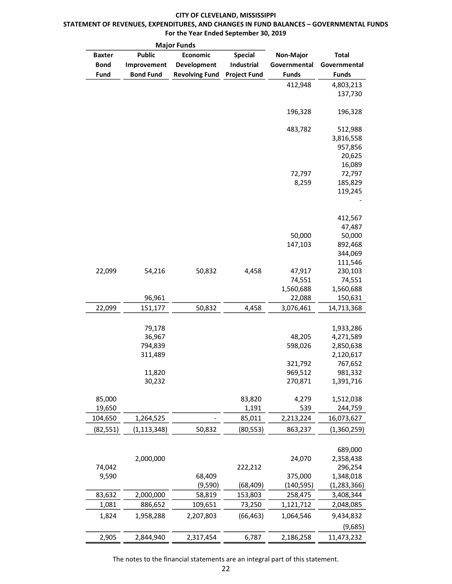## **CITY OF CLEVELAND, MISSISSIPPI STATEMENT OF REVENUES, EXPENDITURES, AND CHANGES IN FUND BALANCES – GOVERNMENTAL FUNDS For the Year Ended September 30, 2019**

|               |                  | <b>Major Funds</b>    |                     |              |               |
|---------------|------------------|-----------------------|---------------------|--------------|---------------|
| <b>Baxter</b> | <b>Public</b>    | Economic              | <b>Special</b>      | Non-Major    | <b>Total</b>  |
| <b>Bond</b>   | Improvement      | Development           | Industrial          | Governmental | Governmental  |
| Fund          | <b>Bond Fund</b> | <b>Revolving Fund</b> | <b>Project Fund</b> | <b>Funds</b> | <b>Funds</b>  |
|               |                  |                       |                     | 412,948      | 4,803,213     |
|               |                  |                       |                     |              | 137,730       |
|               |                  |                       |                     | 196,328      | 196,328       |
|               |                  |                       |                     | 483,782      | 512,988       |
|               |                  |                       |                     |              | 3,816,558     |
|               |                  |                       |                     |              | 957,856       |
|               |                  |                       |                     |              | 20,625        |
|               |                  |                       |                     |              | 16,089        |
|               |                  |                       |                     | 72,797       | 72,797        |
|               |                  |                       |                     | 8,259        | 185,829       |
|               |                  |                       |                     |              | 119,245       |
|               |                  |                       |                     |              | 412,567       |
|               |                  |                       |                     |              | 47,487        |
|               |                  |                       |                     | 50,000       | 50,000        |
|               |                  |                       |                     | 147,103      | 892,468       |
|               |                  |                       |                     |              | 344,069       |
|               |                  |                       |                     |              | 111,546       |
| 22,099        | 54,216           | 50,832                | 4,458               | 47,917       | 230,103       |
|               |                  |                       |                     | 74,551       | 74,551        |
|               |                  |                       |                     | 1,560,688    | 1,560,688     |
|               | 96,961           |                       |                     | 22,088       | 150,631       |
| 22,099        | 151,177          | 50,832                | 4,458               | 3,076,461    | 14,713,368    |
|               | 79,178           |                       |                     |              | 1,933,286     |
|               | 36,967           |                       |                     | 48,205       | 4,271,589     |
|               | 794,839          |                       |                     | 598,026      | 2,850,638     |
|               | 311,489          |                       |                     |              | 2,120,617     |
|               |                  |                       |                     | 321,792      | 767,652       |
|               | 11,820           |                       |                     | 969,512      | 981,332       |
|               | 30,232           |                       |                     | 270,871      | 1,391,716     |
| 85,000        |                  |                       | 83,820              | 4,279        | 1,512,038     |
| 19,650        |                  |                       | 1,191               | 539          | 244,759       |
| 104,650       | 1,264,525        |                       | 85,011              | 2,213,224    | 16,073,627    |
| (82,551)      | (1, 113, 348)    | 50,832                | (80, 553)           | 863,237      | (1,360,259)   |
|               |                  |                       |                     |              | 689,000       |
|               | 2,000,000        |                       |                     | 24,070       | 2,358,438     |
| 74,042        |                  |                       | 222,212             |              | 296,254       |
| 9,590         |                  | 68,409                |                     | 375,000      | 1,348,018     |
|               |                  | (9,590)               | (68, 409)           | (140, 595)   | (1, 283, 366) |
| 83,632        | 2,000,000        | 58,819                | 153,803             | 258,475      | 3,408,344     |
| 1,081         | 886,652          | 109,651               | 73,250              | 1,121,712    | 2,048,085     |
| 1,824         | 1,958,288        | 2,207,803             | (66, 463)           | 1,064,546    | 9,434,832     |
|               |                  |                       |                     |              | (9,685)       |
| 2,905         | 2,844,940        | 2,317,454             | 6,787               | 2,186,258    | 11,473,232    |

The notes to the financial statements are an integral part of this statement.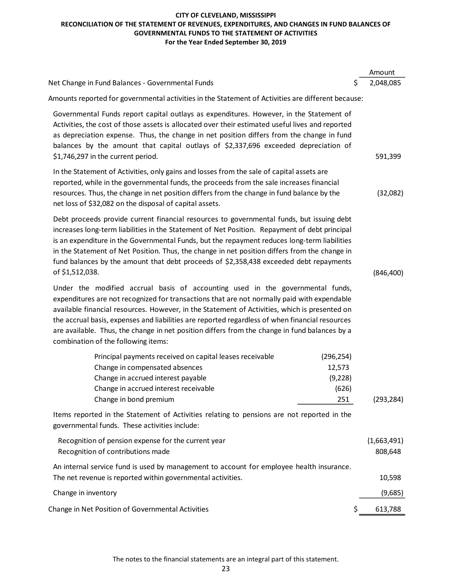## **CITY OF CLEVELAND, MISSISSIPPI RECONCILIATION OF THE STATEMENT OF REVENUES, EXPENDITURES, AND CHANGES IN FUND BALANCES OF GOVERNMENTAL FUNDS TO THE STATEMENT OF ACTIVITIES For the Year Ended September 30, 2019**

|                                                                                                                                                                                                                                                                                                                                                                                                                                                                                                                           |    | Amount                 |
|---------------------------------------------------------------------------------------------------------------------------------------------------------------------------------------------------------------------------------------------------------------------------------------------------------------------------------------------------------------------------------------------------------------------------------------------------------------------------------------------------------------------------|----|------------------------|
| Net Change in Fund Balances - Governmental Funds                                                                                                                                                                                                                                                                                                                                                                                                                                                                          | Ś  | 2,048,085              |
| Amounts reported for governmental activities in the Statement of Activities are different because:                                                                                                                                                                                                                                                                                                                                                                                                                        |    |                        |
| Governmental Funds report capital outlays as expenditures. However, in the Statement of<br>Activities, the cost of those assets is allocated over their estimated useful lives and reported<br>as depreciation expense. Thus, the change in net position differs from the change in fund<br>balances by the amount that capital outlays of \$2,337,696 exceeded depreciation of<br>\$1,746,297 in the current period.                                                                                                     |    | 591,399                |
| In the Statement of Activities, only gains and losses from the sale of capital assets are<br>reported, while in the governmental funds, the proceeds from the sale increases financial<br>resources. Thus, the change in net position differs from the change in fund balance by the<br>net loss of \$32,082 on the disposal of capital assets.                                                                                                                                                                           |    | (32,082)               |
| Debt proceeds provide current financial resources to governmental funds, but issuing debt<br>increases long-term liabilities in the Statement of Net Position. Repayment of debt principal<br>is an expenditure in the Governmental Funds, but the repayment reduces long-term liabilities<br>in the Statement of Net Position. Thus, the change in net position differs from the change in<br>fund balances by the amount that debt proceeds of \$2,358,438 exceeded debt repayments<br>of \$1,512,038.                  |    | (846, 400)             |
| Under the modified accrual basis of accounting used in the governmental funds,<br>expenditures are not recognized for transactions that are not normally paid with expendable<br>available financial resources. However, in the Statement of Activities, which is presented on<br>the accrual basis, expenses and liabilities are reported regardless of when financial resources<br>are available. Thus, the change in net position differs from the change in fund balances by a<br>combination of the following items: |    |                        |
| Principal payments received on capital leases receivable<br>(296, 254)<br>Change in compensated absences<br>12,573<br>Change in accrued interest payable<br>(9,228)<br>Change in accrued interest receivable<br>(626)<br>Change in bond premium<br>251                                                                                                                                                                                                                                                                    |    | (293, 284)             |
| Items reported in the Statement of Activities relating to pensions are not reported in the<br>governmental funds. These activities include:                                                                                                                                                                                                                                                                                                                                                                               |    |                        |
| Recognition of pension expense for the current year<br>Recognition of contributions made                                                                                                                                                                                                                                                                                                                                                                                                                                  |    | (1,663,491)<br>808,648 |
| An internal service fund is used by management to account for employee health insurance.<br>The net revenue is reported within governmental activities.                                                                                                                                                                                                                                                                                                                                                                   |    | 10,598                 |
| Change in inventory                                                                                                                                                                                                                                                                                                                                                                                                                                                                                                       |    | (9,685)                |
| Change in Net Position of Governmental Activities                                                                                                                                                                                                                                                                                                                                                                                                                                                                         | \$ | 613,788                |
|                                                                                                                                                                                                                                                                                                                                                                                                                                                                                                                           |    |                        |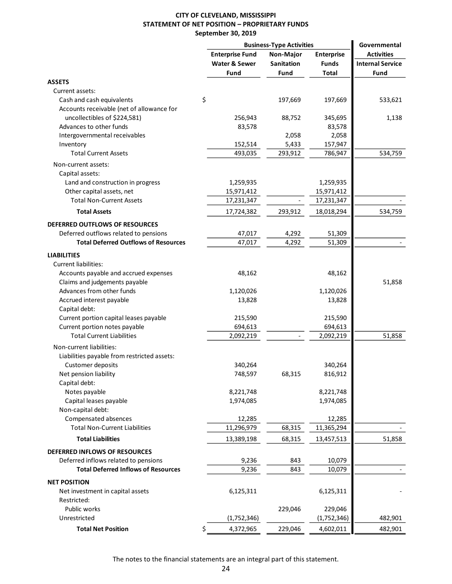### **CITY OF CLEVELAND, MISSISSIPPI STATEMENT OF NET POSITION – PROPRIETARY FUNDS September 30, 2019**

|                                                                                      |                          | <b>Business-Type Activities</b> |              |                         |
|--------------------------------------------------------------------------------------|--------------------------|---------------------------------|--------------|-------------------------|
|                                                                                      | <b>Enterprise Fund</b>   | Non-Major<br>Enterprise         |              |                         |
|                                                                                      | <b>Water &amp; Sewer</b> | Sanitation                      | <b>Funds</b> | <b>Internal Service</b> |
|                                                                                      | Fund                     | Fund                            | <b>Total</b> | Fund                    |
| <b>ASSETS</b>                                                                        |                          |                                 |              |                         |
| Current assets:                                                                      |                          |                                 |              |                         |
| Cash and cash equivalents                                                            | \$                       | 197,669                         | 197,669      | 533,621                 |
| Accounts receivable (net of allowance for                                            |                          |                                 |              |                         |
| uncollectibles of \$224,581)                                                         | 256,943                  | 88,752                          | 345,695      | 1,138                   |
| Advances to other funds                                                              | 83,578                   |                                 | 83,578       |                         |
| Intergovernmental receivables                                                        |                          | 2,058                           | 2,058        |                         |
| Inventory                                                                            | 152,514                  | 5,433                           | 157,947      |                         |
| <b>Total Current Assets</b>                                                          | 493,035                  | 293,912                         | 786,947      | 534,759                 |
| Non-current assets:                                                                  |                          |                                 |              |                         |
| Capital assets:                                                                      |                          |                                 |              |                         |
| Land and construction in progress                                                    | 1,259,935                |                                 | 1,259,935    |                         |
| Other capital assets, net                                                            | 15,971,412               |                                 | 15,971,412   |                         |
| <b>Total Non-Current Assets</b>                                                      | 17,231,347               |                                 | 17,231,347   |                         |
| <b>Total Assets</b>                                                                  |                          | 293,912                         | 18,018,294   | 534,759                 |
|                                                                                      | 17,724,382               |                                 |              |                         |
| <b>DEFERRED OUTFLOWS OF RESOURCES</b>                                                |                          |                                 |              |                         |
| Deferred outflows related to pensions<br><b>Total Deferred Outflows of Resources</b> | 47,017                   | 4,292                           | 51,309       |                         |
|                                                                                      | 47,017                   | 4,292                           | 51,309       |                         |
| <b>LIABILITIES</b>                                                                   |                          |                                 |              |                         |
| <b>Current liabilities:</b>                                                          |                          |                                 |              |                         |
| Accounts payable and accrued expenses                                                | 48,162                   |                                 | 48,162       |                         |
| Claims and judgements payable                                                        |                          |                                 |              | 51,858                  |
| Advances from other funds                                                            | 1,120,026                |                                 | 1,120,026    |                         |
| Accrued interest payable                                                             | 13,828                   |                                 | 13,828       |                         |
| Capital debt:                                                                        |                          |                                 |              |                         |
| Current portion capital leases payable                                               | 215,590                  |                                 | 215,590      |                         |
| Current portion notes payable                                                        | 694,613                  |                                 | 694,613      |                         |
| <b>Total Current Liabilities</b>                                                     | 2,092,219                |                                 | 2,092,219    | 51,858                  |
| Non-current liabilities:                                                             |                          |                                 |              |                         |
| Liabilities payable from restricted assets:                                          |                          |                                 |              |                         |
| Customer deposits                                                                    | 340,264                  |                                 | 340,264      |                         |
| Net pension liability                                                                | 748,597                  | 68,315                          | 816,912      |                         |
| Capital debt:                                                                        |                          |                                 |              |                         |
| Notes payable                                                                        | 8,221,748                |                                 | 8,221,748    |                         |
| Capital leases payable                                                               | 1,974,085                |                                 | 1,974,085    |                         |
| Non-capital debt:                                                                    |                          |                                 |              |                         |
| Compensated absences                                                                 | 12,285                   |                                 | 12,285       |                         |
| <b>Total Non-Current Liabilities</b>                                                 | 11,296,979               | 68,315                          | 11,365,294   |                         |
| <b>Total Liabilities</b>                                                             | 13,389,198               | 68,315                          | 13,457,513   | 51,858                  |
| <b>DEFERRED INFLOWS OF RESOURCES</b>                                                 |                          |                                 |              |                         |
| Deferred inflows related to pensions                                                 | 9,236                    | 843                             | 10,079       |                         |
| <b>Total Deferred Inflows of Resources</b>                                           | 9,236                    | 843                             | 10,079       |                         |
| <b>NET POSITION</b>                                                                  |                          |                                 |              |                         |
| Net investment in capital assets                                                     | 6,125,311                |                                 | 6,125,311    |                         |
| Restricted:                                                                          |                          |                                 |              |                         |
| Public works                                                                         |                          | 229,046                         | 229,046      |                         |
| Unrestricted                                                                         | (1,752,346)              |                                 | (1,752,346)  | 482,901                 |
| <b>Total Net Position</b>                                                            | \$<br>4,372,965          | 229,046                         | 4,602,011    | 482,901                 |
|                                                                                      |                          |                                 |              |                         |

The notes to the financial statements are an integral part of this statement.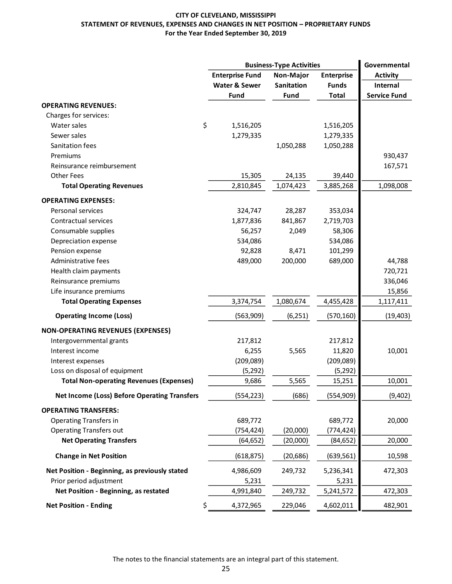#### **CITY OF CLEVELAND, MISSISSIPPI STATEMENT OF REVENUES, EXPENSES AND CHANGES IN NET POSITION – PROPRIETARY FUNDS For the Year Ended September 30, 2019**

|                                                     | <b>Business-Type Activities</b> |                   |                   | Governmental        |
|-----------------------------------------------------|---------------------------------|-------------------|-------------------|---------------------|
|                                                     | <b>Enterprise Fund</b>          | Non-Major         | <b>Enterprise</b> | <b>Activity</b>     |
|                                                     | <b>Water &amp; Sewer</b>        | <b>Sanitation</b> | <b>Funds</b>      | Internal            |
|                                                     | Fund                            | <b>Fund</b>       | <b>Total</b>      | <b>Service Fund</b> |
| <b>OPERATING REVENUES:</b>                          |                                 |                   |                   |                     |
| Charges for services:                               |                                 |                   |                   |                     |
| \$<br>Water sales                                   | 1,516,205                       |                   | 1,516,205         |                     |
| Sewer sales                                         | 1,279,335                       |                   | 1,279,335         |                     |
| Sanitation fees                                     |                                 | 1,050,288         | 1,050,288         |                     |
| Premiums                                            |                                 |                   |                   | 930,437             |
| Reinsurance reimbursement                           |                                 |                   |                   | 167,571             |
| <b>Other Fees</b>                                   | 15,305                          | 24,135            | 39,440            |                     |
| <b>Total Operating Revenues</b>                     | 2,810,845                       | 1,074,423         | 3,885,268         | 1,098,008           |
| <b>OPERATING EXPENSES:</b>                          |                                 |                   |                   |                     |
| Personal services                                   | 324,747                         | 28,287            | 353,034           |                     |
| Contractual services                                | 1,877,836                       | 841,867           | 2,719,703         |                     |
| Consumable supplies                                 | 56,257                          | 2,049             | 58,306            |                     |
| Depreciation expense                                | 534,086                         |                   | 534,086           |                     |
| Pension expense                                     | 92,828                          | 8,471             | 101,299           |                     |
| Administrative fees                                 | 489,000                         | 200,000           | 689,000           | 44,788              |
| Health claim payments                               |                                 |                   |                   | 720,721             |
| Reinsurance premiums                                |                                 |                   |                   | 336,046             |
| Life insurance premiums                             |                                 |                   |                   | 15,856              |
| <b>Total Operating Expenses</b>                     | 3,374,754                       | 1,080,674         | 4,455,428         | 1,117,411           |
| <b>Operating Income (Loss)</b>                      | (563,909)                       | (6, 251)          | (570, 160)        | (19, 403)           |
| <b>NON-OPERATING REVENUES (EXPENSES)</b>            |                                 |                   |                   |                     |
| Intergovernmental grants                            | 217,812                         |                   | 217,812           |                     |
| Interest income                                     | 6,255                           | 5,565             | 11,820            | 10,001              |
| Interest expenses                                   | (209, 089)                      |                   | (209, 089)        |                     |
| Loss on disposal of equipment                       | (5, 292)                        |                   | (5, 292)          |                     |
| <b>Total Non-operating Revenues (Expenses)</b>      | 9,686                           | 5,565             | 15,251            | 10,001              |
| <b>Net Income (Loss) Before Operating Transfers</b> | (554, 223)                      | (686)             | (554, 909)        | (9,402)             |
| <b>OPERATING TRANSFERS:</b>                         |                                 |                   |                   |                     |
| <b>Operating Transfers in</b>                       | 689,772                         |                   | 689,772           | 20,000              |
| <b>Operating Transfers out</b>                      | (754,424)                       | (20,000)          | (774,424)         |                     |
| <b>Net Operating Transfers</b>                      | (64, 652)                       | (20,000)          | (84, 652)         | 20,000              |
| <b>Change in Net Position</b>                       | (618, 875)                      | (20, 686)         | (639, 561)        | 10,598              |
| Net Position - Beginning, as previously stated      | 4,986,609                       | 249,732           | 5,236,341         | 472,303             |
| Prior period adjustment                             | 5,231                           |                   | 5,231             |                     |
| Net Position - Beginning, as restated               | 4,991,840                       | 249,732           | 5,241,572         | 472,303             |
| <b>Net Position - Ending</b><br>\$                  | 4,372,965                       | 229,046           | 4,602,011         | 482,901             |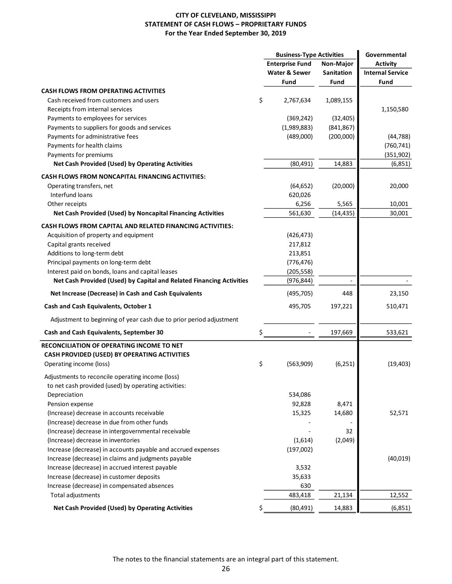## **CITY OF CLEVELAND, MISSISSIPPI STATEMENT OF CASH FLOWS – PROPRIETARY FUNDS For the Year Ended September 30, 2019**

|                                                                      | <b>Business-Type Activities</b> | Governmental      |                         |
|----------------------------------------------------------------------|---------------------------------|-------------------|-------------------------|
|                                                                      | <b>Enterprise Fund</b>          | Non-Major         | <b>Activity</b>         |
|                                                                      | <b>Water &amp; Sewer</b>        | <b>Sanitation</b> | <b>Internal Service</b> |
|                                                                      | Fund                            | Fund              | Fund                    |
| <b>CASH FLOWS FROM OPERATING ACTIVITIES</b>                          |                                 |                   |                         |
| Cash received from customers and users                               | \$<br>2,767,634                 | 1,089,155         |                         |
| Receipts from internal services                                      |                                 |                   | 1,150,580               |
| Payments to employees for services                                   | (369, 242)                      | (32, 405)         |                         |
| Payments to suppliers for goods and services                         | (1,989,883)                     | (841, 867)        |                         |
| Payments for administrative fees                                     | (489,000)                       | (200,000)         | (44, 788)               |
| Payments for health claims                                           |                                 |                   | (760, 741)              |
| Payments for premiums                                                |                                 |                   | (351, 902)              |
| Net Cash Provided (Used) by Operating Activities                     | (80, 491)                       | 14,883            | (6, 851)                |
| <b>CASH FLOWS FROM NONCAPITAL FINANCING ACTIVITIES:</b>              |                                 |                   |                         |
| Operating transfers, net                                             | (64, 652)                       | (20,000)          | 20,000                  |
| Interfund loans                                                      | 620,026                         |                   |                         |
| Other receipts                                                       | 6,256                           | 5,565             | 10,001                  |
| Net Cash Provided (Used) by Noncapital Financing Activities          | 561,630                         | (14, 435)         | 30,001                  |
| <b>CASH FLOWS FROM CAPITAL AND RELATED FINANCING ACTIVITIES:</b>     |                                 |                   |                         |
| Acquisition of property and equipment                                | (426, 473)                      |                   |                         |
| Capital grants received                                              | 217,812                         |                   |                         |
| Additions to long-term debt                                          | 213,851                         |                   |                         |
| Principal payments on long-term debt                                 | (776, 476)                      |                   |                         |
| Interest paid on bonds, loans and capital leases                     | (205, 558)                      |                   |                         |
| Net Cash Provided (Used) by Capital and Related Financing Activities | (976, 844)                      | $\blacksquare$    |                         |
| Net Increase (Decrease) in Cash and Cash Equivalents                 | (495, 705)                      | 448               | 23,150                  |
| Cash and Cash Equivalents, October 1                                 | 495,705                         | 197,221           | 510,471                 |
| Adjustment to beginning of year cash due to prior period adjustment  |                                 |                   |                         |
| Cash and Cash Equivalents, September 30                              | \$                              | 197,669           | 533,621                 |
| RECONCILIATION OF OPERATING INCOME TO NET                            |                                 |                   |                         |
| CASH PROVIDED (USED) BY OPERATING ACTIVITIES                         |                                 |                   |                         |
| Operating income (loss)                                              | \$<br>(563,909)                 | (6, 251)          | (19, 403)               |
| Adjustments to reconcile operating income (loss)                     |                                 |                   |                         |
| to net cash provided (used) by operating activities:                 |                                 |                   |                         |
| Depreciation                                                         | 534,086                         |                   |                         |
| Pension expense                                                      | 92,828                          | 8,471             |                         |
| (Increase) decrease in accounts receivable                           | 15,325                          | 14,680            | 52,571                  |
| (Increase) decrease in due from other funds                          |                                 |                   |                         |
| (Increase) decrease in intergovernmental receivable                  |                                 | 32                |                         |
| (Increase) decrease in inventories                                   | (1,614)                         | (2,049)           |                         |
| Increase (decrease) in accounts payable and accrued expenses         | (197,002)                       |                   |                         |
| Increase (decrease) in claims and judgments payable                  |                                 |                   | (40, 019)               |
| Increase (decrease) in accrued interest payable                      | 3,532                           |                   |                         |
| Increase (decrease) in customer deposits                             | 35,633                          |                   |                         |
| Increase (decrease) in compensated absences                          | 630                             |                   |                         |
| Total adjustments                                                    | 483,418                         | 21,134            | 12,552                  |
| Net Cash Provided (Used) by Operating Activities                     | \$<br>(80, 491)                 | 14,883            | (6, 851)                |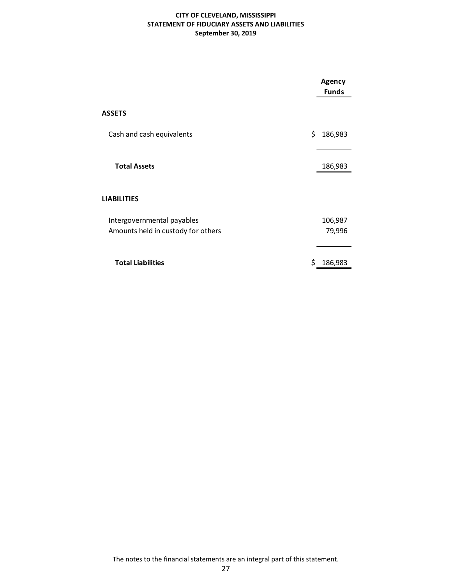### **CITY OF CLEVELAND, MISSISSIPPI STATEMENT OF FIDUCIARY ASSETS AND LIABILITIES September 30, 2019**

|                                                                  |    | Agency<br><b>Funds</b> |
|------------------------------------------------------------------|----|------------------------|
| <b>ASSETS</b>                                                    |    |                        |
| Cash and cash equivalents                                        | \$ | 186,983                |
| <b>Total Assets</b>                                              |    | 186,983                |
| <b>LIABILITIES</b>                                               |    |                        |
| Intergovernmental payables<br>Amounts held in custody for others |    | 106,987<br>79,996      |
| <b>Total Liabilities</b>                                         | Ś  | 186,983                |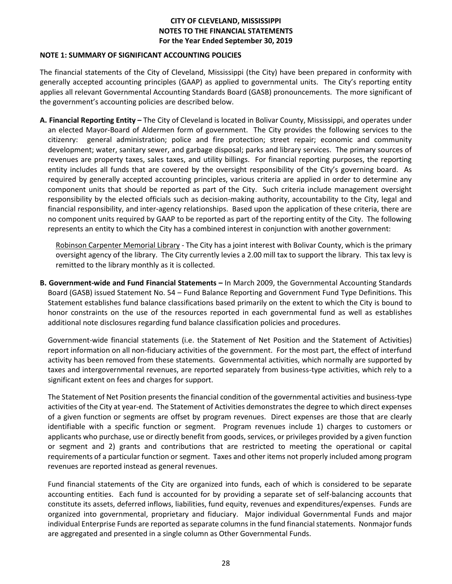## **NOTE 1: SUMMARY OF SIGNIFICANT ACCOUNTING POLICIES**

The financial statements of the City of Cleveland, Mississippi (the City) have been prepared in conformity with generally accepted accounting principles (GAAP) as applied to governmental units. The City's reporting entity applies all relevant Governmental Accounting Standards Board (GASB) pronouncements. The more significant of the government's accounting policies are described below.

**A. Financial Reporting Entity –** The City of Cleveland is located in Bolivar County, Mississippi, and operates under an elected Mayor-Board of Aldermen form of government. The City provides the following services to the citizenry: general administration; police and fire protection; street repair; economic and community development; water, sanitary sewer, and garbage disposal; parks and library services. The primary sources of revenues are property taxes, sales taxes, and utility billings. For financial reporting purposes, the reporting entity includes all funds that are covered by the oversight responsibility of the City's governing board. As required by generally accepted accounting principles, various criteria are applied in order to determine any component units that should be reported as part of the City. Such criteria include management oversight responsibility by the elected officials such as decision-making authority, accountability to the City, legal and financial responsibility, and inter-agency relationships. Based upon the application of these criteria, there are no component units required by GAAP to be reported as part of the reporting entity of the City. The following represents an entity to which the City has a combined interest in conjunction with another government:

Robinson Carpenter Memorial Library - The City has a joint interest with Bolivar County, which is the primary oversight agency of the library. The City currently levies a 2.00 mill tax to support the library. This tax levy is remitted to the library monthly as it is collected.

**B. Government-wide and Fund Financial Statements –** In March 2009, the Governmental Accounting Standards Board (GASB) issued Statement No. 54 – Fund Balance Reporting and Government Fund Type Definitions. This Statement establishes fund balance classifications based primarily on the extent to which the City is bound to honor constraints on the use of the resources reported in each governmental fund as well as establishes additional note disclosures regarding fund balance classification policies and procedures.

Government-wide financial statements (i.e. the Statement of Net Position and the Statement of Activities) report information on all non-fiduciary activities of the government. For the most part, the effect of interfund activity has been removed from these statements. Governmental activities, which normally are supported by taxes and intergovernmental revenues, are reported separately from business-type activities, which rely to a significant extent on fees and charges for support.

The Statement of Net Position presents the financial condition of the governmental activities and business-type activities of the City at year-end. The Statement of Activities demonstrates the degree to which direct expenses of a given function or segments are offset by program revenues. Direct expenses are those that are clearly identifiable with a specific function or segment. Program revenues include 1) charges to customers or applicants who purchase, use or directly benefit from goods, services, or privileges provided by a given function or segment and 2) grants and contributions that are restricted to meeting the operational or capital requirements of a particular function or segment. Taxes and other items not properly included among program revenues are reported instead as general revenues.

Fund financial statements of the City are organized into funds, each of which is considered to be separate accounting entities. Each fund is accounted for by providing a separate set of self-balancing accounts that constitute its assets, deferred inflows, liabilities, fund equity, revenues and expenditures/expenses. Funds are organized into governmental, proprietary and fiduciary. Major individual Governmental Funds and major individual Enterprise Funds are reported as separate columns in the fund financial statements. Nonmajor funds are aggregated and presented in a single column as Other Governmental Funds.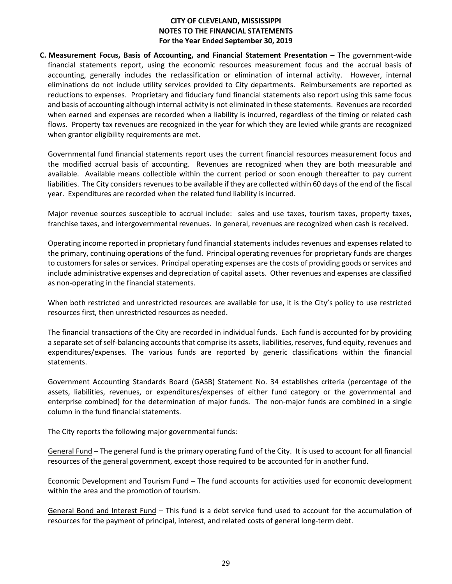**C.** Measurement Focus, Basis of Accounting, and Financial Statement Presentation – The government-wide financial statements report, using the economic resources measurement focus and the accrual basis of accounting, generally includes the reclassification or elimination of internal activity. However, internal eliminations do not include utility services provided to City departments. Reimbursements are reported as reductions to expenses. Proprietary and fiduciary fund financial statements also report using this same focus and basis of accounting although internal activity is not eliminated in these statements. Revenues are recorded when earned and expenses are recorded when a liability is incurred, regardless of the timing or related cash flows. Property tax revenues are recognized in the year for which they are levied while grants are recognized when grantor eligibility requirements are met.

Governmental fund financial statements report uses the current financial resources measurement focus and the modified accrual basis of accounting. Revenues are recognized when they are both measurable and available. Available means collectible within the current period or soon enough thereafter to pay current liabilities. The City considers revenues to be available if they are collected within 60 days of the end of the fiscal year. Expenditures are recorded when the related fund liability is incurred.

Major revenue sources susceptible to accrual include: sales and use taxes, tourism taxes, property taxes, franchise taxes, and intergovernmental revenues. In general, revenues are recognized when cash is received.

Operating income reported in proprietary fund financial statements includes revenues and expenses related to the primary, continuing operations of the fund. Principal operating revenues for proprietary funds are charges to customers for sales or services. Principal operating expenses are the costs of providing goods or services and include administrative expenses and depreciation of capital assets. Other revenues and expenses are classified as non-operating in the financial statements.

When both restricted and unrestricted resources are available for use, it is the City's policy to use restricted resources first, then unrestricted resources as needed.

The financial transactions of the City are recorded in individual funds. Each fund is accounted for by providing a separate set of self-balancing accounts that comprise its assets, liabilities, reserves, fund equity, revenues and expenditures/expenses. The various funds are reported by generic classifications within the financial statements.

Government Accounting Standards Board (GASB) Statement No. 34 establishes criteria (percentage of the assets, liabilities, revenues, or expenditures/expenses of either fund category or the governmental and enterprise combined) for the determination of major funds. The non-major funds are combined in a single column in the fund financial statements.

The City reports the following major governmental funds:

General Fund – The general fund is the primary operating fund of the City. It is used to account for all financial resources of the general government, except those required to be accounted for in another fund.

Economic Development and Tourism Fund – The fund accounts for activities used for economic development within the area and the promotion of tourism.

General Bond and Interest Fund – This fund is a debt service fund used to account for the accumulation of resources for the payment of principal, interest, and related costs of general long-term debt.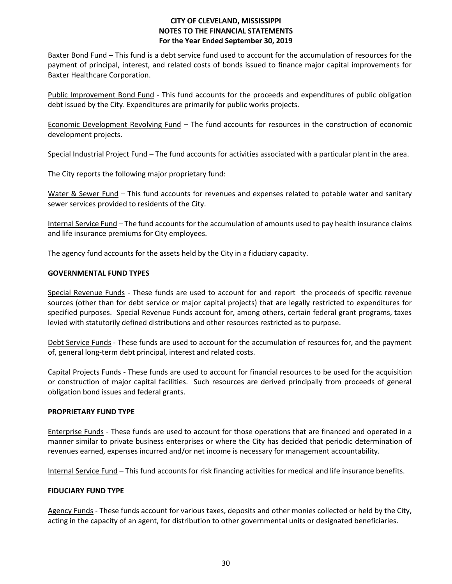Baxter Bond Fund – This fund is a debt service fund used to account for the accumulation of resources for the payment of principal, interest, and related costs of bonds issued to finance major capital improvements for Baxter Healthcare Corporation.

Public Improvement Bond Fund - This fund accounts for the proceeds and expenditures of public obligation debt issued by the City. Expenditures are primarily for public works projects.

Economic Development Revolving Fund – The fund accounts for resources in the construction of economic development projects.

Special Industrial Project Fund – The fund accounts for activities associated with a particular plant in the area.

The City reports the following major proprietary fund:

Water & Sewer Fund – This fund accounts for revenues and expenses related to potable water and sanitary sewer services provided to residents of the City.

Internal Service Fund – The fund accounts for the accumulation of amounts used to pay health insurance claims and life insurance premiums for City employees.

The agency fund accounts for the assets held by the City in a fiduciary capacity.

#### **GOVERNMENTAL FUND TYPES**

Special Revenue Funds - These funds are used to account for and report the proceeds of specific revenue sources (other than for debt service or major capital projects) that are legally restricted to expenditures for specified purposes. Special Revenue Funds account for, among others, certain federal grant programs, taxes levied with statutorily defined distributions and other resources restricted as to purpose.

Debt Service Funds - These funds are used to account for the accumulation of resources for, and the payment of, general long-term debt principal, interest and related costs.

Capital Projects Funds - These funds are used to account for financial resources to be used for the acquisition or construction of major capital facilities. Such resources are derived principally from proceeds of general obligation bond issues and federal grants.

## **PROPRIETARY FUND TYPE**

Enterprise Funds - These funds are used to account for those operations that are financed and operated in a manner similar to private business enterprises or where the City has decided that periodic determination of revenues earned, expenses incurred and/or net income is necessary for management accountability.

Internal Service Fund – This fund accounts for risk financing activities for medical and life insurance benefits.

## **FIDUCIARY FUND TYPE**

Agency Funds - These funds account for various taxes, deposits and other monies collected or held by the City, acting in the capacity of an agent, for distribution to other governmental units or designated beneficiaries.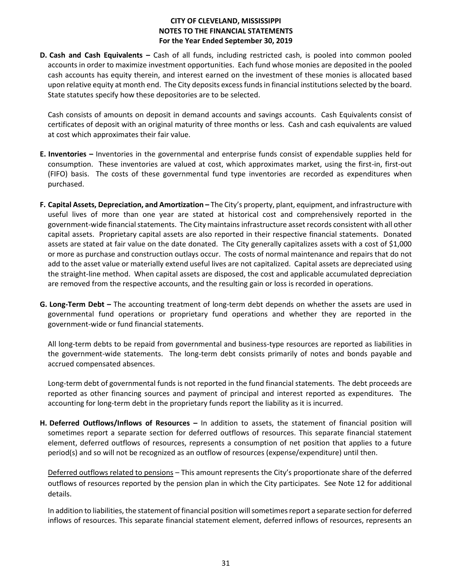**D. Cash and Cash Equivalents –** Cash of all funds, including restricted cash, is pooled into common pooled accounts in order to maximize investment opportunities. Each fund whose monies are deposited in the pooled cash accounts has equity therein, and interest earned on the investment of these monies is allocated based upon relative equity at month end. The City deposits excess funds in financial institutions selected by the board. State statutes specify how these depositories are to be selected.

Cash consists of amounts on deposit in demand accounts and savings accounts. Cash Equivalents consist of certificates of deposit with an original maturity of three months or less. Cash and cash equivalents are valued at cost which approximates their fair value.

- **E. Inventories –** Inventories in the governmental and enterprise funds consist of expendable supplies held for consumption. These inventories are valued at cost, which approximates market, using the first-in, first-out (FIFO) basis. The costs of these governmental fund type inventories are recorded as expenditures when purchased.
- **F. Capital Assets, Depreciation, and Amortization –** The City's property, plant, equipment, and infrastructure with useful lives of more than one year are stated at historical cost and comprehensively reported in the government-wide financial statements. The City maintains infrastructure asset records consistent with all other capital assets. Proprietary capital assets are also reported in their respective financial statements. Donated assets are stated at fair value on the date donated. The City generally capitalizes assets with a cost of \$1,000 or more as purchase and construction outlays occur. The costs of normal maintenance and repairs that do not add to the asset value or materially extend useful lives are not capitalized. Capital assets are depreciated using the straight-line method. When capital assets are disposed, the cost and applicable accumulated depreciation are removed from the respective accounts, and the resulting gain or loss is recorded in operations.
- **G. Long-Term Debt –** The accounting treatment of long-term debt depends on whether the assets are used in governmental fund operations or proprietary fund operations and whether they are reported in the government-wide or fund financial statements.

All long-term debts to be repaid from governmental and business-type resources are reported as liabilities in the government-wide statements. The long-term debt consists primarily of notes and bonds payable and accrued compensated absences.

Long-term debt of governmental funds is not reported in the fund financial statements. The debt proceeds are reported as other financing sources and payment of principal and interest reported as expenditures. The accounting for long-term debt in the proprietary funds report the liability as it is incurred.

**H. Deferred Outflows/Inflows of Resources –** In addition to assets, the statement of financial position will sometimes report a separate section for deferred outflows of resources. This separate financial statement element, deferred outflows of resources, represents a consumption of net position that applies to a future period(s) and so will not be recognized as an outflow of resources (expense/expenditure) until then.

Deferred outflows related to pensions – This amount represents the City's proportionate share of the deferred outflows of resources reported by the pension plan in which the City participates. See Note 12 for additional details.

In addition to liabilities, the statement of financial position will sometimes report a separate section for deferred inflows of resources. This separate financial statement element, deferred inflows of resources, represents an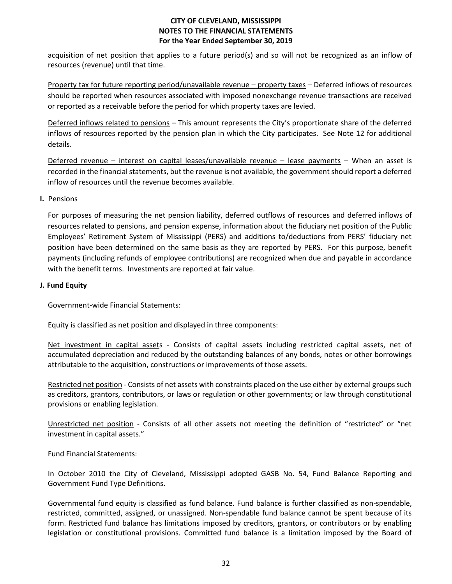acquisition of net position that applies to a future period(s) and so will not be recognized as an inflow of resources (revenue) until that time.

Property tax for future reporting period/unavailable revenue – property taxes – Deferred inflows of resources should be reported when resources associated with imposed nonexchange revenue transactions are received or reported as a receivable before the period for which property taxes are levied.

Deferred inflows related to pensions – This amount represents the City's proportionate share of the deferred inflows of resources reported by the pension plan in which the City participates. See Note 12 for additional details.

Deferred revenue – interest on capital leases/unavailable revenue – lease payments – When an asset is recorded in the financial statements, but the revenue is not available, the government should report a deferred inflow of resources until the revenue becomes available.

# **I.** Pensions

For purposes of measuring the net pension liability, deferred outflows of resources and deferred inflows of resources related to pensions, and pension expense, information about the fiduciary net position of the Public Employees' Retirement System of Mississippi (PERS) and additions to/deductions from PERS' fiduciary net position have been determined on the same basis as they are reported by PERS. For this purpose, benefit payments (including refunds of employee contributions) are recognized when due and payable in accordance with the benefit terms. Investments are reported at fair value.

## **J. Fund Equity**

Government-wide Financial Statements:

Equity is classified as net position and displayed in three components:

Net investment in capital assets - Consists of capital assets including restricted capital assets, net of accumulated depreciation and reduced by the outstanding balances of any bonds, notes or other borrowings attributable to the acquisition, constructions or improvements of those assets.

Restricted net position - Consists of net assets with constraints placed on the use either by external groups such as creditors, grantors, contributors, or laws or regulation or other governments; or law through constitutional provisions or enabling legislation.

Unrestricted net position - Consists of all other assets not meeting the definition of "restricted" or "net investment in capital assets."

Fund Financial Statements:

In October 2010 the City of Cleveland, Mississippi adopted GASB No. 54, Fund Balance Reporting and Government Fund Type Definitions.

Governmental fund equity is classified as fund balance. Fund balance is further classified as non-spendable, restricted, committed, assigned, or unassigned. Non-spendable fund balance cannot be spent because of its form. Restricted fund balance has limitations imposed by creditors, grantors, or contributors or by enabling legislation or constitutional provisions. Committed fund balance is a limitation imposed by the Board of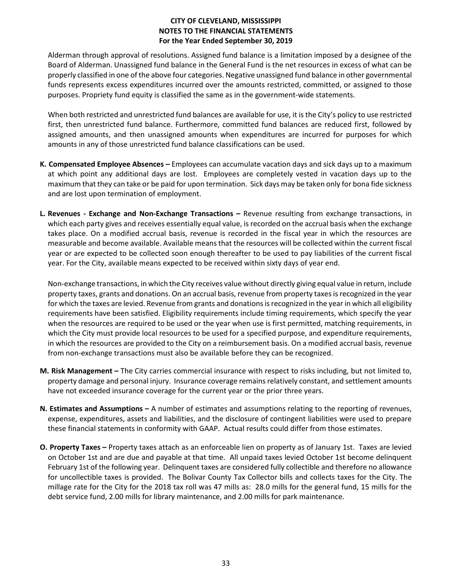Alderman through approval of resolutions. Assigned fund balance is a limitation imposed by a designee of the Board of Alderman. Unassigned fund balance in the General Fund is the net resources in excess of what can be properly classified in one of the above four categories. Negative unassigned fund balance in other governmental funds represents excess expenditures incurred over the amounts restricted, committed, or assigned to those purposes. Propriety fund equity is classified the same as in the government-wide statements.

When both restricted and unrestricted fund balances are available for use, it is the City's policy to use restricted first, then unrestricted fund balance. Furthermore, committed fund balances are reduced first, followed by assigned amounts, and then unassigned amounts when expenditures are incurred for purposes for which amounts in any of those unrestricted fund balance classifications can be used.

- **K. Compensated Employee Absences –** Employees can accumulate vacation days and sick days up to a maximum at which point any additional days are lost. Employees are completely vested in vacation days up to the maximum that they can take or be paid for upon termination. Sick days may be taken only for bona fide sickness and are lost upon termination of employment.
- **L. Revenues - Exchange and Non-Exchange Transactions –** Revenue resulting from exchange transactions, in which each party gives and receives essentially equal value, is recorded on the accrual basis when the exchange takes place. On a modified accrual basis, revenue is recorded in the fiscal year in which the resources are measurable and become available. Available means that the resources will be collected within the current fiscal year or are expected to be collected soon enough thereafter to be used to pay liabilities of the current fiscal year. For the City, available means expected to be received within sixty days of year end.

Non-exchange transactions, in which the City receives value without directly giving equal value in return, include property taxes, grants and donations. On an accrual basis, revenue from property taxes is recognized in the year for which the taxes are levied. Revenue from grants and donations is recognized in the year in which all eligibility requirements have been satisfied. Eligibility requirements include timing requirements, which specify the year when the resources are required to be used or the year when use is first permitted, matching requirements, in which the City must provide local resources to be used for a specified purpose, and expenditure requirements, in which the resources are provided to the City on a reimbursement basis. On a modified accrual basis, revenue from non-exchange transactions must also be available before they can be recognized.

- **M. Risk Management –** The City carries commercial insurance with respect to risks including, but not limited to, property damage and personal injury. Insurance coverage remains relatively constant, and settlement amounts have not exceeded insurance coverage for the current year or the prior three years.
- **N. Estimates and Assumptions –** A number of estimates and assumptions relating to the reporting of revenues, expense, expenditures, assets and liabilities, and the disclosure of contingent liabilities were used to prepare these financial statements in conformity with GAAP. Actual results could differ from those estimates.
- **O. Property Taxes –** Property taxes attach as an enforceable lien on property as of January 1st. Taxes are levied on October 1st and are due and payable at that time. All unpaid taxes levied October 1st become delinquent February 1st of the following year. Delinquent taxes are considered fully collectible and therefore no allowance for uncollectible taxes is provided. The Bolivar County Tax Collector bills and collects taxes for the City. The millage rate for the City for the 2018 tax roll was 47 mills as: 28.0 mills for the general fund, 15 mills for the debt service fund, 2.00 mills for library maintenance, and 2.00 mills for park maintenance.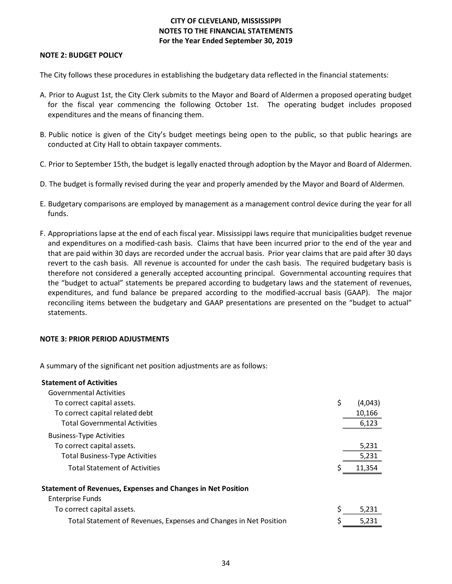#### **NOTE 2: BUDGET POLICY**

The City follows these procedures in establishing the budgetary data reflected in the financial statements:

- A. Prior to August 1st, the City Clerk submits to the Mayor and Board of Aldermen a proposed operating budget for the fiscal year commencing the following October 1st. The operating budget includes proposed expenditures and the means of financing them.
- B. Public notice is given of the City's budget meetings being open to the public, so that public hearings are conducted at City Hall to obtain taxpayer comments.
- C. Prior to September 15th, the budget is legally enacted through adoption by the Mayor and Board of Aldermen.
- D. The budget is formally revised during the year and properly amended by the Mayor and Board of Aldermen.
- E. Budgetary comparisons are employed by management as a management control device during the year for all funds.
- F. Appropriations lapse at the end of each fiscal year. Mississippi laws require that municipalities budget revenue and expenditures on a modified-cash basis. Claims that have been incurred prior to the end of the year and that are paid within 30 days are recorded under the accrual basis. Prior year claims that are paid after 30 days revert to the cash basis. All revenue is accounted for under the cash basis. The required budgetary basis is therefore not considered a generally accepted accounting principal. Governmental accounting requires that the "budget to actual" statements be prepared according to budgetary laws and the statement of revenues, expenditures, and fund balance be prepared according to the modified-accrual basis (GAAP). The major reconciling items between the budgetary and GAAP presentations are presented on the "budget to actual" statements.

#### **NOTE 3: PRIOR PERIOD ADJUSTMENTS**

**Statement of Activities**

A summary of the significant net position adjustments are as follows:

| Statement of Activities                                            |               |
|--------------------------------------------------------------------|---------------|
| <b>Governmental Activities</b>                                     |               |
| To correct capital assets.                                         | \$<br>(4,043) |
| To correct capital related debt                                    | 10,166        |
| <b>Total Governmental Activities</b>                               | 6,123         |
| <b>Business-Type Activities</b>                                    |               |
| To correct capital assets.                                         | 5,231         |
| <b>Total Business-Type Activities</b>                              | 5,231         |
| <b>Total Statement of Activities</b>                               | 11,354        |
| <b>Statement of Revenues, Expenses and Changes in Net Position</b> |               |
| <b>Enterprise Funds</b>                                            |               |
| To correct capital assets.                                         | 5,231         |
| Total Statement of Revenues, Expenses and Changes in Net Position  | 5,231         |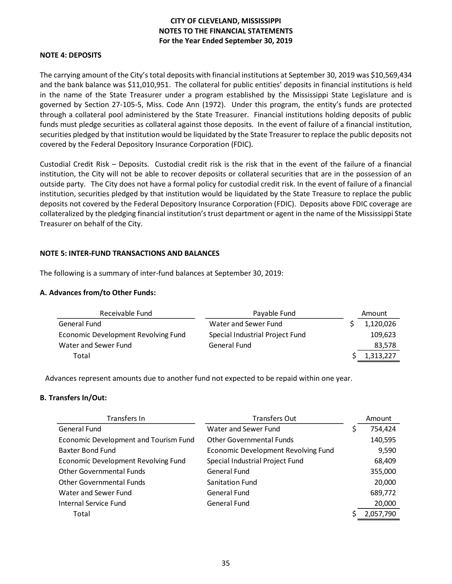#### **NOTE 4: DEPOSITS**

The carrying amount of the City's total deposits with financial institutions at September 30, 2019 was \$10,569,434 and the bank balance was \$11,010,951. The collateral for public entities' deposits in financial institutions is held in the name of the State Treasurer under a program established by the Mississippi State Legislature and is governed by Section 27-105-5, Miss. Code Ann (1972). Under this program, the entity's funds are protected through a collateral pool administered by the State Treasurer. Financial institutions holding deposits of public funds must pledge securities as collateral against those deposits. In the event of failure of a financial institution, securities pledged by that institution would be liquidated by the State Treasurer to replace the public deposits not covered by the Federal Depository Insurance Corporation (FDIC).

Custodial Credit Risk – Deposits. Custodial credit risk is the risk that in the event of the failure of a financial institution, the City will not be able to recover deposits or collateral securities that are in the possession of an outside party. The City does not have a formal policy for custodial credit risk. In the event of failure of a financial institution, securities pledged by that institution would be liquidated by the State Treasure to replace the public deposits not covered by the Federal Depository Insurance Corporation (FDIC). Deposits above FDIC coverage are collateralized by the pledging financial institution's trust department or agent in the name of the Mississippi State Treasurer on behalf of the City.

## **NOTE 5: INTER-FUND TRANSACTIONS AND BALANCES**

The following is a summary of inter-fund balances at September 30, 2019:

## **A. Advances from/to Other Funds:**

| Receivable Fund                     | Payable Fund                    | Amount    |
|-------------------------------------|---------------------------------|-----------|
| General Fund                        | Water and Sewer Fund            | 1,120,026 |
| Economic Development Revolving Fund | Special Industrial Project Fund | 109,623   |
| Water and Sewer Fund                | General Fund                    | 83,578    |
| Total                               |                                 | 1,313,227 |

Advances represent amounts due to another fund not expected to be repaid within one year.

## **B. Transfers In/Out:**

| <b>Transfers Out</b>                       | Amount    |
|--------------------------------------------|-----------|
| Water and Sewer Fund                       | 754,424   |
| <b>Other Governmental Funds</b>            | 140,595   |
| <b>Economic Development Revolving Fund</b> | 9,590     |
| Special Industrial Project Fund            | 68,409    |
| General Fund                               | 355,000   |
| Sanitation Fund                            | 20,000    |
| General Fund                               | 689,772   |
| General Fund                               | 20,000    |
|                                            | 2,057,790 |
|                                            |           |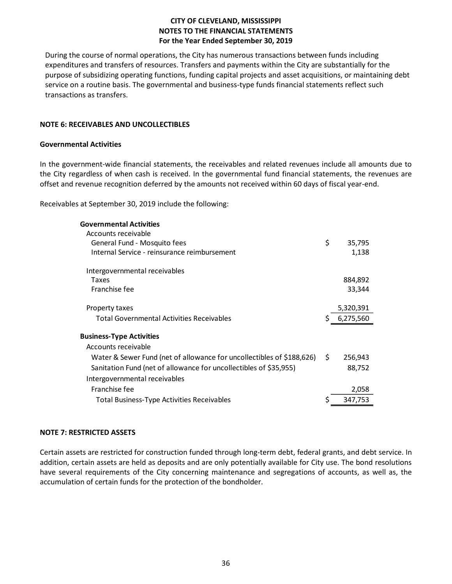During the course of normal operations, the City has numerous transactions between funds including expenditures and transfers of resources. Transfers and payments within the City are substantially for the purpose of subsidizing operating functions, funding capital projects and asset acquisitions, or maintaining debt service on a routine basis. The governmental and business-type funds financial statements reflect such transactions as transfers.

### **NOTE 6: RECEIVABLES AND UNCOLLECTIBLES**

#### **Governmental Activities**

In the government-wide financial statements, the receivables and related revenues include all amounts due to the City regardless of when cash is received. In the governmental fund financial statements, the revenues are offset and revenue recognition deferred by the amounts not received within 60 days of fiscal year-end.

Receivables at September 30, 2019 include the following:

| <b>Governmental Activities</b>                                                |              |
|-------------------------------------------------------------------------------|--------------|
| Accounts receivable                                                           |              |
| General Fund - Mosquito fees                                                  | \$<br>35,795 |
| Internal Service - reinsurance reimbursement                                  | 1,138        |
| Intergovernmental receivables                                                 |              |
| Taxes                                                                         | 884,892      |
| Franchise fee                                                                 | 33,344       |
| Property taxes                                                                | 5,320,391    |
| <b>Total Governmental Activities Receivables</b>                              | 6,275,560    |
| <b>Business-Type Activities</b>                                               |              |
| Accounts receivable                                                           |              |
| Water & Sewer Fund (net of allowance for uncollectibles of \$188,626) $\;$ \$ | 256,943      |
| Sanitation Fund (net of allowance for uncollectibles of \$35,955)             | 88,752       |
| Intergovernmental receivables                                                 |              |
| Franchise fee                                                                 | 2,058        |
| Total Business-Type Activities Receivables                                    | 347,753      |

# **NOTE 7: RESTRICTED ASSETS**

Certain assets are restricted for construction funded through long-term debt, federal grants, and debt service. In addition, certain assets are held as deposits and are only potentially available for City use. The bond resolutions have several requirements of the City concerning maintenance and segregations of accounts, as well as, the accumulation of certain funds for the protection of the bondholder.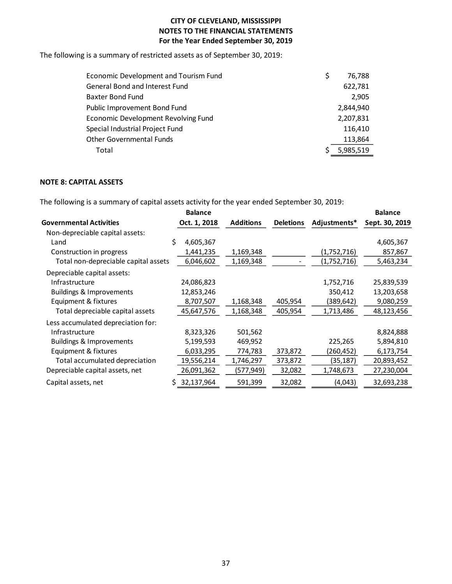The following is a summary of restricted assets as of September 30, 2019:

| Economic Development and Tourism Fund | S | 76.788    |
|---------------------------------------|---|-----------|
| <b>General Bond and Interest Fund</b> |   | 622,781   |
| <b>Baxter Bond Fund</b>               |   | 2,905     |
| Public Improvement Bond Fund          |   | 2,844,940 |
| Economic Development Revolving Fund   |   | 2,207,831 |
| Special Industrial Project Fund       |   | 116,410   |
| <b>Other Governmental Funds</b>       |   | 113,864   |
| Total                                 |   | 5,985,519 |

# **NOTE 8: CAPITAL ASSETS**

The following is a summary of capital assets activity for the year ended September 30, 2019:

|                                      | <b>Balance</b> |                  |                  |              | <b>Balance</b> |
|--------------------------------------|----------------|------------------|------------------|--------------|----------------|
| <b>Governmental Activities</b>       | Oct. 1, 2018   | <b>Additions</b> | <b>Deletions</b> | Adjustments* | Sept. 30, 2019 |
| Non-depreciable capital assets:      |                |                  |                  |              |                |
| \$<br>Land                           | 4,605,367      |                  |                  |              | 4,605,367      |
| Construction in progress             | 1,441,235      | 1,169,348        |                  | (1,752,716)  | 857,867        |
| Total non-depreciable capital assets | 6,046,602      | 1,169,348        |                  | (1,752,716)  | 5,463,234      |
| Depreciable capital assets:          |                |                  |                  |              |                |
| Infrastructure                       | 24,086,823     |                  |                  | 1,752,716    | 25,839,539     |
| <b>Buildings &amp; Improvements</b>  | 12,853,246     |                  |                  | 350,412      | 13,203,658     |
| Equipment & fixtures                 | 8,707,507      | 1,168,348        | 405,954          | (389,642)    | 9,080,259      |
| Total depreciable capital assets     | 45,647,576     | 1,168,348        | 405,954          | 1,713,486    | 48,123,456     |
| Less accumulated depreciation for:   |                |                  |                  |              |                |
| Infrastructure                       | 8,323,326      | 501,562          |                  |              | 8,824,888      |
| Buildings & Improvements             | 5,199,593      | 469,952          |                  | 225,265      | 5,894,810      |
| Equipment & fixtures                 | 6,033,295      | 774,783          | 373,872          | (260,452)    | 6,173,754      |
| Total accumulated depreciation       | 19,556,214     | 1,746,297        | 373,872          | (35,187)     | 20,893,452     |
| Depreciable capital assets, net      | 26,091,362     | (577,949)        | 32,082           | 1,748,673    | 27,230,004     |
| Capital assets, net                  | 32,137,964     | 591,399          | 32,082           | (4,043)      | 32,693,238     |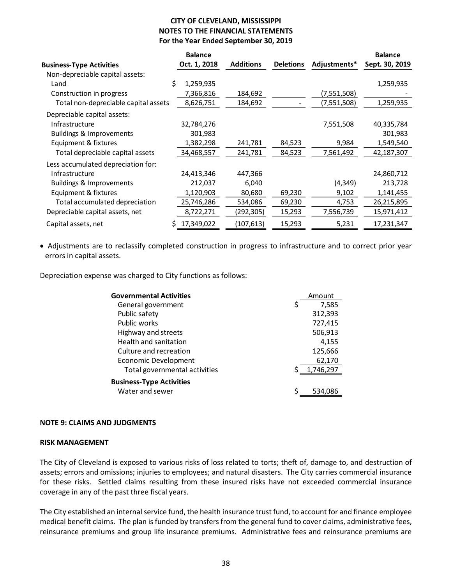|                                                                                                                                                                                                                                                                                                                                                                                                          | <b>Balance</b>          |                  |                  |                                                                                | <b>Balance</b> |
|----------------------------------------------------------------------------------------------------------------------------------------------------------------------------------------------------------------------------------------------------------------------------------------------------------------------------------------------------------------------------------------------------------|-------------------------|------------------|------------------|--------------------------------------------------------------------------------|----------------|
| <b>Business-Type Activities</b>                                                                                                                                                                                                                                                                                                                                                                          | Oct. 1, 2018            | <b>Additions</b> | <b>Deletions</b> | Adjustments*                                                                   | Sept. 30, 2019 |
| Non-depreciable capital assets:                                                                                                                                                                                                                                                                                                                                                                          |                         |                  |                  |                                                                                |                |
| \$<br>Land                                                                                                                                                                                                                                                                                                                                                                                               | 1,259,935               |                  |                  |                                                                                | 1,259,935      |
| Construction in progress                                                                                                                                                                                                                                                                                                                                                                                 | 7,366,816               | 184,692          |                  | (7,551,508)                                                                    |                |
| Total non-depreciable capital assets                                                                                                                                                                                                                                                                                                                                                                     | 8,626,751               | 184,692          |                  | (7,551,508)                                                                    | 1,259,935      |
| Depreciable capital assets:                                                                                                                                                                                                                                                                                                                                                                              |                         |                  |                  |                                                                                |                |
| Infrastructure                                                                                                                                                                                                                                                                                                                                                                                           | 32,784,276              |                  |                  | 7,551,508                                                                      | 40,335,784     |
| <b>Buildings &amp; Improvements</b>                                                                                                                                                                                                                                                                                                                                                                      | 301,983                 |                  |                  |                                                                                | 301,983        |
| Equipment & fixtures                                                                                                                                                                                                                                                                                                                                                                                     | 1,382,298               | 241,781          | 84,523           | 9,984                                                                          | 1,549,540      |
| Total depreciable capital assets                                                                                                                                                                                                                                                                                                                                                                         | 34,468,557              | 241,781          | 84,523           | 7,561,492                                                                      | 42,187,307     |
| Less accumulated depreciation for:                                                                                                                                                                                                                                                                                                                                                                       |                         |                  |                  |                                                                                |                |
| Infrastructure                                                                                                                                                                                                                                                                                                                                                                                           | 24,413,346              | 447,366          |                  |                                                                                | 24,860,712     |
| <b>Buildings &amp; Improvements</b>                                                                                                                                                                                                                                                                                                                                                                      | 212,037                 | 6,040            |                  | (4, 349)                                                                       | 213,728        |
| Equipment & fixtures                                                                                                                                                                                                                                                                                                                                                                                     | 1,120,903               | 80,680           | 69,230           | 9,102                                                                          | 1,141,455      |
| Total accumulated depreciation<br>Depreciable capital assets, net                                                                                                                                                                                                                                                                                                                                        | 25,746,286<br>8,722,271 | 534,086          | 69,230<br>15,293 | 4,753<br>7,556,739                                                             | 26,215,895     |
| Ś.                                                                                                                                                                                                                                                                                                                                                                                                       | 17,349,022              | (292,305)        | 15,293           | 5,231                                                                          | 15,971,412     |
| Capital assets, net                                                                                                                                                                                                                                                                                                                                                                                      |                         | (107, 613)       |                  |                                                                                | 17,231,347     |
| <b>Governmental Activities</b><br>General government<br>Public safety<br>Public works<br>Highway and streets<br>Health and sanitation<br>Culture and recreation<br>Economic Development                                                                                                                                                                                                                  |                         |                  | \$               | Amount<br>7,585<br>312,393<br>727,415<br>506,913<br>4,155<br>125,666<br>62,170 |                |
| Total governmental activities                                                                                                                                                                                                                                                                                                                                                                            |                         |                  |                  | 1,746,297                                                                      |                |
| <b>Business-Type Activities</b><br>Water and sewer                                                                                                                                                                                                                                                                                                                                                       |                         |                  | \$.              | 534.086                                                                        |                |
| <b>NOTE 9: CLAIMS AND JUDGMENTS</b>                                                                                                                                                                                                                                                                                                                                                                      |                         |                  |                  |                                                                                |                |
| <b>RISK MANAGEMENT</b>                                                                                                                                                                                                                                                                                                                                                                                   |                         |                  |                  |                                                                                |                |
| The City of Cleveland is exposed to various risks of loss related to torts; theft of, damage to, and destruction of<br>assets; errors and omissions; injuries to employees; and natural disasters. The City carries commercial insurance<br>for these risks. Settled claims resulting from these insured risks have not exceeded commercial insurance<br>coverage in any of the past three fiscal years. |                         |                  |                  |                                                                                |                |
| The City established an internal service fund, the health insurance trust fund, to account for and finance employee<br>medical benefit claims. The plan is funded by transfers from the general fund to cover claims, administrative fees,<br>reinsurance premiums and group life insurance premiums. Administrative fees and reinsurance premiums are                                                   |                         |                  |                  |                                                                                |                |

| <b>Governmental Activities</b>  | Amount      |
|---------------------------------|-------------|
| General government              | \$<br>7,585 |
| Public safety                   | 312,393     |
| Public works                    | 727,415     |
| Highway and streets             | 506,913     |
| Health and sanitation           | 4,155       |
| Culture and recreation          | 125,666     |
| Economic Development            | 62,170      |
| Total governmental activities   | 1,746,297   |
| <b>Business-Type Activities</b> |             |
| Water and sewer                 | 534,086     |

#### **NOTE 9: CLAIMS AND JUDGMENTS**

#### **RISK MANAGEMENT**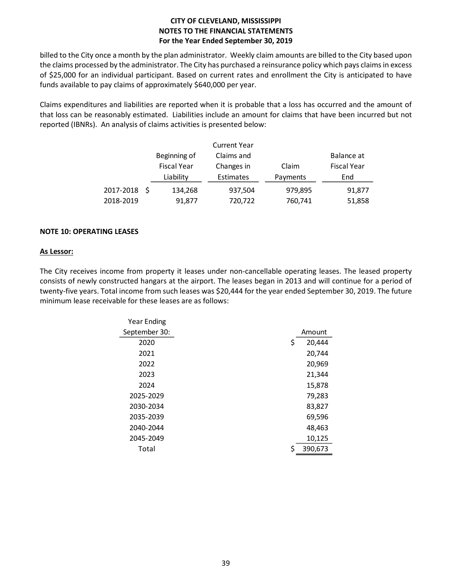billed to the City once a month by the plan administrator. Weekly claim amounts are billed to the City based upon the claims processed by the administrator. The City has purchased a reinsurance policy which pays claims in excess of \$25,000 for an individual participant. Based on current rates and enrollment the City is anticipated to have funds available to pay claims of approximately \$640,000 per year.

Claims expenditures and liabilities are reported when it is probable that a loss has occurred and the amount of that loss can be reasonably estimated. Liabilities include an amount for claims that have been incurred but not reported (IBNRs). An analysis of claims activities is presented below:

|              |              | <b>Current Year</b> |          |                    |
|--------------|--------------|---------------------|----------|--------------------|
|              | Beginning of | Claims and          |          | Balance at         |
|              | Fiscal Year  | Changes in          | Claim    | <b>Fiscal Year</b> |
|              | Liability    | <b>Estimates</b>    | Payments | End                |
| 2017-2018 \$ | 134,268      | 937,504             | 979,895  | 91,877             |
| 2018-2019    | 91,877       | 720,722             | 760,741  | 51,858             |

### **NOTE 10: OPERATING LEASES**

### **As Lessor:**

The City receives income from property it leases under non-cancellable operating leases. The leased property consists of newly constructed hangars at the airport. The leases began in 2013 and will continue for a period of twenty-five years. Total income from such leases was \$20,444 for the year ended September 30, 2019. The future minimum lease receivable for these leases are as follows:

| Year Ending   |    |
|---------------|----|
| September 30: |    |
| 2020          | \$ |
| 2021          |    |
| 2022          |    |
| 2023          |    |
| 2024          |    |
| 2025-2029     |    |
| 2030-2034     |    |
| 2035-2039     |    |
| 2040-2044     |    |
| 2045-2049     |    |
| Total         | \$ |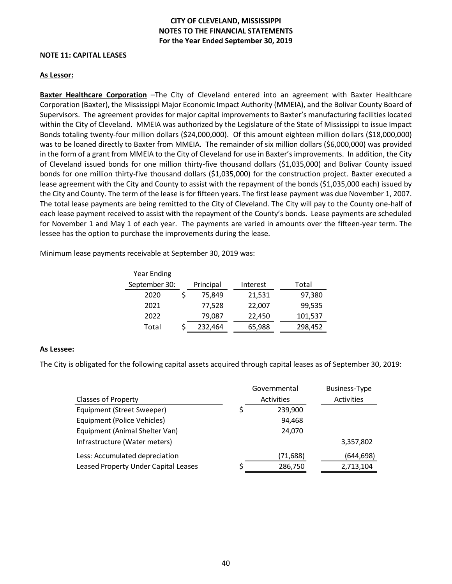### **NOTE 11: CAPITAL LEASES**

### **As Lessor:**

**Baxter Healthcare Corporation** –The City of Cleveland entered into an agreement with Baxter Healthcare Corporation (Baxter), the Mississippi Major Economic Impact Authority (MMEIA), and the Bolivar County Board of Supervisors. The agreement provides for major capital improvements to Baxter's manufacturing facilities located within the City of Cleveland. MMEIA was authorized by the Legislature of the State of Mississippi to issue Impact Bonds totaling twenty-four million dollars (\$24,000,000). Of this amount eighteen million dollars (\$18,000,000) was to be loaned directly to Baxter from MMEIA. The remainder of six million dollars (\$6,000,000) was provided in the form of a grant from MMEIA to the City of Cleveland for use in Baxter's improvements. In addition, the City of Cleveland issued bonds for one million thirty-five thousand dollars (\$1,035,000) and Bolivar County issued bonds for one million thirty-five thousand dollars (\$1,035,000) for the construction project. Baxter executed a lease agreement with the City and County to assist with the repayment of the bonds (\$1,035,000 each) issued by the City and County. The term of the lease is for fifteen years. The first lease payment was due November 1, 2007. The total lease payments are being remitted to the City of Cleveland. The City will pay to the County one-half of each lease payment received to assist with the repayment of the County's bonds. Lease payments are scheduled for November 1 and May 1 of each year. The payments are varied in amounts over the fifteen-year term. The lessee has the option to purchase the improvements during the lease.

Minimum lease payments receivable at September 30, 2019 was:

| <b>Year Ending</b> |           |          |         |
|--------------------|-----------|----------|---------|
| September 30:      | Principal | Interest | Total   |
| 2020               | 75,849    | 21,531   | 97,380  |
| 2021               | 77,528    | 22,007   | 99,535  |
| 2022               | 79,087    | 22,450   | 101,537 |
| Total              | 232,464   | 65,988   | 298,452 |

#### **As Lessee:**

The City is obligated for the following capital assets acquired through capital leases as of September 30, 2019:

|                                      |            | Governmental | <b>Business-Type</b> |
|--------------------------------------|------------|--------------|----------------------|
| <b>Classes of Property</b>           | Activities |              | Activities           |
| Equipment (Street Sweeper)           |            | 239,900      |                      |
| Equipment (Police Vehicles)          |            | 94,468       |                      |
| Equipment (Animal Shelter Van)       |            | 24,070       |                      |
| Infrastructure (Water meters)        |            |              | 3,357,802            |
| Less: Accumulated depreciation       |            | (71, 688)    | (644, 698)           |
| Leased Property Under Capital Leases |            | 286,750      | 2,713,104            |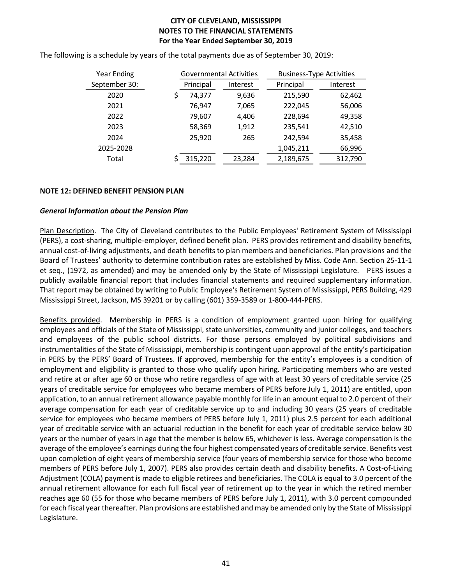| <b>Year Ending</b> | <b>Governmental Activities</b> |          | <b>Business-Type Activities</b> |          |
|--------------------|--------------------------------|----------|---------------------------------|----------|
| September 30:      | Principal                      | Interest | Principal                       | Interest |
| 2020               | \$<br>74,377                   | 9,636    | 215,590                         | 62,462   |
| 2021               | 76,947                         | 7,065    | 222,045                         | 56,006   |
| 2022               | 79,607                         | 4,406    | 228,694                         | 49,358   |
| 2023               | 58,369                         | 1,912    | 235,541                         | 42,510   |
| 2024               | 25,920                         | 265      | 242,594                         | 35,458   |
| 2025-2028          |                                |          | 1,045,211                       | 66,996   |
| Total              | 315,220                        | 23,284   | 2,189,675                       | 312,790  |

The following is a schedule by years of the total payments due as of September 30, 2019:

# **NOTE 12: DEFINED BENEFIT PENSION PLAN**

### *General Information about the Pension Plan*

Plan Description. The City of Cleveland contributes to the Public Employees' Retirement System of Mississippi (PERS), a cost-sharing, multiple-employer, defined benefit plan. PERS provides retirement and disability benefits, annual cost-of-living adjustments, and death benefits to plan members and beneficiaries. Plan provisions and the Board of Trustees' authority to determine contribution rates are established by Miss. Code Ann. Section 25-11-1 et seq., (1972, as amended) and may be amended only by the State of Mississippi Legislature. PERS issues a publicly available financial report that includes financial statements and required supplementary information. That report may be obtained by writing to Public Employee's Retirement System of Mississippi, PERS Building, 429 Mississippi Street, Jackson, MS 39201 or by calling (601) 359-3589 or 1-800-444-PERS.

Benefits provided. Membership in PERS is a condition of employment granted upon hiring for qualifying employees and officials of the State of Mississippi, state universities, community and junior colleges, and teachers and employees of the public school districts. For those persons employed by political subdivisions and instrumentalities of the State of Mississippi, membership is contingent upon approval of the entity's participation in PERS by the PERS' Board of Trustees. If approved, membership for the entity's employees is a condition of employment and eligibility is granted to those who qualify upon hiring. Participating members who are vested and retire at or after age 60 or those who retire regardless of age with at least 30 years of creditable service (25 years of creditable service for employees who became members of PERS before July 1, 2011) are entitled, upon application, to an annual retirement allowance payable monthly for life in an amount equal to 2.0 percent of their average compensation for each year of creditable service up to and including 30 years (25 years of creditable service for employees who became members of PERS before July 1, 2011) plus 2.5 percent for each additional year of creditable service with an actuarial reduction in the benefit for each year of creditable service below 30 years or the number of years in age that the member is below 65, whichever is less. Average compensation is the average of the employee's earnings during the four highest compensated years of creditable service. Benefits vest upon completion of eight years of membership service (four years of membership service for those who become members of PERS before July 1, 2007). PERS also provides certain death and disability benefits. A Cost-of-Living Adjustment (COLA) payment is made to eligible retirees and beneficiaries. The COLA is equal to 3.0 percent of the annual retirement allowance for each full fiscal year of retirement up to the year in which the retired member reaches age 60 (55 for those who became members of PERS before July 1, 2011), with 3.0 percent compounded for each fiscal year thereafter. Plan provisions are established and may be amended only by the State of Mississippi Legislature.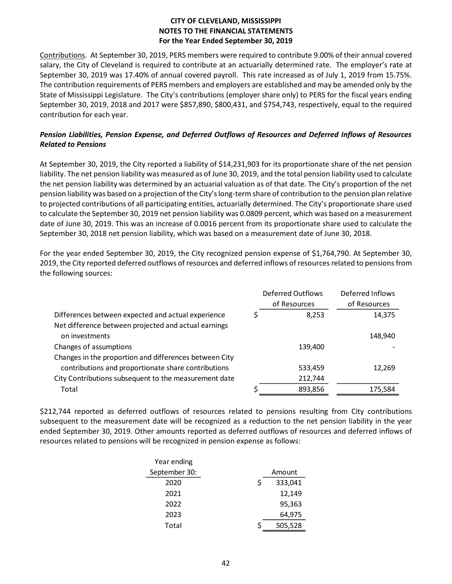Contributions. At September 30, 2019, PERS members were required to contribute 9.00% of their annual covered salary, the City of Cleveland is required to contribute at an actuarially determined rate. The employer's rate at September 30, 2019 was 17.40% of annual covered payroll. This rate increased as of July 1, 2019 from 15.75%. The contribution requirements of PERS members and employers are established and may be amended only by the State of Mississippi Legislature. The City's contributions (employer share only) to PERS for the fiscal years ending September 30, 2019, 2018 and 2017 were \$857,890, \$800,431, and \$754,743, respectively, equal to the required contribution for each year.

# *Pension Liabilities, Pension Expense, and Deferred Outflows of Resources and Deferred Inflows of Resources Related to Pensions*

At September 30, 2019, the City reported a liability of \$14,231,903 for its proportionate share of the net pension liability. The net pension liability was measured as of June 30, 2019, and the total pension liability used to calculate the net pension liability was determined by an actuarial valuation as of that date. The City's proportion of the net pension liability was based on a projection of the City's long-term share of contribution to the pension plan relative to projected contributions of all participating entities, actuarially determined. The City's proportionate share used to calculate the September 30, 2019 net pension liability was 0.0809 percent, which was based on a measurement date of June 30, 2019. This was an increase of 0.0016 percent from its proportionate share used to calculate the September 30, 2018 net pension liability, which was based on a measurement date of June 30, 2018.

For the year ended September 30, 2019, the City recognized pension expense of \$1,764,790. At September 30, 2019, the City reported deferred outflows of resources and deferred inflows of resources related to pensions from the following sources:

|                                                        | Deferred Outflows<br>of Resources | Deferred Inflows<br>of Resources |
|--------------------------------------------------------|-----------------------------------|----------------------------------|
| Differences between expected and actual experience     | 8,253                             | 14,375                           |
| Net difference between projected and actual earnings   |                                   |                                  |
| on investments                                         |                                   | 148.940                          |
| Changes of assumptions                                 | 139,400                           |                                  |
| Changes in the proportion and differences between City |                                   |                                  |
| contributions and proportionate share contributions    | 533,459                           | 12,269                           |
| City Contributions subsequent to the measurement date  | 212,744                           |                                  |
| Total                                                  | 893,856                           | 175,584                          |

\$212,744 reported as deferred outflows of resources related to pensions resulting from City contributions subsequent to the measurement date will be recognized as a reduction to the net pension liability in the year ended September 30, 2019. Other amounts reported as deferred outflows of resources and deferred inflows of resources related to pensions will be recognized in pension expense as follows:

| Year ending   |   |         |
|---------------|---|---------|
| September 30: |   | Amount  |
| 2020          | Ś | 333,041 |
| 2021          |   | 12,149  |
| 2022          |   | 95,363  |
| 2023          |   | 64,975  |
| Total         |   | 505,528 |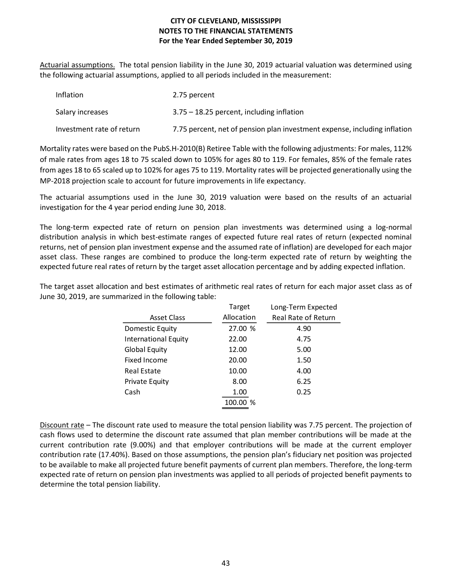Actuarial assumptions. The total pension liability in the June 30, 2019 actuarial valuation was determined using the following actuarial assumptions, applied to all periods included in the measurement:

| Inflation                 | 2.75 percent                                                              |
|---------------------------|---------------------------------------------------------------------------|
| Salary increases          | $3.75 - 18.25$ percent, including inflation                               |
| Investment rate of return | 7.75 percent, net of pension plan investment expense, including inflation |

Mortality rates were based on the PubS.H-2010(B) Retiree Table with the following adjustments: For males, 112% of male rates from ages 18 to 75 scaled down to 105% for ages 80 to 119. For females, 85% of the female rates from ages 18 to 65 scaled up to 102% for ages 75 to 119. Mortality rates will be projected generationally using the MP-2018 projection scale to account for future improvements in life expectancy.

The actuarial assumptions used in the June 30, 2019 valuation were based on the results of an actuarial investigation for the 4 year period ending June 30, 2018.

The long-term expected rate of return on pension plan investments was determined using a log-normal distribution analysis in which best-estimate ranges of expected future real rates of return (expected nominal returns, net of pension plan investment expense and the assumed rate of inflation) are developed for each major asset class. These ranges are combined to produce the long-term expected rate of return by weighting the expected future real rates of return by the target asset allocation percentage and by adding expected inflation.

The target asset allocation and best estimates of arithmetic real rates of return for each major asset class as of June 30, 2019, are summarized in the following table:

|                             | Target     | Long-Term Expected  |
|-----------------------------|------------|---------------------|
| <b>Asset Class</b>          | Allocation | Real Rate of Return |
| Domestic Equity             | 27.00 %    | 4.90                |
| <b>International Equity</b> | 22.00      | 4.75                |
| <b>Global Equity</b>        | 12.00      | 5.00                |
| Fixed Income                | 20.00      | 1.50                |
| <b>Real Estate</b>          | 10.00      | 4.00                |
| Private Equity              | 8.00       | 6.25                |
| Cash                        | 1.00       | 0.25                |
|                             | 100.00 %   |                     |

Discount rate – The discount rate used to measure the total pension liability was 7.75 percent. The projection of cash flows used to determine the discount rate assumed that plan member contributions will be made at the current contribution rate (9.00%) and that employer contributions will be made at the current employer contribution rate (17.40%). Based on those assumptions, the pension plan's fiduciary net position was projected to be available to make all projected future benefit payments of current plan members. Therefore, the long-term expected rate of return on pension plan investments was applied to all periods of projected benefit payments to determine the total pension liability.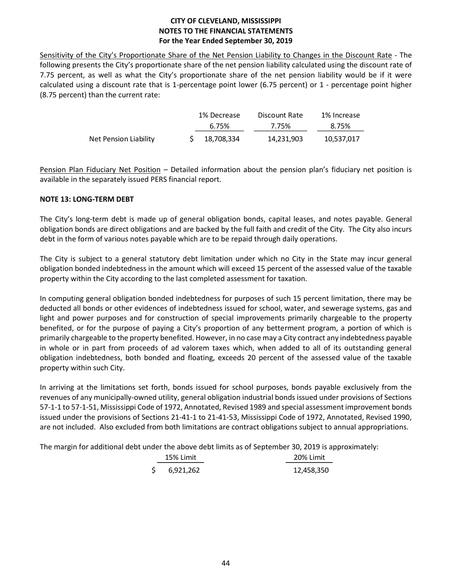Sensitivity of the City's Proportionate Share of the Net Pension Liability to Changes in the Discount Rate - The following presents the City's proportionate share of the net pension liability calculated using the discount rate of 7.75 percent, as well as what the City's proportionate share of the net pension liability would be if it were calculated using a discount rate that is 1-percentage point lower (6.75 percent) or 1 - percentage point higher (8.75 percent) than the current rate:

|                       | Discount Rate<br>1% Decrease |            | 1% Increase |
|-----------------------|------------------------------|------------|-------------|
|                       | 6.75%                        | 7.75%      | 8.75%       |
| Net Pension Liability | 18,708,334                   | 14,231,903 | 10,537,017  |

Pension Plan Fiduciary Net Position – Detailed information about the pension plan's fiduciary net position is available in the separately issued PERS financial report.

# **NOTE 13: LONG-TERM DEBT**

The City's long-term debt is made up of general obligation bonds, capital leases, and notes payable. General obligation bonds are direct obligations and are backed by the full faith and credit of the City. The City also incurs debt in the form of various notes payable which are to be repaid through daily operations.

The City is subject to a general statutory debt limitation under which no City in the State may incur general obligation bonded indebtedness in the amount which will exceed 15 percent of the assessed value of the taxable property within the City according to the last completed assessment for taxation.

In computing general obligation bonded indebtedness for purposes of such 15 percent limitation, there may be deducted all bonds or other evidences of indebtedness issued for school, water, and sewerage systems, gas and light and power purposes and for construction of special improvements primarily chargeable to the property benefited, or for the purpose of paying a City's proportion of any betterment program, a portion of which is primarily chargeable to the property benefited. However, in no case may a City contract any indebtedness payable in whole or in part from proceeds of ad valorem taxes which, when added to all of its outstanding general obligation indebtedness, both bonded and floating, exceeds 20 percent of the assessed value of the taxable property within such City.

In arriving at the limitations set forth, bonds issued for school purposes, bonds payable exclusively from the revenues of any municipally-owned utility, general obligation industrial bonds issued under provisions of Sections 57-1-1 to 57-1-51, Mississippi Code of 1972, Annotated, Revised 1989 and special assessment improvement bonds issued under the provisions of Sections 21-41-1 to 21-41-53, Mississippi Code of 1972, Annotated, Revised 1990, are not included. Also excluded from both limitations are contract obligations subject to annual appropriations.

The margin for additional debt under the above debt limits as of September 30, 2019 is approximately:

| 15% Limit | 20% Limit  |  |
|-----------|------------|--|
| 6,921,262 | 12,458,350 |  |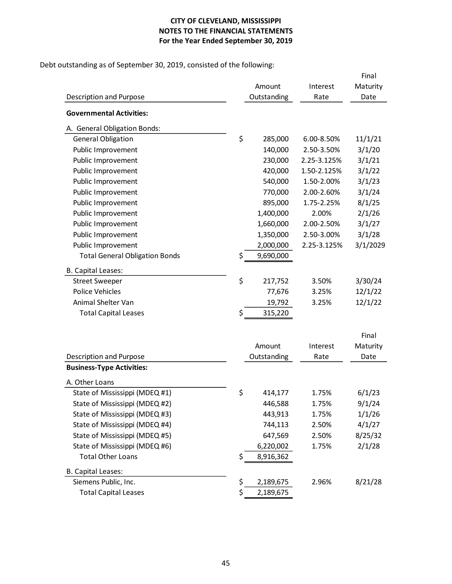Debt outstanding as of September 30, 2019, consisted of the following:

|                                       |                 |             | Final    |
|---------------------------------------|-----------------|-------------|----------|
|                                       | Amount          | Interest    | Maturity |
| Description and Purpose               | Outstanding     | Rate        | Date     |
| <b>Governmental Activities:</b>       |                 |             |          |
| A. General Obligation Bonds:          |                 |             |          |
| <b>General Obligation</b>             | \$<br>285,000   | 6.00-8.50%  | 11/1/21  |
| Public Improvement                    | 140,000         | 2.50-3.50%  | 3/1/20   |
| Public Improvement                    | 230,000         | 2.25-3.125% | 3/1/21   |
| Public Improvement                    | 420,000         | 1.50-2.125% | 3/1/22   |
| Public Improvement                    | 540,000         | 1.50-2.00%  | 3/1/23   |
| Public Improvement                    | 770,000         | 2.00-2.60%  | 3/1/24   |
| Public Improvement                    | 895,000         | 1.75-2.25%  | 8/1/25   |
| Public Improvement                    | 1,400,000       | 2.00%       | 2/1/26   |
| Public Improvement                    | 1,660,000       | 2.00-2.50%  | 3/1/27   |
| Public Improvement                    | 1,350,000       | 2.50-3.00%  | 3/1/28   |
| Public Improvement                    | 2,000,000       | 2.25-3.125% | 3/1/2029 |
| <b>Total General Obligation Bonds</b> | \$<br>9,690,000 |             |          |
| <b>B. Capital Leases:</b>             |                 |             |          |
| <b>Street Sweeper</b>                 | \$<br>217,752   | 3.50%       | 3/30/24  |
| Police Vehicles                       | 77,676          | 3.25%       | 12/1/22  |
| Animal Shelter Van                    | 19,792          | 3.25%       | 12/1/22  |
| <b>Total Capital Leases</b>           | \$<br>315,220   |             |          |
|                                       |                 |             | Final    |
|                                       | Amount          | Interest    | Maturity |
| Description and Purpose               | Outstanding     | Rate        | Date     |
| <b>Business-Type Activities:</b>      |                 |             |          |
| A. Other Loans                        |                 |             |          |
| State of Mississippi (MDEQ #1)        | \$<br>414,177   | 1.75%       | 6/1/23   |
| State of Mississippi (MDEQ #2)        | 446,588         | 1.75%       | 9/1/24   |
| State of Mississippi (MDEQ #3)        | 443,913         | 1.75%       | 1/1/26   |
| State of Mississippi (MDEQ #4)        | 744,113         | 2.50%       | 4/1/27   |
| State of Mississippi (MDEQ #5)        | 647,569         | 2.50%       | 8/25/32  |
| State of Mississippi (MDEQ #6)        | 6,220,002       | 1.75%       | 2/1/28   |
| <b>Total Other Loans</b>              | \$<br>8,916,362 |             |          |
| <b>B. Capital Leases:</b>             |                 |             |          |
| Siemens Public, Inc.                  | \$<br>2,189,675 | 2.96%       | 8/21/28  |
| <b>Total Capital Leases</b>           | \$<br>2,189,675 |             |          |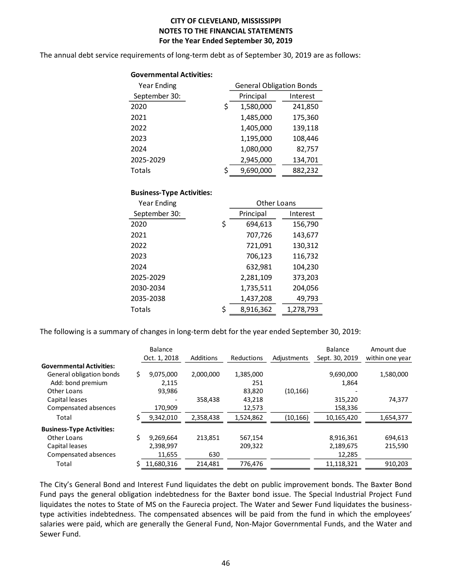The annual debt service requirements of long-term debt as of September 30, 2019 are as follows:

# **Governmental Activities:**

| <b>Year Ending</b> | <b>General Obligation Bonds</b> |          |  |  |  |
|--------------------|---------------------------------|----------|--|--|--|
| September 30:      | Principal                       | Interest |  |  |  |
| 2020               | \$<br>1,580,000                 | 241,850  |  |  |  |
| 2021               | 1,485,000                       | 175,360  |  |  |  |
| 2022               | 1,405,000                       | 139,118  |  |  |  |
| 2023               | 1,195,000                       | 108,446  |  |  |  |
| 2024               | 1,080,000                       | 82,757   |  |  |  |
| 2025-2029          | 2,945,000                       | 134,701  |  |  |  |
| Totals             | \$<br>9,690,000                 | 882,232  |  |  |  |

### **Business-Type Activities:**

| <b>Year Ending</b> | <b>Other Loans</b> |           |  |  |  |
|--------------------|--------------------|-----------|--|--|--|
| September 30:      | Principal          | Interest  |  |  |  |
| 2020               | \$<br>694,613      | 156,790   |  |  |  |
| 2021               | 707,726            | 143,677   |  |  |  |
| 2022               | 721,091            | 130,312   |  |  |  |
| 2023               | 706,123            | 116,732   |  |  |  |
| 2024               | 632,981            | 104,230   |  |  |  |
| 2025-2029          | 2,281,109          | 373,203   |  |  |  |
| 2030-2034          | 1,735,511          | 204,056   |  |  |  |
| 2035-2038          | 1,437,208          | 49,793    |  |  |  |
| Totals             | \$<br>8,916,362    | 1,278,793 |  |  |  |
|                    |                    |           |  |  |  |

The following is a summary of changes in long-term debt for the year ended September 30, 2019:

|                                  |    | <b>Balance</b><br>Oct. 1, 2018 | Additions | Reductions | Adjustments | Balance<br>Sept. 30, 2019 | Amount due<br>within one year |
|----------------------------------|----|--------------------------------|-----------|------------|-------------|---------------------------|-------------------------------|
|                                  |    |                                |           |            |             |                           |                               |
| <b>Governmental Activities:</b>  |    |                                |           |            |             |                           |                               |
| General obligation bonds         | Ś. | 9,075,000                      | 2,000,000 | 1,385,000  |             | 9,690,000                 | 1,580,000                     |
| Add: bond premium                |    | 2,115                          |           | 251        |             | 1,864                     |                               |
| Other Loans                      |    | 93,986                         |           | 83,820     | (10, 166)   |                           |                               |
| Capital leases                   |    |                                | 358,438   | 43,218     |             | 315,220                   | 74,377                        |
| Compensated absences             |    | 170,909                        |           | 12,573     |             | 158,336                   |                               |
| Total                            |    | 9,342,010                      | 2,358,438 | 1,524,862  | (10, 166)   | 10,165,420                | 1,654,377                     |
| <b>Business-Type Activities:</b> |    |                                |           |            |             |                           |                               |
| Other Loans                      |    | 9,269,664                      | 213,851   | 567,154    |             | 8,916,361                 | 694,613                       |
| Capital leases                   |    | 2,398,997                      |           | 209,322    |             | 2,189,675                 | 215,590                       |
| Compensated absences             |    | 11,655                         | 630       |            |             | 12,285                    |                               |
| Total                            |    | 11,680,316                     | 214,481   | 776,476    |             | 11,118,321                | 910,203                       |

The City's General Bond and Interest Fund liquidates the debt on public improvement bonds. The Baxter Bond Fund pays the general obligation indebtedness for the Baxter bond issue. The Special Industrial Project Fund liquidates the notes to State of MS on the Faurecia project. The Water and Sewer Fund liquidates the businesstype activities indebtedness. The compensated absences will be paid from the fund in which the employees' salaries were paid, which are generally the General Fund, Non-Major Governmental Funds, and the Water and Sewer Fund.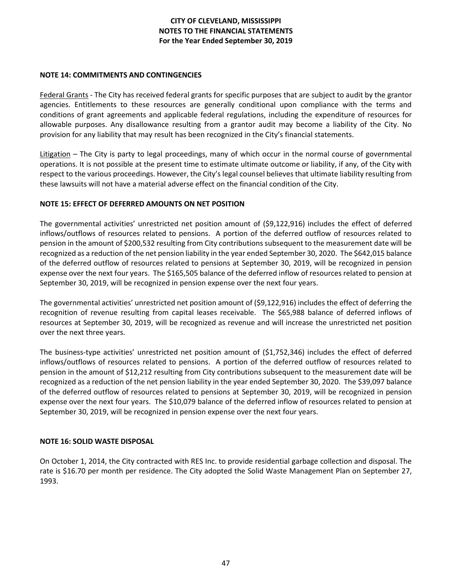# **NOTE 14: COMMITMENTS AND CONTINGENCIES**

Federal Grants - The City has received federal grants for specific purposes that are subject to audit by the grantor agencies. Entitlements to these resources are generally conditional upon compliance with the terms and conditions of grant agreements and applicable federal regulations, including the expenditure of resources for allowable purposes. Any disallowance resulting from a grantor audit may become a liability of the City. No provision for any liability that may result has been recognized in the City's financial statements.

Litigation - The City is party to legal proceedings, many of which occur in the normal course of governmental operations. It is not possible at the present time to estimate ultimate outcome or liability, if any, of the City with respect to the various proceedings. However, the City's legal counsel believes that ultimate liability resulting from these lawsuits will not have a material adverse effect on the financial condition of the City.

# **NOTE 15: EFFECT OF DEFERRED AMOUNTS ON NET POSITION**

The governmental activities' unrestricted net position amount of (\$9,122,916) includes the effect of deferred inflows/outflows of resources related to pensions. A portion of the deferred outflow of resources related to pension in the amount of \$200,532 resulting from City contributions subsequent to the measurement date will be recognized as a reduction of the net pension liability in the year ended September 30, 2020. The \$642,015 balance of the deferred outflow of resources related to pensions at September 30, 2019, will be recognized in pension expense over the next four years. The \$165,505 balance of the deferred inflow of resources related to pension at September 30, 2019, will be recognized in pension expense over the next four years.

The governmental activities' unrestricted net position amount of (\$9,122,916) includes the effect of deferring the recognition of revenue resulting from capital leases receivable. The \$65,988 balance of deferred inflows of resources at September 30, 2019, will be recognized as revenue and will increase the unrestricted net position over the next three years.

The business-type activities' unrestricted net position amount of (\$1,752,346) includes the effect of deferred inflows/outflows of resources related to pensions. A portion of the deferred outflow of resources related to pension in the amount of \$12,212 resulting from City contributions subsequent to the measurement date will be recognized as a reduction of the net pension liability in the year ended September 30, 2020. The \$39,097 balance of the deferred outflow of resources related to pensions at September 30, 2019, will be recognized in pension expense over the next four years. The \$10,079 balance of the deferred inflow of resources related to pension at September 30, 2019, will be recognized in pension expense over the next four years.

#### **NOTE 16: SOLID WASTE DISPOSAL**

On October 1, 2014, the City contracted with RES Inc. to provide residential garbage collection and disposal. The rate is \$16.70 per month per residence. The City adopted the Solid Waste Management Plan on September 27, 1993.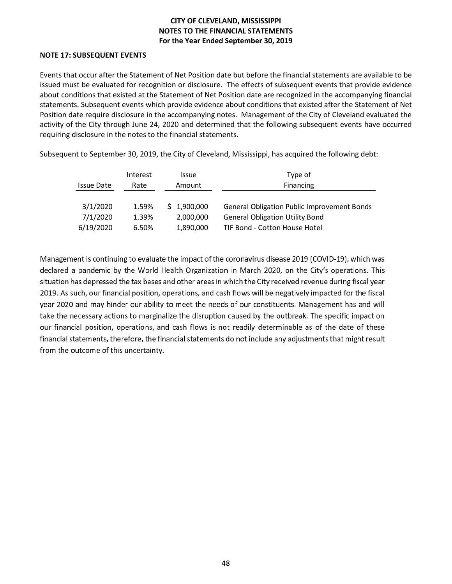### **NOTE 17: SUBSEQUENT EVENTS**

Events that occur after the Statement of Net Position date but before the financial statements are available to be issued must be evaluated for recognition or disclosure. The effects of subsequent events that provide evidence about conditions that existed at the Statement of Net Position date are recognized in the accompanying financial statements. Subsequent events which provide evidence about conditions that existed after the Statement of Net Position date require disclosure in the accompanying notes. Management of the City of Cleveland evaluated the activity of the City through June 24, 2020 and determined that the following subsequent events have occurred requiring disclosure in the notes to the financial statements.

Subsequent to September 30, 2019, the City of Cleveland, Mississippi, has acquired the following debt:

|                   | Interest | <b>Issue</b> | Type of                                            |
|-------------------|----------|--------------|----------------------------------------------------|
| <b>Issue Date</b> | Rate     | Amount       | Financing                                          |
|                   |          |              |                                                    |
| 3/1/2020          | 1.59%    | \$1,900,000  | <b>General Obligation Public Improvement Bonds</b> |
| 7/1/2020          | 1.39%    | 2,000,000    | <b>General Obligation Utility Bond</b>             |
| 6/19/2020         | 6.50%    | 1,890,000    | TIF Bond - Cotton House Hotel                      |

Management is continuing to evaluate the impact of the coronavirus disease 2019 (COVID-19), which was declared a pandemic by the World Health Organization in March 2020, on the City's operations. This situation has depressed the tax bases and other areas in which the City received revenue during fiscal year 2019. As such, our financial position, operations, and cash flows will be negatively impacted for the fiscal year 2020 and may hinder our ability to meet the needs of our constituents. Management has and will take the necessary actions to marginalize the disruption caused by the outbreak. The specific impact on our financial position, operations, and cash flows is not readily determinable as of the date of these financial statements, therefore, the financial statements do not include any adjustments that might result from the outcome of this uncertainty.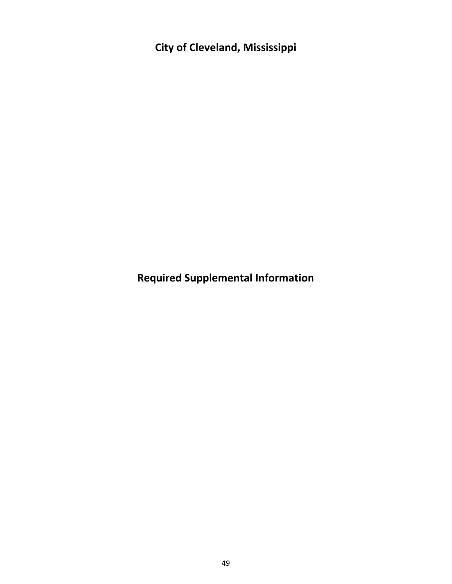**City of Cleveland, Mississippi**

**Required Supplemental Information**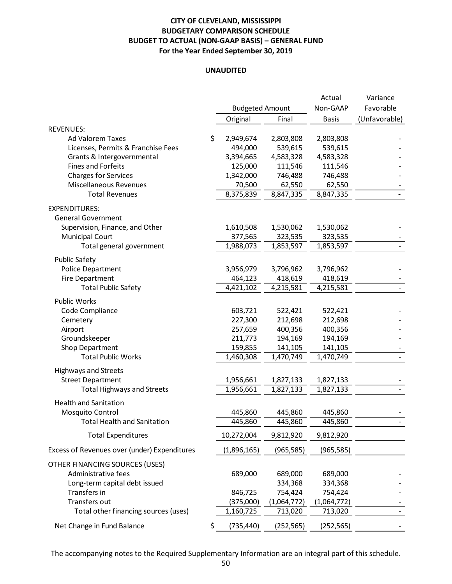# **CITY OF CLEVELAND, MISSISSIPPI BUDGETARY COMPARISON SCHEDULE BUDGET TO ACTUAL (NON-GAAP BASIS) – GENERAL FUND For the Year Ended September 30, 2019**

### **UNAUDITED**

|                                              |                        |             | Actual       | Variance      |
|----------------------------------------------|------------------------|-------------|--------------|---------------|
|                                              | <b>Budgeted Amount</b> |             | Non-GAAP     | Favorable     |
|                                              | Original               | Final       | <b>Basis</b> | (Unfavorable) |
| <b>REVENUES:</b>                             |                        |             |              |               |
| <b>Ad Valorem Taxes</b>                      | \$<br>2,949,674        | 2,803,808   | 2,803,808    |               |
| Licenses, Permits & Franchise Fees           | 494,000                | 539,615     | 539,615      |               |
| Grants & Intergovernmental                   | 3,394,665              | 4,583,328   | 4,583,328    |               |
| <b>Fines and Forfeits</b>                    | 125,000                | 111,546     | 111,546      |               |
| <b>Charges for Services</b>                  | 1,342,000              | 746,488     | 746,488      |               |
| <b>Miscellaneous Revenues</b>                | 70,500                 | 62,550      | 62,550       |               |
| <b>Total Revenues</b>                        | 8,375,839              | 8,847,335   | 8,847,335    |               |
| <b>EXPENDITURES:</b>                         |                        |             |              |               |
| <b>General Government</b>                    |                        |             |              |               |
| Supervision, Finance, and Other              | 1,610,508              | 1,530,062   | 1,530,062    |               |
| <b>Municipal Court</b>                       | 377,565                | 323,535     | 323,535      |               |
| Total general government                     | 1,988,073              | 1,853,597   | 1,853,597    |               |
| <b>Public Safety</b>                         |                        |             |              |               |
| Police Department                            | 3,956,979              | 3,796,962   | 3,796,962    |               |
| Fire Department                              | 464,123                | 418,619     | 418,619      |               |
| <b>Total Public Safety</b>                   | 4,421,102              | 4,215,581   | 4,215,581    |               |
|                                              |                        |             |              |               |
| Public Works                                 |                        |             |              |               |
| Code Compliance                              | 603,721                | 522,421     | 522,421      |               |
| Cemetery                                     | 227,300                | 212,698     | 212,698      |               |
| Airport                                      | 257,659                | 400,356     | 400,356      |               |
| Groundskeeper                                | 211,773                | 194,169     | 194,169      |               |
| Shop Department                              | 159,855                | 141,105     | 141,105      |               |
| <b>Total Public Works</b>                    | 1,460,308              | 1,470,749   | 1,470,749    |               |
| <b>Highways and Streets</b>                  |                        |             |              |               |
| <b>Street Department</b>                     | 1,956,661              | 1,827,133   | 1,827,133    |               |
| <b>Total Highways and Streets</b>            | 1,956,661              | 1,827,133   | 1,827,133    |               |
| <b>Health and Sanitation</b>                 |                        |             |              |               |
| Mosquito Control                             | 445,860                | 445,860     | 445,860      |               |
| <b>Total Health and Sanitation</b>           | 445,860                | 445,860     | 445,860      |               |
| <b>Total Expenditures</b>                    | 10,272,004             | 9,812,920   | 9,812,920    |               |
| Excess of Revenues over (under) Expenditures | (1,896,165)            | (965, 585)  | (965, 585)   |               |
| OTHER FINANCING SOURCES (USES)               |                        |             |              |               |
| Administrative fees                          | 689,000                | 689,000     | 689,000      |               |
| Long-term capital debt issued                |                        | 334,368     | 334,368      |               |
| Transfers in                                 | 846,725                | 754,424     | 754,424      |               |
| Transfers out                                | (375,000)              | (1,064,772) | (1,064,772)  |               |
| Total other financing sources (uses)         | 1,160,725              | 713,020     | 713,020      |               |
|                                              |                        |             |              |               |
| Net Change in Fund Balance                   | \$<br>(735, 440)       | (252, 565)  | (252, 565)   |               |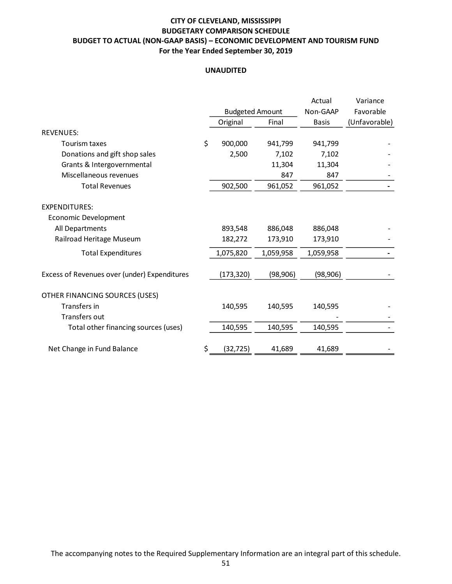# **CITY OF CLEVELAND, MISSISSIPPI BUDGETARY COMPARISON SCHEDULE BUDGET TO ACTUAL (NON-GAAP BASIS) – ECONOMIC DEVELOPMENT AND TOURISM FUND For the Year Ended September 30, 2019**

### **UNAUDITED**

|                                              |    |                        |           | Actual       | Variance      |
|----------------------------------------------|----|------------------------|-----------|--------------|---------------|
|                                              |    | <b>Budgeted Amount</b> |           | Non-GAAP     | Favorable     |
|                                              |    | Original               | Final     | <b>Basis</b> | (Unfavorable) |
| <b>REVENUES:</b>                             |    |                        |           |              |               |
| Tourism taxes                                | \$ | 900,000                | 941,799   | 941,799      |               |
| Donations and gift shop sales                |    | 2,500                  | 7,102     | 7,102        |               |
| Grants & Intergovernmental                   |    |                        | 11,304    | 11,304       |               |
| Miscellaneous revenues                       |    |                        | 847       | 847          |               |
| <b>Total Revenues</b>                        |    | 902,500                | 961,052   | 961,052      |               |
| <b>EXPENDITURES:</b>                         |    |                        |           |              |               |
| Economic Development                         |    |                        |           |              |               |
| All Departments                              |    | 893,548                | 886,048   | 886,048      |               |
| Railroad Heritage Museum                     |    | 182,272                | 173,910   | 173,910      |               |
| <b>Total Expenditures</b>                    |    | 1,075,820              | 1,059,958 | 1,059,958    |               |
| Excess of Revenues over (under) Expenditures |    | (173, 320)             | (98, 906) | (98, 906)    |               |
| OTHER FINANCING SOURCES (USES)               |    |                        |           |              |               |
| Transfers in                                 |    | 140,595                | 140,595   | 140,595      |               |
| Transfers out                                |    |                        |           |              |               |
| Total other financing sources (uses)         |    | 140,595                | 140,595   | 140,595      |               |
| Net Change in Fund Balance                   | Ş  | (32, 725)              | 41,689    | 41,689       |               |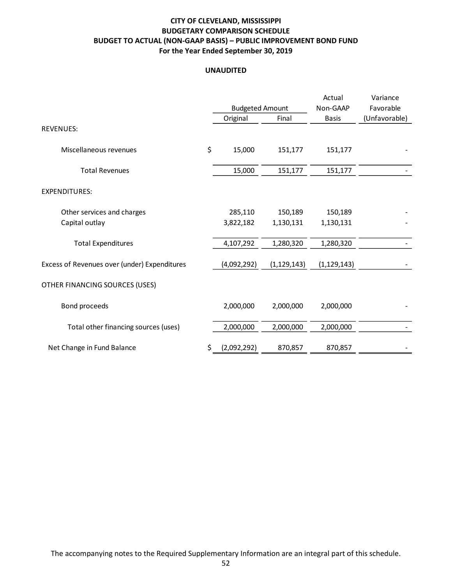# **CITY OF CLEVELAND, MISSISSIPPI BUDGETARY COMPARISON SCHEDULE BUDGET TO ACTUAL (NON-GAAP BASIS) – PUBLIC IMPROVEMENT BOND FUND For the Year Ended September 30, 2019**

### **UNAUDITED**

|                                              |                        |                      | Actual               | Variance      |
|----------------------------------------------|------------------------|----------------------|----------------------|---------------|
|                                              | <b>Budgeted Amount</b> |                      | Non-GAAP             | Favorable     |
|                                              | Original               | Final                | <b>Basis</b>         | (Unfavorable) |
| <b>REVENUES:</b>                             |                        |                      |                      |               |
| Miscellaneous revenues                       | \$<br>15,000           | 151,177              | 151,177              |               |
| <b>Total Revenues</b>                        | 15,000                 | 151,177              | 151,177              |               |
| <b>EXPENDITURES:</b>                         |                        |                      |                      |               |
| Other services and charges<br>Capital outlay | 285,110<br>3,822,182   | 150,189<br>1,130,131 | 150,189<br>1,130,131 |               |
| <b>Total Expenditures</b>                    | 4,107,292              | 1,280,320            | 1,280,320            |               |
| Excess of Revenues over (under) Expenditures | (4,092,292)            | (1, 129, 143)        | (1, 129, 143)        |               |
| OTHER FINANCING SOURCES (USES)               |                        |                      |                      |               |
| Bond proceeds                                | 2,000,000              | 2,000,000            | 2,000,000            |               |
| Total other financing sources (uses)         | 2,000,000              | 2,000,000            | 2,000,000            |               |
| Net Change in Fund Balance                   | \$<br>(2,092,292)      | 870,857              | 870,857              |               |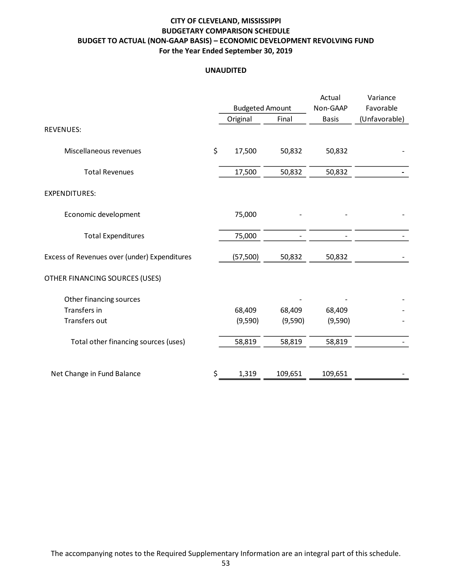# **CITY OF CLEVELAND, MISSISSIPPI BUDGETARY COMPARISON SCHEDULE BUDGET TO ACTUAL (NON-GAAP BASIS) – ECONOMIC DEVELOPMENT REVOLVING FUND For the Year Ended September 30, 2019**

### **UNAUDITED**

|                                              |                        |         | Actual       | Variance      |
|----------------------------------------------|------------------------|---------|--------------|---------------|
|                                              | <b>Budgeted Amount</b> |         | Non-GAAP     | Favorable     |
|                                              | Original               | Final   | <b>Basis</b> | (Unfavorable) |
| <b>REVENUES:</b>                             |                        |         |              |               |
| Miscellaneous revenues                       | \$<br>17,500           | 50,832  | 50,832       |               |
| <b>Total Revenues</b>                        | 17,500                 | 50,832  | 50,832       |               |
| <b>EXPENDITURES:</b>                         |                        |         |              |               |
| Economic development                         | 75,000                 |         |              |               |
| <b>Total Expenditures</b>                    | 75,000                 |         |              |               |
| Excess of Revenues over (under) Expenditures | (57, 500)              | 50,832  | 50,832       |               |
| OTHER FINANCING SOURCES (USES)               |                        |         |              |               |
| Other financing sources                      |                        |         |              |               |
| Transfers in                                 | 68,409                 | 68,409  | 68,409       |               |
| Transfers out                                | (9,590)                | (9,590) | (9,590)      |               |
| Total other financing sources (uses)         | 58,819                 | 58,819  | 58,819       |               |
| Net Change in Fund Balance                   | \$<br>1,319            | 109,651 | 109,651      |               |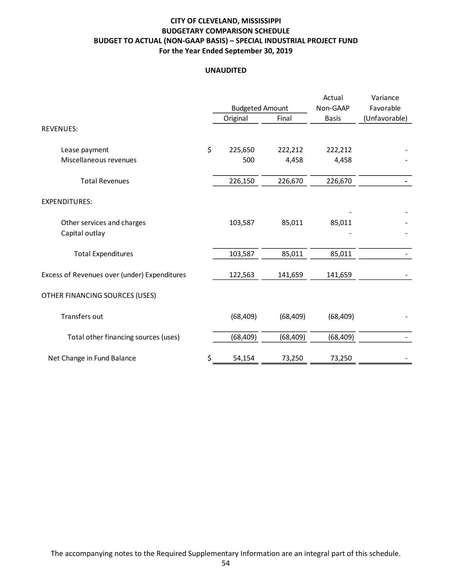# **CITY OF CLEVELAND, MISSISSIPPI BUDGETARY COMPARISON SCHEDULE BUDGET TO ACTUAL (NON-GAAP BASIS) – SPECIAL INDUSTRIAL PROJECT FUND For the Year Ended September 30, 2019**

### **UNAUDITED**

|                                              |                        |           | Actual       | Variance      |
|----------------------------------------------|------------------------|-----------|--------------|---------------|
|                                              | <b>Budgeted Amount</b> |           | Non-GAAP     | Favorable     |
|                                              | Original               | Final     | <b>Basis</b> | (Unfavorable) |
| <b>REVENUES:</b>                             |                        |           |              |               |
| Lease payment                                | \$<br>225,650          | 222,212   | 222,212      |               |
| Miscellaneous revenues                       | 500                    | 4,458     | 4,458        |               |
| <b>Total Revenues</b>                        | 226,150                | 226,670   | 226,670      |               |
| <b>EXPENDITURES:</b>                         |                        |           |              |               |
| Other services and charges<br>Capital outlay | 103,587                | 85,011    | 85,011       |               |
|                                              |                        |           |              |               |
| <b>Total Expenditures</b>                    | 103,587                | 85,011    | 85,011       |               |
| Excess of Revenues over (under) Expenditures | 122,563                | 141,659   | 141,659      |               |
| OTHER FINANCING SOURCES (USES)               |                        |           |              |               |
| Transfers out                                | (68, 409)              | (68, 409) | (68, 409)    |               |
| Total other financing sources (uses)         | (68, 409)              | (68, 409) | (68, 409)    |               |
| Net Change in Fund Balance                   | \$<br>54,154           | 73,250    | 73,250       |               |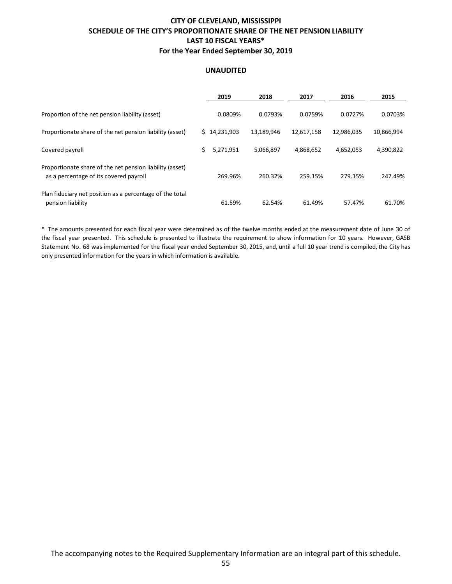# **CITY OF CLEVELAND, MISSISSIPPI SCHEDULE OF THE CITY'S PROPORTIONATE SHARE OF THE NET PENSION LIABILITY LAST 10 FISCAL YEARS\* For the Year Ended September 30, 2019**

#### **UNAUDITED**

|                                                                                                    |    | 2019       | 2018       | 2017       | 2016       | 2015       |
|----------------------------------------------------------------------------------------------------|----|------------|------------|------------|------------|------------|
| Proportion of the net pension liability (asset)                                                    |    | 0.0809%    | 0.0793%    | 0.0759%    | 0.0727%    | 0.0703%    |
| Proportionate share of the net pension liability (asset)                                           | S. | 14,231,903 | 13,189,946 | 12,617,158 | 12,986,035 | 10,866,994 |
| Covered payroll                                                                                    | Ś. | 5,271,951  | 5,066,897  | 4,868,652  | 4,652,053  | 4,390,822  |
| Proportionate share of the net pension liability (asset)<br>as a percentage of its covered payroll |    | 269.96%    | 260.32%    | 259.15%    | 279.15%    | 247.49%    |
| Plan fiduciary net position as a percentage of the total<br>pension liability                      |    | 61.59%     | 62.54%     | 61.49%     | 57.47%     | 61.70%     |

\* The amounts presented for each fiscal year were determined as of the twelve months ended at the measurement date of June 30 of the fiscal year presented. This schedule is presented to illustrate the requirement to show information for 10 years. However, GASB Statement No. 68 was implemented for the fiscal year ended September 30, 2015, and, until <sup>a</sup> full 10 year trend is compiled, the City has only presented information for the years in which information is available.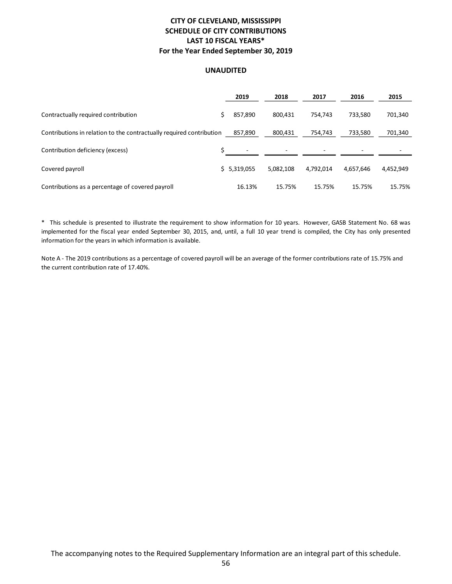# **CITY OF CLEVELAND, MISSISSIPPI SCHEDULE OF CITY CONTRIBUTIONS LAST 10 FISCAL YEARS\* For the Year Ended September 30, 2019**

#### **UNAUDITED**

|                                                                      | 2019          | 2018      | 2017      | 2016      | 2015      |
|----------------------------------------------------------------------|---------------|-----------|-----------|-----------|-----------|
| Contractually required contribution                                  | \$<br>857,890 | 800.431   | 754.743   | 733,580   | 701,340   |
| Contributions in relation to the contractually required contribution | 857,890       | 800,431   | 754,743   | 733,580   | 701,340   |
| Contribution deficiency (excess)                                     |               |           |           |           |           |
| Covered payroll                                                      | \$5,319,055   | 5,082,108 | 4.792.014 | 4,657,646 | 4,452,949 |
| Contributions as a percentage of covered payroll                     | 16.13%        | 15.75%    | 15.75%    | 15.75%    | 15.75%    |

\* This schedule is presented to illustrate the requirement to show information for 10 years. However, GASB Statement No. 68 was implemented for the fiscal year ended September 30, 2015, and, until, <sup>a</sup> full 10 year trend is compiled, the City has only presented information for the years in which information is available.

Note A - The 2019 contributions as a percentage of covered payroll will be an average of the former contributions rate of 15.75% and the current contribution rate of 17.40%.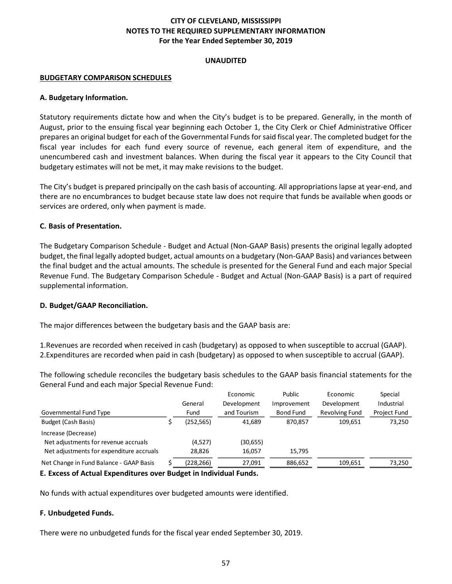# **CITY OF CLEVELAND, MISSISSIPPI NOTES TO THE REQUIRED SUPPLEMENTARY INFORMATION For the Year Ended September 30, 2019**

### **UNAUDITED**

### **BUDGETARY COMPARISON SCHEDULES**

### **A. Budgetary Information.**

Statutory requirements dictate how and when the City's budget is to be prepared. Generally, in the month of August, prior to the ensuing fiscal year beginning each October 1, the City Clerk or Chief Administrative Officer prepares an original budget for each of the Governmental Funds for said fiscal year. The completed budget for the fiscal year includes for each fund every source of revenue, each general item of expenditure, and the unencumbered cash and investment balances. When during the fiscal year it appears to the City Council that budgetary estimates will not be met, it may make revisions to the budget.

The City's budget is prepared principally on the cash basis of accounting. All appropriations lapse at year-end, and there are no encumbrances to budget because state law does not require that funds be available when goods or services are ordered, only when payment is made.

### **C. Basis of Presentation.**

The Budgetary Comparison Schedule - Budget and Actual (Non-GAAP Basis) presents the original legally adopted budget, the final legally adopted budget, actual amounts on a budgetary (Non-GAAP Basis) and variances between the final budget and the actual amounts. The schedule is presented for the General Fund and each major Special Revenue Fund. The Budgetary Comparison Schedule - Budget and Actual (Non-GAAP Basis) is a part of required supplemental information.

# **D. Budget/GAAP Reconciliation.**

The major differences between the budgetary basis and the GAAP basis are:

1.Revenues are recorded when received in cash (budgetary) as opposed to when susceptible to accrual (GAAP). 2.Expenditures are recorded when paid in cash (budgetary) as opposed to when susceptible to accrual (GAAP).

The following schedule reconciles the budgetary basis schedules to the GAAP basis financial statements for the General Fund and each major Special Revenue Fund:

|                                          |            | Economic    | Public           | Economic              | Special      |
|------------------------------------------|------------|-------------|------------------|-----------------------|--------------|
|                                          | General    | Development | Improvement      | Development           | Industrial   |
| Governmental Fund Type                   | Fund       | and Tourism | <b>Bond Fund</b> | <b>Revolving Fund</b> | Project Fund |
| Budget (Cash Basis)                      | (252, 565) | 41.689      | 870.857          | 109,651               | 73,250       |
| Increase (Decrease)                      |            |             |                  |                       |              |
| Net adjustments for revenue accruals     | (4,527)    | (30,655)    |                  |                       |              |
| Net adjustments for expenditure accruals | 28.826     | 16,057      | 15.795           |                       |              |
| Net Change in Fund Balance - GAAP Basis  | (228, 266) | 27,091      | 886.652          | 109.651               | 73.250       |

#### **E. Excess of Actual Expenditures over Budget in Individual Funds.**

No funds with actual expenditures over budgeted amounts were identified.

# **F. Unbudgeted Funds.**

There were no unbudgeted funds for the fiscal year ended September 30, 2019.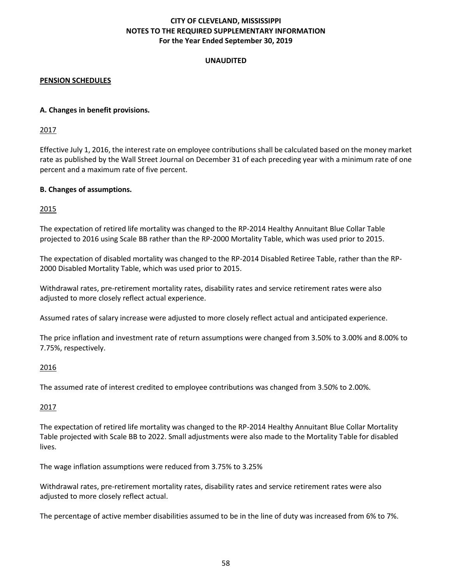# **CITY OF CLEVELAND, MISSISSIPPI NOTES TO THE REQUIRED SUPPLEMENTARY INFORMATION For the Year Ended September 30, 2019**

# **UNAUDITED**

### **PENSION SCHEDULES**

### **A. Changes in benefit provisions.**

#### 2017

Effective July 1, 2016, the interest rate on employee contributions shall be calculated based on the money market rate as published by the Wall Street Journal on December 31 of each preceding year with a minimum rate of one percent and a maximum rate of five percent.

### **B. Changes of assumptions.**

### 2015

The expectation of retired life mortality was changed to the RP-2014 Healthy Annuitant Blue Collar Table projected to 2016 using Scale BB rather than the RP-2000 Mortality Table, which was used prior to 2015.

The expectation of disabled mortality was changed to the RP-2014 Disabled Retiree Table, rather than the RP-2000 Disabled Mortality Table, which was used prior to 2015.

Withdrawal rates, pre-retirement mortality rates, disability rates and service retirement rates were also adjusted to more closely reflect actual experience.

Assumed rates of salary increase were adjusted to more closely reflect actual and anticipated experience.

The price inflation and investment rate of return assumptions were changed from 3.50% to 3.00% and 8.00% to 7.75%, respectively.

# 2016

The assumed rate of interest credited to employee contributions was changed from 3.50% to 2.00%.

# 2017

The expectation of retired life mortality was changed to the RP-2014 Healthy Annuitant Blue Collar Mortality Table projected with Scale BB to 2022. Small adjustments were also made to the Mortality Table for disabled lives.

The wage inflation assumptions were reduced from 3.75% to 3.25%

Withdrawal rates, pre-retirement mortality rates, disability rates and service retirement rates were also adjusted to more closely reflect actual.

The percentage of active member disabilities assumed to be in the line of duty was increased from 6% to 7%.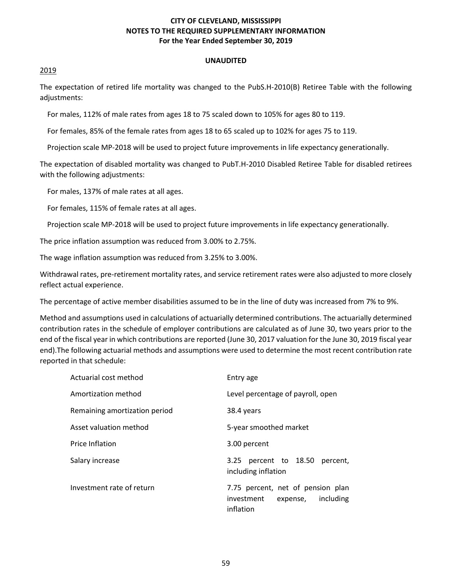# **CITY OF CLEVELAND, MISSISSIPPI NOTES TO THE REQUIRED SUPPLEMENTARY INFORMATION For the Year Ended September 30, 2019**

### **UNAUDITED**

### 2019

The expectation of retired life mortality was changed to the PubS.H-2010(B) Retiree Table with the following adjustments:

For males, 112% of male rates from ages 18 to 75 scaled down to 105% for ages 80 to 119.

For females, 85% of the female rates from ages 18 to 65 scaled up to 102% for ages 75 to 119.

Projection scale MP-2018 will be used to project future improvements in life expectancy generationally.

The expectation of disabled mortality was changed to PubT.H-2010 Disabled Retiree Table for disabled retirees with the following adjustments:

For males, 137% of male rates at all ages.

For females, 115% of female rates at all ages.

Projection scale MP-2018 will be used to project future improvements in life expectancy generationally.

The price inflation assumption was reduced from 3.00% to 2.75%.

The wage inflation assumption was reduced from 3.25% to 3.00%.

Withdrawal rates, pre-retirement mortality rates, and service retirement rates were also adjusted to more closely reflect actual experience.

The percentage of active member disabilities assumed to be in the line of duty was increased from 7% to 9%.

Method and assumptions used in calculations of actuarially determined contributions. The actuarially determined contribution rates in the schedule of employer contributions are calculated as of June 30, two years prior to the end of the fiscal year in which contributions are reported (June 30, 2017 valuation for the June 30, 2019 fiscal year end).The following actuarial methods and assumptions were used to determine the most recent contribution rate reported in that schedule:

| Actuarial cost method         | Entry age                                                                             |  |  |  |
|-------------------------------|---------------------------------------------------------------------------------------|--|--|--|
| Amortization method           | Level percentage of payroll, open                                                     |  |  |  |
| Remaining amortization period | 38.4 years                                                                            |  |  |  |
| Asset valuation method        | 5-year smoothed market                                                                |  |  |  |
| Price Inflation               | 3.00 percent                                                                          |  |  |  |
| Salary increase               | 3.25 percent to 18.50<br>percent,<br>including inflation                              |  |  |  |
| Investment rate of return     | 7.75 percent, net of pension plan<br>including<br>investment<br>expense,<br>inflation |  |  |  |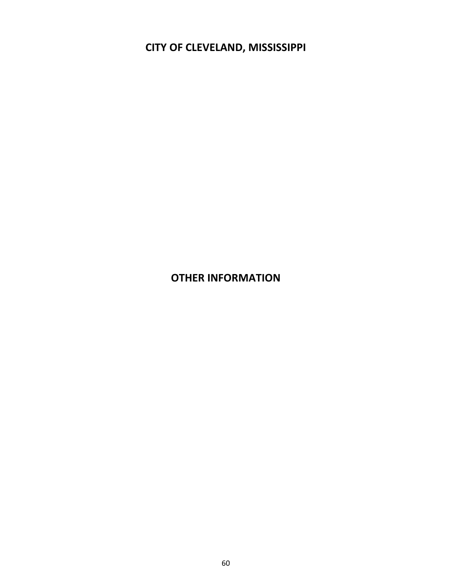**CITY OF CLEVELAND, MISSISSIPPI**

# **OTHER INFORMATION**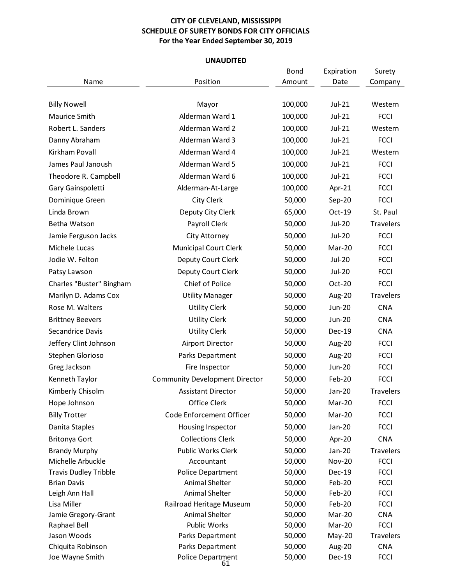# **CITY OF CLEVELAND, MISSISSIPPI SCHEDULE OF SURETY BONDS FOR CITY OFFICIALS For the Year Ended September 30, 2019**

# **UNAUDITED**

|                              |                                       | Bond    | Expiration    | Surety           |
|------------------------------|---------------------------------------|---------|---------------|------------------|
| Name                         | Position                              | Amount  | Date          | Company          |
|                              |                                       |         |               |                  |
| <b>Billy Nowell</b>          | Mayor                                 | 100,000 | Jul-21        | Western          |
| Maurice Smith                | Alderman Ward 1                       | 100,000 | Jul-21        | <b>FCCI</b>      |
| Robert L. Sanders            | Alderman Ward 2                       | 100,000 | Jul-21        | Western          |
| Danny Abraham                | Alderman Ward 3                       | 100,000 | Jul-21        | <b>FCCI</b>      |
| Kirkham Povall               | Alderman Ward 4                       | 100,000 | Jul-21        | Western          |
| James Paul Janoush           | Alderman Ward 5                       | 100,000 | Jul-21        | <b>FCCI</b>      |
| Theodore R. Campbell         | Alderman Ward 6                       | 100,000 | Jul-21        | <b>FCCI</b>      |
| Gary Gainspoletti            | Alderman-At-Large                     | 100,000 | Apr-21        | <b>FCCI</b>      |
| Dominique Green              | City Clerk                            | 50,000  | Sep-20        | <b>FCCI</b>      |
| Linda Brown                  | Deputy City Clerk                     | 65,000  | Oct-19        | St. Paul         |
| Betha Watson                 | Payroll Clerk                         | 50,000  | Jul-20        | Travelers        |
| Jamie Ferguson Jacks         | City Attorney                         | 50,000  | Jul-20        | <b>FCCI</b>      |
| Michele Lucas                | <b>Municipal Court Clerk</b>          | 50,000  | Mar-20        | <b>FCCI</b>      |
| Jodie W. Felton              | Deputy Court Clerk                    | 50,000  | Jul-20        | <b>FCCI</b>      |
| Patsy Lawson                 | Deputy Court Clerk                    | 50,000  | Jul-20        | <b>FCCI</b>      |
| Charles "Buster" Bingham     | Chief of Police                       | 50,000  | Oct-20        | <b>FCCI</b>      |
| Marilyn D. Adams Cox         | <b>Utility Manager</b>                | 50,000  | Aug-20        | <b>Travelers</b> |
| Rose M. Walters              | <b>Utility Clerk</b>                  | 50,000  | Jun-20        | <b>CNA</b>       |
| <b>Brittney Beevers</b>      | <b>Utility Clerk</b>                  | 50,000  | <b>Jun-20</b> | <b>CNA</b>       |
| <b>Secandrice Davis</b>      | <b>Utility Clerk</b>                  | 50,000  | Dec-19        | <b>CNA</b>       |
| Jeffery Clint Johnson        | Airport Director                      | 50,000  | Aug-20        | <b>FCCI</b>      |
| Stephen Glorioso             | Parks Department                      | 50,000  | Aug-20        | <b>FCCI</b>      |
| Greg Jackson                 | Fire Inspector                        | 50,000  | Jun-20        | <b>FCCI</b>      |
| Kenneth Taylor               | <b>Community Development Director</b> | 50,000  | Feb-20        | <b>FCCI</b>      |
| Kimberly Chisolm             | <b>Assistant Director</b>             | 50,000  | Jan-20        | Travelers        |
| Hope Johnson                 | Office Clerk                          | 50,000  | Mar-20        | <b>FCCI</b>      |
| <b>Billy Trotter</b>         | Code Enforcement Officer              | 50,000  | Mar-20        | <b>FCCI</b>      |
| Danita Staples               | Housing Inspector                     | 50,000  | Jan-20        | <b>FCCI</b>      |
| <b>Britonya Gort</b>         | <b>Collections Clerk</b>              | 50,000  | Apr-20        | <b>CNA</b>       |
| <b>Brandy Murphy</b>         | <b>Public Works Clerk</b>             | 50,000  | Jan-20        | Travelers        |
| Michelle Arbuckle            | Accountant                            | 50,000  | <b>Nov-20</b> | <b>FCCI</b>      |
| <b>Travis Dudley Tribble</b> | Police Department                     | 50,000  | <b>Dec-19</b> | <b>FCCI</b>      |
| <b>Brian Davis</b>           | <b>Animal Shelter</b>                 | 50,000  | Feb-20        | <b>FCCI</b>      |
| Leigh Ann Hall               | Animal Shelter                        | 50,000  | Feb-20        | <b>FCCI</b>      |
| Lisa Miller                  | Railroad Heritage Museum              | 50,000  | Feb-20        | <b>FCCI</b>      |
| Jamie Gregory-Grant          | Animal Shelter                        | 50,000  | Mar-20        | <b>CNA</b>       |
| Raphael Bell                 | Public Works                          | 50,000  | Mar-20        | <b>FCCI</b>      |
| Jason Woods                  | Parks Department                      | 50,000  | May-20        | Travelers        |
| Chiquita Robinson            | Parks Department                      | 50,000  | Aug-20        | <b>CNA</b>       |
| Joe Wayne Smith              | Police Department                     | 50,000  | Dec-19        | <b>FCCI</b>      |

61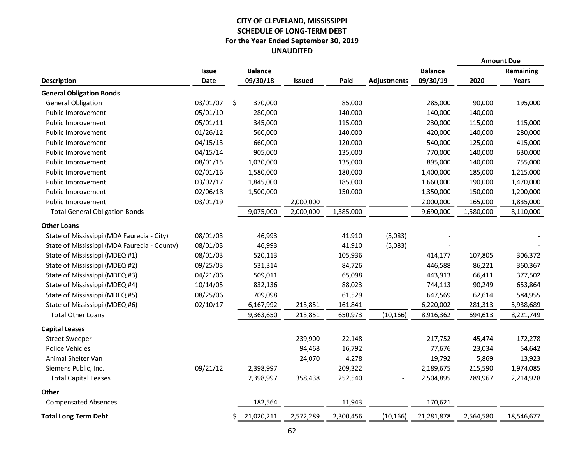# **CITY OF CLEVELAND, MISSISSIPPI SCHEDULE OF LONG-TERM DEBT For the Year Ended September 30, 2019 UNAUDITED**

|                                                          |                  |               |           |                          |                | <b>Amount Due</b> |            |
|----------------------------------------------------------|------------------|---------------|-----------|--------------------------|----------------|-------------------|------------|
| <b>Issue</b>                                             | <b>Balance</b>   |               |           |                          | <b>Balance</b> |                   | Remaining  |
| <b>Description</b><br>Date                               | 09/30/18         | <b>Issued</b> | Paid      | <b>Adjustments</b>       | 09/30/19       | 2020              | Years      |
| <b>General Obligation Bonds</b>                          |                  |               |           |                          |                |                   |            |
| <b>General Obligation</b><br>03/01/07                    | \$<br>370,000    |               | 85,000    |                          | 285,000        | 90,000            | 195,000    |
| 05/01/10<br>Public Improvement                           | 280,000          |               | 140,000   |                          | 140,000        | 140,000           |            |
| 05/01/11<br>Public Improvement                           | 345,000          |               | 115,000   |                          | 230,000        | 115,000           | 115,000    |
| 01/26/12<br>Public Improvement                           | 560,000          |               | 140,000   |                          | 420,000        | 140,000           | 280,000    |
| Public Improvement<br>04/15/13                           | 660,000          |               | 120,000   |                          | 540,000        | 125,000           | 415,000    |
| 04/15/14<br>Public Improvement                           | 905,000          |               | 135,000   |                          | 770,000        | 140,000           | 630,000    |
| 08/01/15<br>Public Improvement                           | 1,030,000        |               | 135,000   |                          | 895,000        | 140,000           | 755,000    |
| 02/01/16<br>Public Improvement                           | 1,580,000        |               | 180,000   |                          | 1,400,000      | 185,000           | 1,215,000  |
| 03/02/17<br>Public Improvement                           | 1,845,000        |               | 185,000   |                          | 1,660,000      | 190,000           | 1,470,000  |
| 02/06/18<br>Public Improvement                           | 1,500,000        |               | 150,000   |                          | 1,350,000      | 150,000           | 1,200,000  |
| 03/01/19<br>Public Improvement                           |                  | 2,000,000     |           |                          | 2,000,000      | 165,000           | 1,835,000  |
| <b>Total General Obligation Bonds</b>                    | 9,075,000        | 2,000,000     | 1,385,000 | $\overline{\phantom{a}}$ | 9,690,000      | 1,580,000         | 8,110,000  |
| <b>Other Loans</b>                                       |                  |               |           |                          |                |                   |            |
| 08/01/03<br>State of Mississippi (MDA Faurecia - City)   | 46,993           |               | 41,910    | (5,083)                  |                |                   |            |
| State of Mississippi (MDA Faurecia - County)<br>08/01/03 | 46,993           |               | 41,910    | (5,083)                  |                |                   |            |
| State of Mississippi (MDEQ #1)<br>08/01/03               | 520,113          |               | 105,936   |                          | 414,177        | 107,805           | 306,372    |
| 09/25/03<br>State of Mississippi (MDEQ #2)               | 531,314          |               | 84,726    |                          | 446,588        | 86,221            | 360,367    |
| 04/21/06<br>State of Mississippi (MDEQ #3)               | 509,011          |               | 65,098    |                          | 443,913        | 66,411            | 377,502    |
| 10/14/05<br>State of Mississippi (MDEQ #4)               | 832,136          |               | 88,023    |                          | 744,113        | 90,249            | 653,864    |
| 08/25/06<br>State of Mississippi (MDEQ #5)               | 709,098          |               | 61,529    |                          | 647,569        | 62,614            | 584,955    |
| State of Mississippi (MDEQ #6)<br>02/10/17               | 6,167,992        | 213,851       | 161,841   |                          | 6,220,002      | 281,313           | 5,938,689  |
| <b>Total Other Loans</b>                                 | 9,363,650        | 213,851       | 650,973   | (10, 166)                | 8,916,362      | 694,613           | 8,221,749  |
| <b>Capital Leases</b>                                    |                  |               |           |                          |                |                   |            |
| <b>Street Sweeper</b>                                    |                  | 239,900       | 22,148    |                          | 217,752        | 45,474            | 172,278    |
| Police Vehicles                                          |                  | 94,468        | 16,792    |                          | 77,676         | 23,034            | 54,642     |
| Animal Shelter Van                                       |                  | 24,070        | 4,278     |                          | 19,792         | 5,869             | 13,923     |
| 09/21/12<br>Siemens Public, Inc.                         | 2,398,997        |               | 209,322   |                          | 2,189,675      | 215,590           | 1,974,085  |
| <b>Total Capital Leases</b>                              | 2,398,997        | 358,438       | 252,540   | $\omega$                 | 2,504,895      | 289,967           | 2,214,928  |
| <b>Other</b>                                             |                  |               |           |                          |                |                   |            |
| <b>Compensated Absences</b>                              | 182,564          |               | 11,943    |                          | 170,621        |                   |            |
| <b>Total Long Term Debt</b>                              | 21,020,211<br>\$ | 2,572,289     | 2,300,456 | (10, 166)                | 21,281,878     | 2,564,580         | 18,546,677 |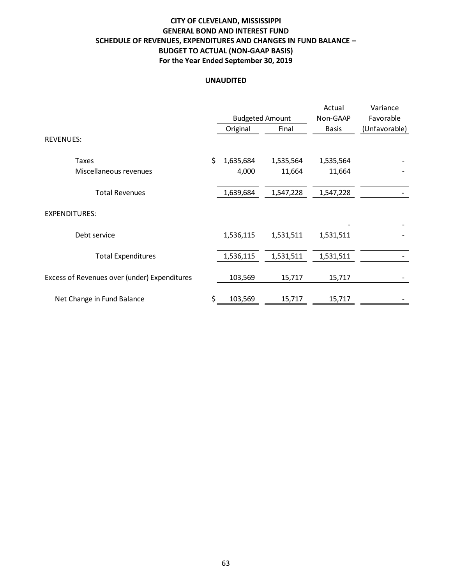# **CITY OF CLEVELAND, MISSISSIPPI GENERAL BOND AND INTEREST FUND SCHEDULE OF REVENUES, EXPENDITURES AND CHANGES IN FUND BALANCE – BUDGET TO ACTUAL (NON-GAAP BASIS) For the Year Ended September 30, 2019**

#### **UNAUDITED**

|                                              |                 |                        | Actual       | Variance      |
|----------------------------------------------|-----------------|------------------------|--------------|---------------|
|                                              |                 | <b>Budgeted Amount</b> | Non-GAAP     | Favorable     |
|                                              | Original        | Final                  | <b>Basis</b> | (Unfavorable) |
| <b>REVENUES:</b>                             |                 |                        |              |               |
| Taxes                                        | \$<br>1,635,684 | 1,535,564              | 1,535,564    |               |
| Miscellaneous revenues                       | 4,000           | 11,664                 | 11,664       |               |
| <b>Total Revenues</b>                        | 1,639,684       | 1,547,228              | 1,547,228    |               |
| <b>EXPENDITURES:</b>                         |                 |                        |              |               |
| Debt service                                 | 1,536,115       | 1,531,511              | 1,531,511    |               |
| <b>Total Expenditures</b>                    | 1,536,115       | 1,531,511              | 1,531,511    |               |
| Excess of Revenues over (under) Expenditures | 103,569         | 15,717                 | 15,717       |               |
| Net Change in Fund Balance                   | \$<br>103,569   | 15,717                 | 15,717       |               |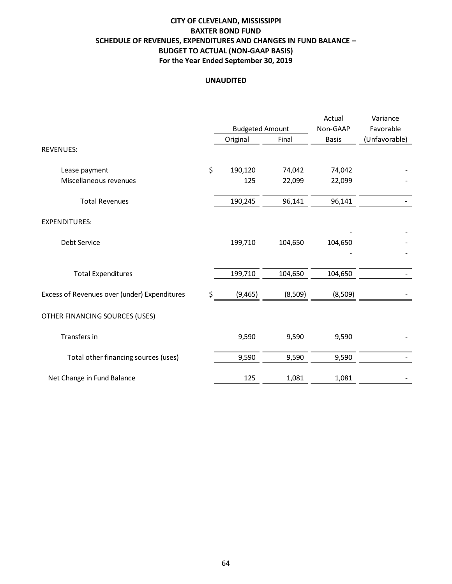# **CITY OF CLEVELAND, MISSISSIPPI BAXTER BOND FUND SCHEDULE OF REVENUES, EXPENDITURES AND CHANGES IN FUND BALANCE – BUDGET TO ACTUAL (NON-GAAP BASIS) For the Year Ended September 30, 2019**

### **UNAUDITED**

|                                              | <b>Budgeted Amount</b> |         | Actual<br>Non-GAAP | Variance<br>Favorable |  |
|----------------------------------------------|------------------------|---------|--------------------|-----------------------|--|
|                                              | Original               | Final   | <b>Basis</b>       | (Unfavorable)         |  |
| <b>REVENUES:</b>                             |                        |         |                    |                       |  |
| Lease payment                                | \$<br>190,120          | 74,042  | 74,042             |                       |  |
| Miscellaneous revenues                       | 125                    | 22,099  | 22,099             |                       |  |
| <b>Total Revenues</b>                        | 190,245                | 96,141  | 96,141             |                       |  |
| <b>EXPENDITURES:</b>                         |                        |         |                    |                       |  |
| Debt Service                                 | 199,710                | 104,650 | 104,650            |                       |  |
| <b>Total Expenditures</b>                    | 199,710                | 104,650 | 104,650            |                       |  |
| Excess of Revenues over (under) Expenditures | \$<br>(9,465)          | (8,509) | (8,509)            |                       |  |
| OTHER FINANCING SOURCES (USES)               |                        |         |                    |                       |  |
| Transfers in                                 | 9,590                  | 9,590   | 9,590              |                       |  |
| Total other financing sources (uses)         | 9,590                  | 9,590   | 9,590              |                       |  |
| Net Change in Fund Balance                   | 125                    | 1,081   | 1,081              |                       |  |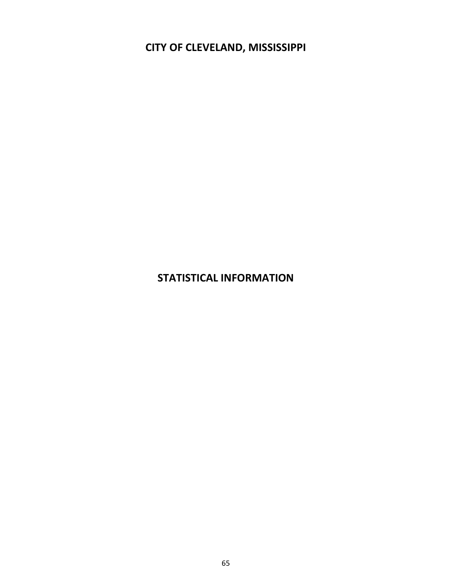**CITY OF CLEVELAND, MISSISSIPPI**

# **STATISTICAL INFORMATION**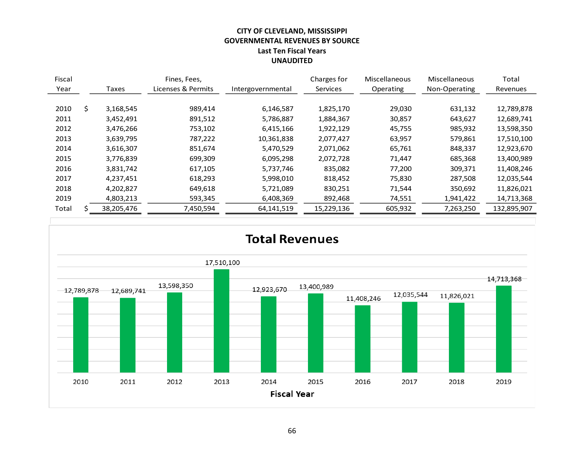# **CITY OF CLEVELAND, MISSISSIPPI GOVERNMENTAL REVENUES BY SOURCE Last Ten Fiscal Years UNAUDITED**

| Fiscal |                 | Fines, Fees,       |                   | Charges for     | <b>Miscellaneous</b> | <b>Miscellaneous</b> | Total       |
|--------|-----------------|--------------------|-------------------|-----------------|----------------------|----------------------|-------------|
| Year   | Taxes           | Licenses & Permits | Intergovernmental | <b>Services</b> | Operating            | Non-Operating        | Revenues    |
|        |                 |                    |                   |                 |                      |                      |             |
| 2010   | \$<br>3,168,545 | 989,414            | 6,146,587         | 1,825,170       | 29,030               | 631,132              | 12,789,878  |
| 2011   | 3,452,491       | 891,512            | 5,786,887         | 1,884,367       | 30,857               | 643,627              | 12,689,741  |
| 2012   | 3,476,266       | 753,102            | 6,415,166         | 1,922,129       | 45,755               | 985,932              | 13,598,350  |
| 2013   | 3,639,795       | 787,222            | 10,361,838        | 2,077,427       | 63,957               | 579,861              | 17,510,100  |
| 2014   | 3,616,307       | 851,674            | 5,470,529         | 2,071,062       | 65,761               | 848,337              | 12,923,670  |
| 2015   | 3,776,839       | 699,309            | 6,095,298         | 2,072,728       | 71,447               | 685,368              | 13,400,989  |
| 2016   | 3,831,742       | 617,105            | 5,737,746         | 835,082         | 77,200               | 309,371              | 11,408,246  |
| 2017   | 4,237,451       | 618,293            | 5,998,010         | 818,452         | 75,830               | 287,508              | 12,035,544  |
| 2018   | 4,202,827       | 649,618            | 5,721,089         | 830,251         | 71,544               | 350,692              | 11,826,021  |
| 2019   | 4,803,213       | 593,345            | 6,408,369         | 892,468         | 74,551               | 1,941,422            | 14,713,368  |
| Total  | 38,205,476      | 7,450,594          | 64,141,519        | 15,229,136      | 605,932              | 7,263,250            | 132,895,907 |
|        |                 |                    |                   |                 |                      |                      |             |



66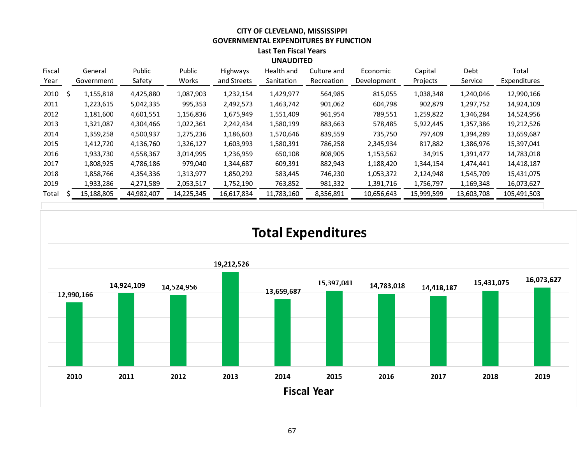# **CITY OF CLEVELAND, MISSISSIPPI GOVERNMENTAL EXPENDITURES BY FUNCTION Last Ten Fiscal Years**

**UNAUDITED**

| Fiscal |   | General    | Public     | Public     | <b>Highways</b> | Health and | Culture and | Economic    | Capital    | Debt       | Total        |
|--------|---|------------|------------|------------|-----------------|------------|-------------|-------------|------------|------------|--------------|
| Year   |   | Government | Safety     | Works      | and Streets     | Sanitation | Recreation  | Development | Projects   | Service    | Expenditures |
| 2010   | S | 1,155,818  | 4,425,880  | 1,087,903  | 1,232,154       | 1,429,977  | 564,985     | 815,055     | 1,038,348  | 1,240,046  | 12,990,166   |
| 2011   |   | 1,223,615  | 5,042,335  | 995,353    | 2,492,573       | 1,463,742  | 901,062     | 604,798     | 902,879    | 1,297,752  | 14,924,109   |
| 2012   |   | 1,181,600  | 4,601,551  | 1,156,836  | 1,675,949       | 1,551,409  | 961,954     | 789,551     | 1,259,822  | 1,346,284  | 14,524,956   |
| 2013   |   | 1,321,087  | 4,304,466  | 1,022,361  | 2,242,434       | 1,580,199  | 883,663     | 578.485     | 5,922,445  | 1,357,386  | 19,212,526   |
| 2014   |   | 1,359,258  | 4,500,937  | 1,275,236  | 1,186,603       | 1,570,646  | 839,559     | 735,750     | 797,409    | 1,394,289  | 13,659,687   |
| 2015   |   | 1,412,720  | 4,136,760  | 1,326,127  | 1,603,993       | 1,580,391  | 786.258     | 2,345,934   | 817,882    | 1,386,976  | 15,397,041   |
| 2016   |   | 1,933,730  | 4,558,367  | 3,014,995  | 1,236,959       | 650,108    | 808,905     | 1,153,562   | 34,915     | 1,391,477  | 14,783,018   |
| 2017   |   | 1,808,925  | 4,786,186  | 979,040    | 1,344,687       | 609,391    | 882,943     | 1,188,420   | 1,344,154  | 1,474,441  | 14,418,187   |
| 2018   |   | 1,858,766  | 4,354,336  | 1,313,977  | 1,850,292       | 583,445    | 746,230     | 1,053,372   | 2,124,948  | 1,545,709  | 15,431,075   |
| 2019   |   | 1,933,286  | 4,271,589  | 2,053,517  | 1,752,190       | 763,852    | 981,332     | 1,391,716   | 1,756,797  | 1,169,348  | 16,073,627   |
| Total  |   | 15,188,805 | 44,982,407 | 14,225,345 | 16,617,834      | 11,783,160 | 8,356,891   | 10,656,643  | 15,999,599 | 13,603,708 | 105,491,503  |

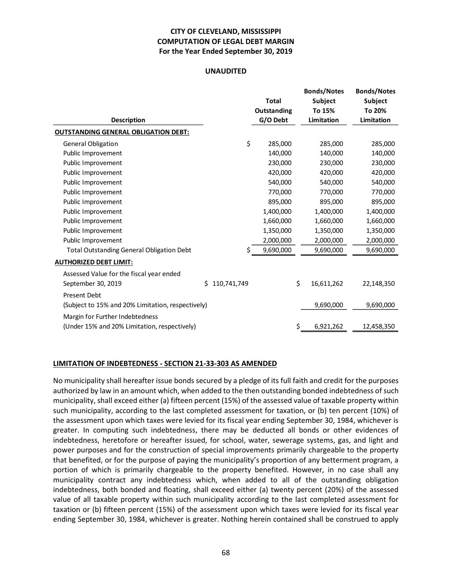# **CITY OF CLEVELAND, MISSISSIPPI COMPUTATION OF LEGAL DEBT MARGIN For the Year Ended September 30, 2019**

### **UNAUDITED**

|                                                   |                   |                    | <b>Bonds/Notes</b> | <b>Bonds/Notes</b> |
|---------------------------------------------------|-------------------|--------------------|--------------------|--------------------|
|                                                   |                   | <b>Total</b>       | Subject            | Subject            |
|                                                   |                   | <b>Outstanding</b> | To 15%             | To 20%             |
| <b>Description</b>                                |                   | G/O Debt           | Limitation         | Limitation         |
| <b>OUTSTANDING GENERAL OBLIGATION DEBT:</b>       |                   |                    |                    |                    |
| <b>General Obligation</b>                         | \$                | 285,000            | 285,000            | 285,000            |
| Public Improvement                                |                   | 140,000            | 140,000            | 140,000            |
| Public Improvement                                |                   | 230,000            | 230,000            | 230,000            |
| Public Improvement                                |                   | 420,000            | 420,000            | 420,000            |
| Public Improvement                                |                   | 540,000            | 540,000            | 540,000            |
| Public Improvement                                |                   | 770,000            | 770,000            | 770,000            |
| Public Improvement                                |                   | 895,000            | 895,000            | 895,000            |
| Public Improvement                                |                   | 1,400,000          | 1,400,000          | 1,400,000          |
| Public Improvement                                |                   | 1,660,000          | 1,660,000          | 1,660,000          |
| Public Improvement                                |                   | 1,350,000          | 1,350,000          | 1,350,000          |
| Public Improvement                                |                   | 2,000,000          | 2,000,000          | 2,000,000          |
| <b>Total Outstanding General Obligation Debt</b>  | \$                | 9,690,000          | 9,690,000          | 9,690,000          |
| <b>AUTHORIZED DEBT LIMIT:</b>                     |                   |                    |                    |                    |
| Assessed Value for the fiscal year ended          |                   |                    |                    |                    |
| September 30, 2019                                | 110,741,749<br>Ś. |                    | \$<br>16,611,262   | 22,148,350         |
| <b>Present Debt</b>                               |                   |                    |                    |                    |
| (Subject to 15% and 20% Limitation, respectively) |                   |                    | 9,690,000          | 9,690,000          |
| Margin for Further Indebtedness                   |                   |                    |                    |                    |
| (Under 15% and 20% Limitation, respectively)      |                   |                    | \$<br>6,921,262    | 12,458,350         |

#### **LIMITATION OF INDEBTEDNESS - SECTION 21-33-303 AS AMENDED**

No municipality shall hereafter issue bonds secured by a pledge of its full faith and credit for the purposes authorized by law in an amount which, when added to the then outstanding bonded indebtedness of such municipality, shall exceed either (a) fifteen percent (15%) of the assessed value of taxable property within such municipality, according to the last completed assessment for taxation, or (b) ten percent (10%) of the assessment upon which taxes were levied for its fiscal year ending September 30, 1984, whichever is greater. In computing such indebtedness, there may be deducted all bonds or other evidences of indebtedness, heretofore or hereafter issued, for school, water, sewerage systems, gas, and light and power purposes and for the construction of special improvements primarily chargeable to the property that benefited, or for the purpose of paying the municipality's proportion of any betterment program, a portion of which is primarily chargeable to the property benefited. However, in no case shall any municipality contract any indebtedness which, when added to all of the outstanding obligation indebtedness, both bonded and floating, shall exceed either (a) twenty percent (20%) of the assessed value of all taxable property within such municipality according to the last completed assessment for taxation or (b) fifteen percent (15%) of the assessment upon which taxes were levied for its fiscal year ending September 30, 1984, whichever is greater. Nothing herein contained shall be construed to apply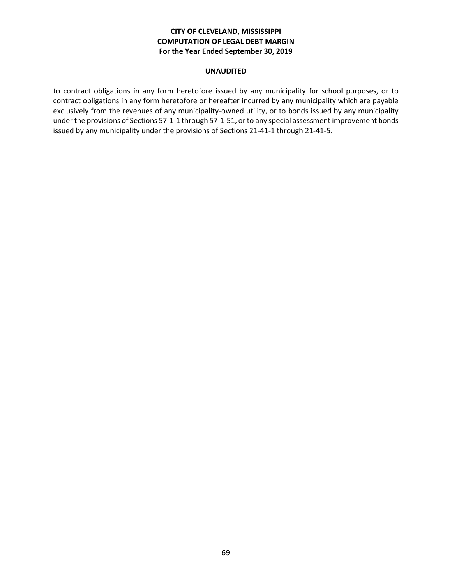# **CITY OF CLEVELAND, MISSISSIPPI COMPUTATION OF LEGAL DEBT MARGIN For the Year Ended September 30, 2019**

### **UNAUDITED**

to contract obligations in any form heretofore issued by any municipality for school purposes, or to contract obligations in any form heretofore or hereafter incurred by any municipality which are payable exclusively from the revenues of any municipality-owned utility, or to bonds issued by any municipality under the provisions of Sections 57-1-1 through 57-1-51, or to any special assessment improvement bonds issued by any municipality under the provisions of Sections 21-41-1 through 21-41-5.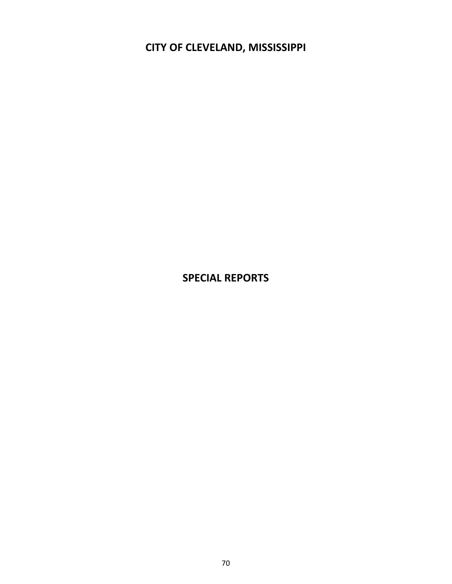**CITY OF CLEVELAND, MISSISSIPPI**

# **SPECIAL REPORTS**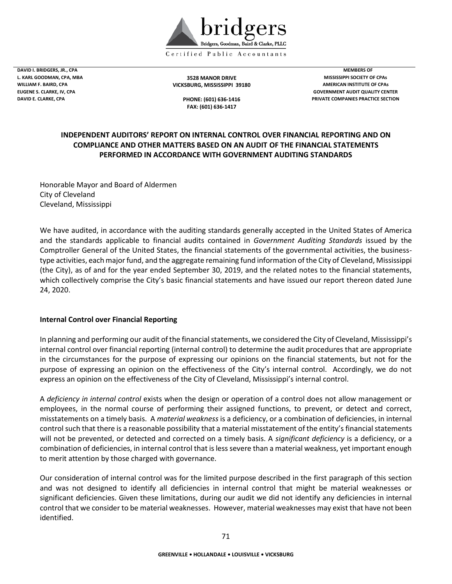

**DAVID I. BRIDGERS, JR., CPA** MEMBERS OF **WILLIAM F. BAIRD, CPA VICKSBURG, MISSISSIPPI 39180**<br>EUGENE S. CLARKE, IV, CPA

**L. KARL GOODMAN, CPA, MBA 3528 MANOR DRIVE MISSISSIPPI SOCIETY OF CPAs**

**FAX: (601) 636-1417**

**EQUERNMENT AUDIT QUALITY CENTER DAVID E. CLARKE, CPA PHONE: (601) 636-1416 PRIVATE COMPANIES PRACTICE SECTION**

# **INDEPENDENT AUDITORS' REPORT ON INTERNAL CONTROL OVER FINANCIAL REPORTING AND ON COMPLIANCE AND OTHER MATTERS BASED ON AN AUDIT OF THE FINANCIAL STATEMENTS PERFORMED IN ACCORDANCE WITH GOVERNMENT AUDITING STANDARDS**

Honorable Mayor and Board of Aldermen City of Cleveland Cleveland, Mississippi

We have audited, in accordance with the auditing standards generally accepted in the United States of America and the standards applicable to financial audits contained in *Government Auditing Standards* issued by the Comptroller General of the United States, the financial statements of the governmental activities, the businesstype activities, each major fund, and the aggregate remaining fund information of the City of Cleveland, Mississippi (the City), as of and for the year ended September 30, 2019, and the related notes to the financial statements, which collectively comprise the City's basic financial statements and have issued our report thereon dated June 24, 2020.

# **Internal Control over Financial Reporting**

In planning and performing our audit of the financial statements, we considered the City of Cleveland, Mississippi's internal control over financial reporting (internal control) to determine the audit procedures that are appropriate in the circumstances for the purpose of expressing our opinions on the financial statements, but not for the purpose of expressing an opinion on the effectiveness of the City's internal control. Accordingly, we do not express an opinion on the effectiveness of the City of Cleveland, Mississippi's internal control.

A *deficiency in internal control* exists when the design or operation of a control does not allow management or employees, in the normal course of performing their assigned functions, to prevent, or detect and correct, misstatements on a timely basis. A *material weakness* is a deficiency, or a combination of deficiencies, in internal control such that there is a reasonable possibility that a material misstatement of the entity's financial statements will not be prevented, or detected and corrected on a timely basis. A *significant deficiency* is a deficiency, or a combination of deficiencies, in internal control that is less severe than a material weakness, yet important enough to merit attention by those charged with governance.

Our consideration of internal control was for the limited purpose described in the first paragraph of this section and was not designed to identify all deficiencies in internal control that might be material weaknesses or significant deficiencies. Given these limitations, during our audit we did not identify any deficiencies in internal control that we consider to be material weaknesses. However, material weaknesses may exist that have not been identified.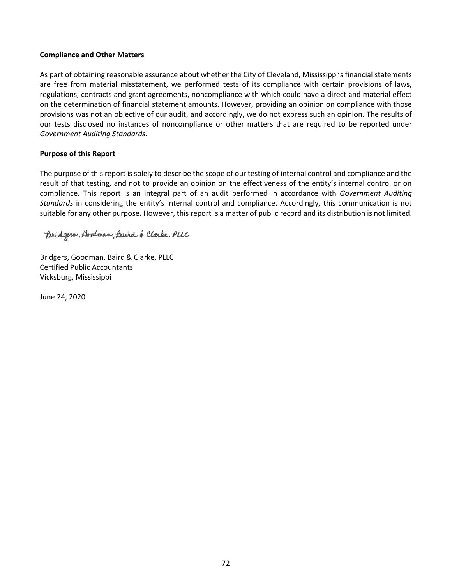## **Compliance and Other Matters**

As part of obtaining reasonable assurance about whether the City of Cleveland, Mississippi's financial statements are free from material misstatement, we performed tests of its compliance with certain provisions of laws, regulations, contracts and grant agreements, noncompliance with which could have a direct and material effect on the determination of financial statement amounts. However, providing an opinion on compliance with those provisions was not an objective of our audit, and accordingly, we do not express such an opinion. The results of our tests disclosed no instances of noncompliance or other matters that are required to be reported under *Government Auditing Standards.* 

## **Purpose of this Report**

The purpose of this report is solely to describe the scope of our testing of internal control and compliance and the result of that testing, and not to provide an opinion on the effectiveness of the entity's internal control or on compliance. This report is an integral part of an audit performed in accordance with *Government Auditing Standards* in considering the entity's internal control and compliance. Accordingly, this communication is not suitable for any other purpose. However, this report is a matter of public record and its distribution is not limited.

Bridgers, Goodman, Baird & Clarke, PLLC

Bridgers, Goodman, Baird & Clarke, PLLC Certified Public Accountants Vicksburg, Mississippi

June 24, 2020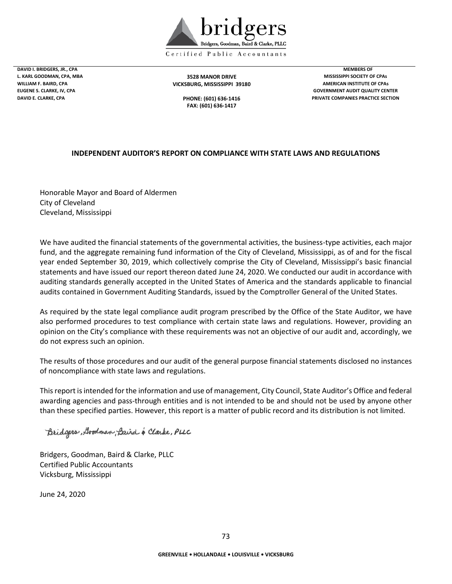

**DAVID I. BRIDGERS, JR., CPA** MEMBERS OF

**WICKSBURG, MISSISSIPPI 39180** 

**FAX: (601) 636-1417**

**L. KARL GOODMAN, CPA, MBA 3528 MANOR DRIVE MISSISSIPPI SOCIETY OF CPAs EUGENE S. CLARKE, IV, CPA GOVERNMENT AUDIT QUALITY CENTER DAVID E. CLARKE, CPA PHONE: (601) 636-1416 PRIVATE COMPANIES PRACTICE SECTION**

## **INDEPENDENT AUDITOR'S REPORT ON COMPLIANCE WITH STATE LAWS AND REGULATIONS**

Honorable Mayor and Board of Aldermen City of Cleveland Cleveland, Mississippi

We have audited the financial statements of the governmental activities, the business-type activities, each major fund, and the aggregate remaining fund information of the City of Cleveland, Mississippi, as of and for the fiscal year ended September 30, 2019, which collectively comprise the City of Cleveland, Mississippi's basic financial statements and have issued our report thereon dated June 24, 2020. We conducted our audit in accordance with auditing standards generally accepted in the United States of America and the standards applicable to financial audits contained in Government Auditing Standards, issued by the Comptroller General of the United States.

As required by the state legal compliance audit program prescribed by the Office of the State Auditor, we have also performed procedures to test compliance with certain state laws and regulations. However, providing an opinion on the City's compliance with these requirements was not an objective of our audit and, accordingly, we do not express such an opinion.

The results of those procedures and our audit of the general purpose financial statements disclosed no instances of noncompliance with state laws and regulations.

This report is intended for the information and use of management, City Council, State Auditor's Office and federal awarding agencies and pass-through entities and is not intended to be and should not be used by anyone other than these specified parties. However, this report is a matter of public record and its distribution is not limited.

Bridgers, Goodman, Baird & Clarke, PLLC

Bridgers, Goodman, Baird & Clarke, PLLC Certified Public Accountants Vicksburg, Mississippi

June 24, 2020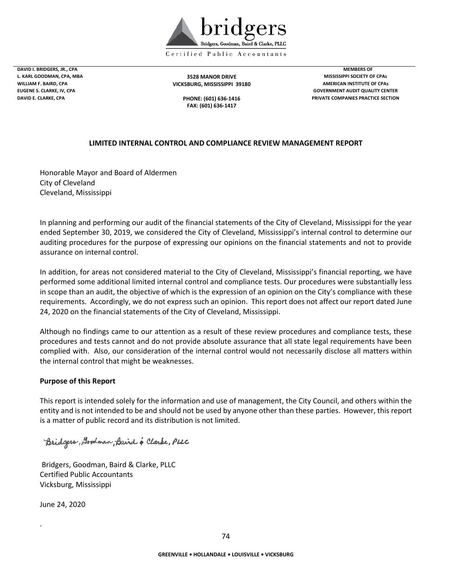

**DAVID I. BRIDGERS, JR., CPA** MEMBERS OF

**VICKSBURG, MISSISSIPPI 39180** 

**FAX: (601) 636-1417**

**L. KARL GOODMAN, CPA, MBA 3528 MANOR DRIVE MISSISSIPPI SOCIETY OF CPAs EUGENE S. CLARKE, IV, CPA GOVERNMENT AUDIT QUALITY CENTER DAVID E. CLARKE, CPA PHONE: (601) 636-1416 PRIVATE COMPANIES PRACTICE SECTION**

## **LIMITED INTERNAL CONTROL AND COMPLIANCE REVIEW MANAGEMENT REPORT**

Honorable Mayor and Board of Aldermen City of Cleveland Cleveland, Mississippi

In planning and performing our audit of the financial statements of the City of Cleveland, Mississippi for the year ended September 30, 2019, we considered the City of Cleveland, Mississippi's internal control to determine our auditing procedures for the purpose of expressing our opinions on the financial statements and not to provide assurance on internal control.

In addition, for areas not considered material to the City of Cleveland, Mississippi's financial reporting, we have performed some additional limited internal control and compliance tests. Our procedures were substantially less in scope than an audit, the objective of which is the expression of an opinion on the City's compliance with these requirements. Accordingly, we do not express such an opinion. This report does not affect our report dated June 24, 2020 on the financial statements of the City of Cleveland, Mississippi.

Although no findings came to our attention as a result of these review procedures and compliance tests, these procedures and tests cannot and do not provide absolute assurance that all state legal requirements have been complied with. Also, our consideration of the internal control would not necessarily disclose all matters within the internal control that might be weaknesses.

#### **Purpose of this Report**

This report is intended solely for the information and use of management, the City Council, and others within the entity and is not intended to be and should not be used by anyone other than these parties. However, this report is a matter of public record and its distribution is not limited.

Bridgers, Goodman, Baird & Clarke, PLLC

Bridgers, Goodman, Baird & Clarke, PLLC Certified Public Accountants Vicksburg, Mississippi

June 24, 2020

.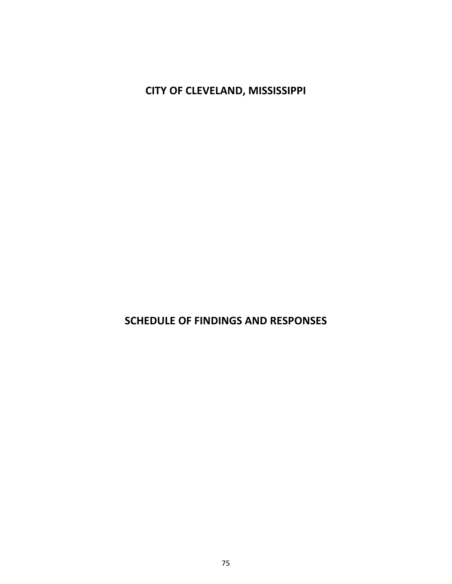**CITY OF CLEVELAND, MISSISSIPPI**

**SCHEDULE OF FINDINGS AND RESPONSES**